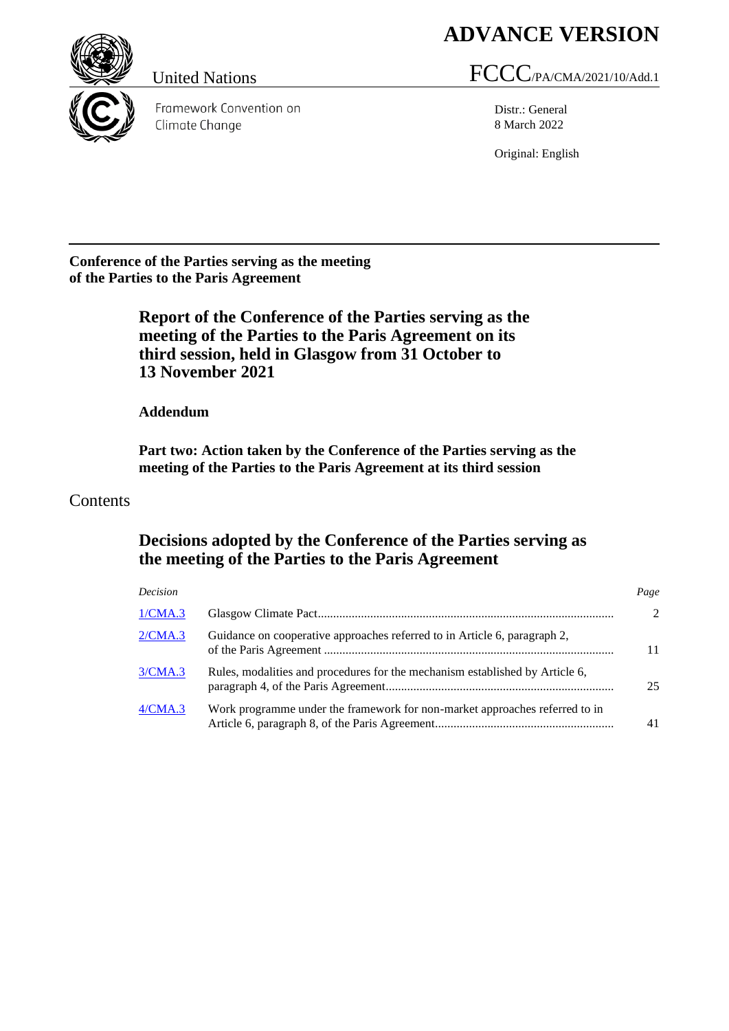# **ADVANCE VERSION**



Framework Convention on Climate Change

# United Nations FCCC/PA/CMA/2021/10/Add.1

Distr.: General 8 March 2022

Original: English

**Conference of the Parties serving as the meeting of the Parties to the Paris Agreement**

> **Report of the Conference of the Parties serving as the meeting of the Parties to the Paris Agreement on its third session, held in Glasgow from 31 October to 13 November 2021**

**Addendum**

**Part two: Action taken by the Conference of the Parties serving as the meeting of the Parties to the Paris Agreement at its third session**

## Contents

## **Decisions adopted by the Conference of the Parties serving as the meeting of the Parties to the Paris Agreement**

| Decision |                                                                              | Page                        |
|----------|------------------------------------------------------------------------------|-----------------------------|
| 1/CMA.3  |                                                                              | $\mathcal{D}_{\mathcal{L}}$ |
| 2/CMA.3  | Guidance on cooperative approaches referred to in Article 6, paragraph 2,    | 11                          |
| 3/CMA.3  | Rules, modalities and procedures for the mechanism established by Article 6, | 25                          |
| 4/CMA.3  | Work programme under the framework for non-market approaches referred to in  | 41                          |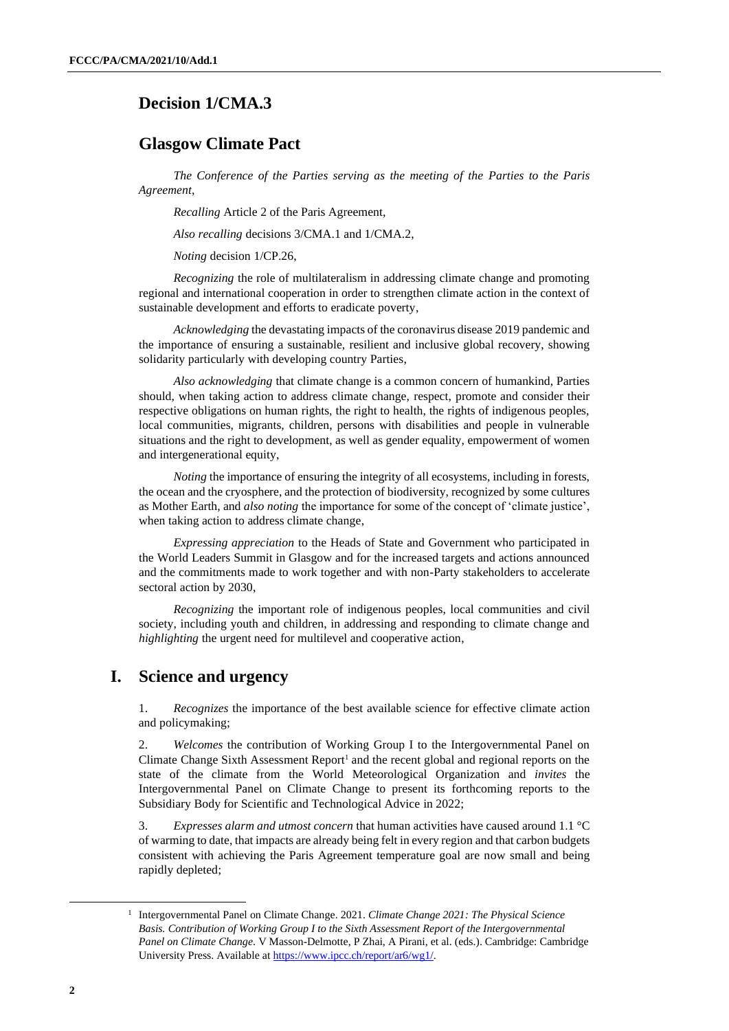## <span id="page-1-0"></span>**Decision 1/CMA.3**

## **Glasgow Climate Pact**

*The Conference of the Parties serving as the meeting of the Parties to the Paris Agreement*,

*Recalling* Article 2 of the Paris Agreement,

*Also recalling* decisions 3/CMA.1 and 1/CMA.2,

*Noting* decision 1/CP.26,

*Recognizing* the role of multilateralism in addressing climate change and promoting regional and international cooperation in order to strengthen climate action in the context of sustainable development and efforts to eradicate poverty,

*Acknowledging* the devastating impacts of the coronavirus disease 2019 pandemic and the importance of ensuring a sustainable, resilient and inclusive global recovery, showing solidarity particularly with developing country Parties,

*Also acknowledging* that climate change is a common concern of humankind, Parties should, when taking action to address climate change, respect, promote and consider their respective obligations on human rights, the right to health, the rights of indigenous peoples, local communities, migrants, children, persons with disabilities and people in vulnerable situations and the right to development, as well as gender equality, empowerment of women and intergenerational equity,

*Noting* the importance of ensuring the integrity of all ecosystems, including in forests, the ocean and the cryosphere, and the protection of biodiversity, recognized by some cultures as Mother Earth, and *also noting* the importance for some of the concept of 'climate justice', when taking action to address climate change,

*Expressing appreciation* to the Heads of State and Government who participated in the World Leaders Summit in Glasgow and for the increased targets and actions announced and the commitments made to work together and with non-Party stakeholders to accelerate sectoral action by 2030,

*Recognizing* the important role of indigenous peoples, local communities and civil society, including youth and children, in addressing and responding to climate change and *highlighting* the urgent need for multilevel and cooperative action,

## **I. Science and urgency**

1. *Recognizes* the importance of the best available science for effective climate action and policymaking;

2. *Welcomes* the contribution of Working Group I to the Intergovernmental Panel on Climate Change Sixth Assessment Report<sup>1</sup> and the recent global and regional reports on the state of the climate from the World Meteorological Organization and *invites* the Intergovernmental Panel on Climate Change to present its forthcoming reports to the Subsidiary Body for Scientific and Technological Advice in 2022;

3. *Expresses alarm and utmost concern* that human activities have caused around 1.1 °C of warming to date, that impacts are already being felt in every region and that carbon budgets consistent with achieving the Paris Agreement temperature goal are now small and being rapidly depleted;

<sup>1</sup> Intergovernmental Panel on Climate Change. 2021. *Climate Change 2021: The Physical Science Basis. Contribution of Working Group I to the Sixth Assessment Report of the Intergovernmental Panel on Climate Change*. V Masson-Delmotte, P Zhai, A Pirani, et al. (eds.). Cambridge: Cambridge University Press. Available at [https://www.ipcc.ch/report/ar6/wg1/.](https://www.ipcc.ch/report/ar6/wg1/)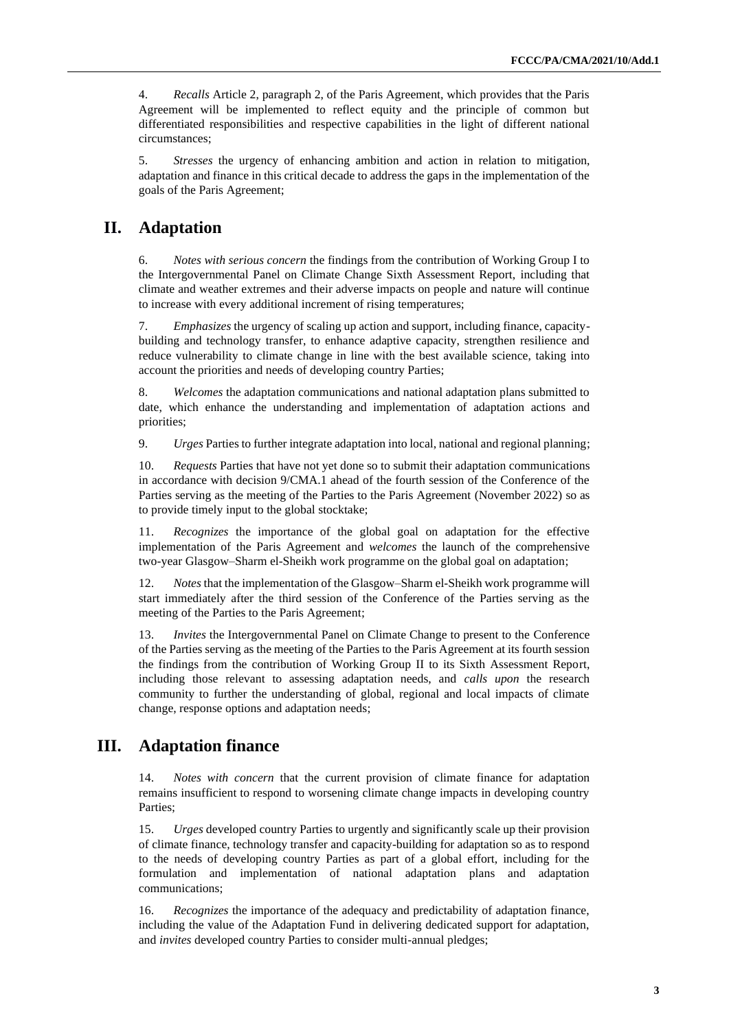4. *Recalls* Article 2, paragraph 2, of the Paris Agreement, which provides that the Paris Agreement will be implemented to reflect equity and the principle of common but differentiated responsibilities and respective capabilities in the light of different national circumstances;

5. *Stresses* the urgency of enhancing ambition and action in relation to mitigation, adaptation and finance in this critical decade to address the gaps in the implementation of the goals of the Paris Agreement;

## **II. Adaptation**

6. *Notes with serious concern* the findings from the contribution of Working Group I to the Intergovernmental Panel on Climate Change Sixth Assessment Report, including that climate and weather extremes and their adverse impacts on people and nature will continue to increase with every additional increment of rising temperatures;

7. *Emphasizes* the urgency of scaling up action and support, including finance, capacitybuilding and technology transfer, to enhance adaptive capacity, strengthen resilience and reduce vulnerability to climate change in line with the best available science, taking into account the priorities and needs of developing country Parties;

8. *Welcomes* the adaptation communications and national adaptation plans submitted to date, which enhance the understanding and implementation of adaptation actions and priorities;

9. *Urges* Parties to further integrate adaptation into local, national and regional planning;

10. *Requests* Parties that have not yet done so to submit their adaptation communications in accordance with decision 9/CMA.1 ahead of the fourth session of the Conference of the Parties serving as the meeting of the Parties to the Paris Agreement (November 2022) so as to provide timely input to the global stocktake;

11. *Recognizes* the importance of the global goal on adaptation for the effective implementation of the Paris Agreement and *welcomes* the launch of the comprehensive two-year Glasgow–Sharm el-Sheikh work programme on the global goal on adaptation;

12. *Notes* that the implementation of the Glasgow–Sharm el-Sheikh work programme will start immediately after the third session of the Conference of the Parties serving as the meeting of the Parties to the Paris Agreement;

13. *Invites* the Intergovernmental Panel on Climate Change to present to the Conference of the Parties serving as the meeting of the Parties to the Paris Agreement at its fourth session the findings from the contribution of Working Group II to its Sixth Assessment Report, including those relevant to assessing adaptation needs, and *calls upon* the research community to further the understanding of global, regional and local impacts of climate change, response options and adaptation needs;

## **III. Adaptation finance**

14. *Notes with concern* that the current provision of climate finance for adaptation remains insufficient to respond to worsening climate change impacts in developing country Parties;

15. *Urges* developed country Parties to urgently and significantly scale up their provision of climate finance, technology transfer and capacity-building for adaptation so as to respond to the needs of developing country Parties as part of a global effort, including for the formulation and implementation of national adaptation plans and adaptation communications;

16. *Recognizes* the importance of the adequacy and predictability of adaptation finance, including the value of the Adaptation Fund in delivering dedicated support for adaptation, and *invites* developed country Parties to consider multi-annual pledges;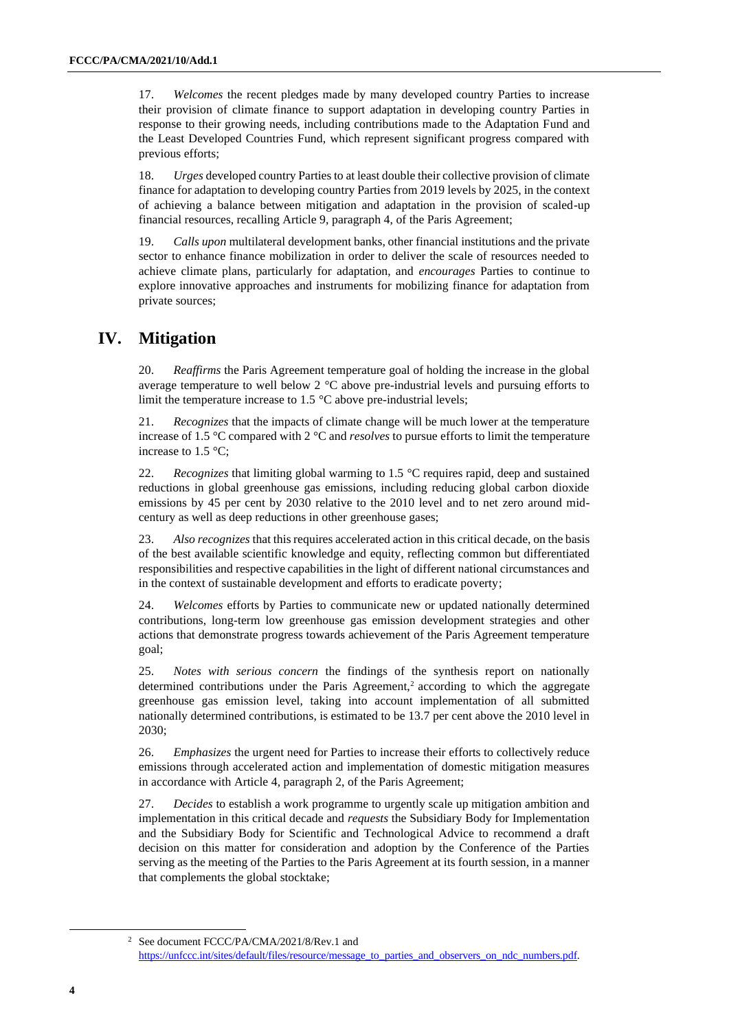17. *Welcomes* the recent pledges made by many developed country Parties to increase their provision of climate finance to support adaptation in developing country Parties in response to their growing needs, including contributions made to the Adaptation Fund and the Least Developed Countries Fund, which represent significant progress compared with previous efforts;

18. *Urges* developed country Parties to at least double their collective provision of climate finance for adaptation to developing country Parties from 2019 levels by 2025, in the context of achieving a balance between mitigation and adaptation in the provision of scaled-up financial resources, recalling Article 9, paragraph 4, of the Paris Agreement;

19. *Calls upon* multilateral development banks, other financial institutions and the private sector to enhance finance mobilization in order to deliver the scale of resources needed to achieve climate plans, particularly for adaptation, and *encourages* Parties to continue to explore innovative approaches and instruments for mobilizing finance for adaptation from private sources;

## **IV. Mitigation**

20. *Reaffirms* the Paris Agreement temperature goal of holding the increase in the global average temperature to well below 2 °C above pre-industrial levels and pursuing efforts to limit the temperature increase to 1.5 °C above pre-industrial levels;

21. *Recognizes* that the impacts of climate change will be much lower at the temperature increase of 1.5 °C compared with 2 °C and *resolves* to pursue efforts to limit the temperature increase to 1.5 °C;

22. *Recognizes* that limiting global warming to 1.5 °C requires rapid, deep and sustained reductions in global greenhouse gas emissions, including reducing global carbon dioxide emissions by 45 per cent by 2030 relative to the 2010 level and to net zero around midcentury as well as deep reductions in other greenhouse gases;

23. *Also recognizes* that this requires accelerated action in this critical decade, on the basis of the best available scientific knowledge and equity, reflecting common but differentiated responsibilities and respective capabilities in the light of different national circumstances and in the context of sustainable development and efforts to eradicate poverty;

24. *Welcomes* efforts by Parties to communicate new or updated nationally determined contributions, long-term low greenhouse gas emission development strategies and other actions that demonstrate progress towards achievement of the Paris Agreement temperature goal;

25. *Notes with serious concern* the findings of the synthesis report on nationally determined contributions under the Paris Agreement,<sup>2</sup> according to which the aggregate greenhouse gas emission level, taking into account implementation of all submitted nationally determined contributions, is estimated to be 13.7 per cent above the 2010 level in 2030;

26. *Emphasizes* the urgent need for Parties to increase their efforts to collectively reduce emissions through accelerated action and implementation of domestic mitigation measures in accordance with Article 4, paragraph 2, of the Paris Agreement;

27. *Decides* to establish a work programme to urgently scale up mitigation ambition and implementation in this critical decade and *requests* the Subsidiary Body for Implementation and the Subsidiary Body for Scientific and Technological Advice to recommend a draft decision on this matter for consideration and adoption by the Conference of the Parties serving as the meeting of the Parties to the Paris Agreement at its fourth session, in a manner that complements the global stocktake;

<sup>2</sup> See document FCCC/PA/CMA/2021/8/Rev.1 and [https://unfccc.int/sites/default/files/resource/message\\_to\\_parties\\_and\\_observers\\_on\\_ndc\\_numbers.pdf.](https://unfccc.int/sites/default/files/resource/message_to_parties_and_observers_on_ndc_numbers.pdf)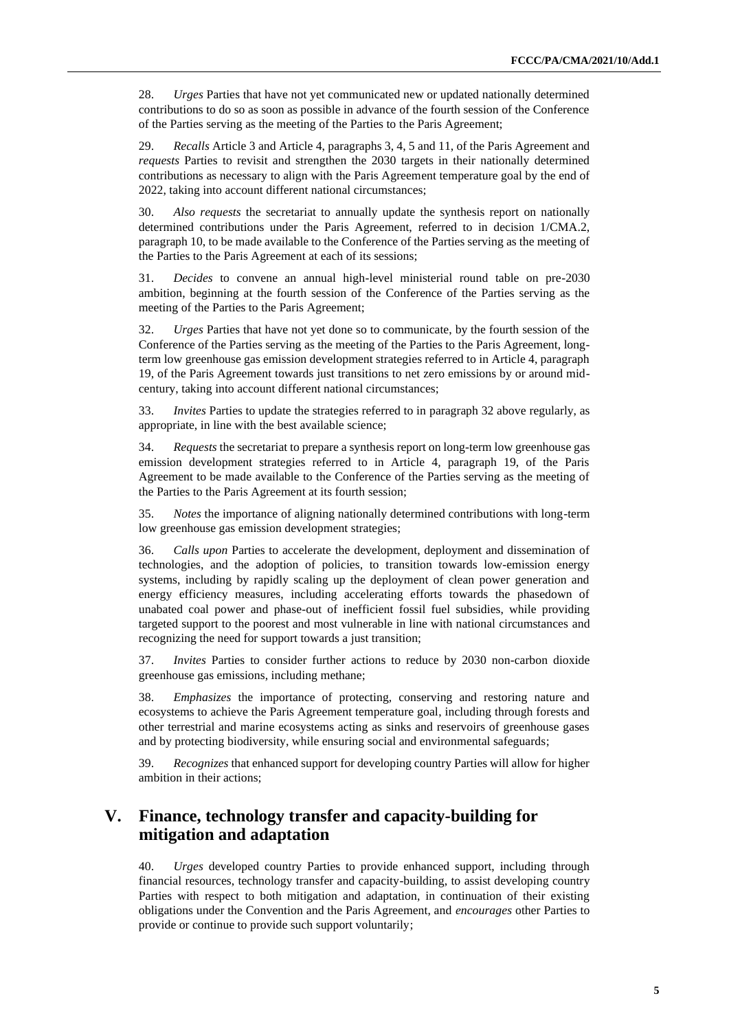28. *Urges* Parties that have not yet communicated new or updated nationally determined contributions to do so as soon as possible in advance of the fourth session of the Conference of the Parties serving as the meeting of the Parties to the Paris Agreement;

29. *Recalls* Article 3 and Article 4, paragraphs 3, 4, 5 and 11, of the Paris Agreement and *requests* Parties to revisit and strengthen the 2030 targets in their nationally determined contributions as necessary to align with the Paris Agreement temperature goal by the end of 2022, taking into account different national circumstances;

30. *Also requests* the secretariat to annually update the synthesis report on nationally determined contributions under the Paris Agreement, referred to in decision 1/CMA.2, paragraph 10, to be made available to the Conference of the Parties serving as the meeting of the Parties to the Paris Agreement at each of its sessions;

31. *Decides* to convene an annual high-level ministerial round table on pre-2030 ambition, beginning at the fourth session of the Conference of the Parties serving as the meeting of the Parties to the Paris Agreement;

32. *Urges* Parties that have not yet done so to communicate, by the fourth session of the Conference of the Parties serving as the meeting of the Parties to the Paris Agreement, longterm low greenhouse gas emission development strategies referred to in Article 4, paragraph 19, of the Paris Agreement towards just transitions to net zero emissions by or around midcentury, taking into account different national circumstances;

33. *Invites* Parties to update the strategies referred to in paragraph 32 above regularly, as appropriate, in line with the best available science;

34. *Requests* the secretariat to prepare a synthesis report on long-term low greenhouse gas emission development strategies referred to in Article 4, paragraph 19, of the Paris Agreement to be made available to the Conference of the Parties serving as the meeting of the Parties to the Paris Agreement at its fourth session;

35. *Notes* the importance of aligning nationally determined contributions with long-term low greenhouse gas emission development strategies;

36. *Calls upon* Parties to accelerate the development, deployment and dissemination of technologies, and the adoption of policies, to transition towards low-emission energy systems, including by rapidly scaling up the deployment of clean power generation and energy efficiency measures, including accelerating efforts towards the phasedown of unabated coal power and phase-out of inefficient fossil fuel subsidies, while providing targeted support to the poorest and most vulnerable in line with national circumstances and recognizing the need for support towards a just transition;

37. *Invites* Parties to consider further actions to reduce by 2030 non-carbon dioxide greenhouse gas emissions, including methane;

38. *Emphasizes* the importance of protecting, conserving and restoring nature and ecosystems to achieve the Paris Agreement temperature goal, including through forests and other terrestrial and marine ecosystems acting as sinks and reservoirs of greenhouse gases and by protecting biodiversity, while ensuring social and environmental safeguards;

39. *Recognizes* that enhanced support for developing country Parties will allow for higher ambition in their actions;

## **V. Finance, technology transfer and capacity-building for mitigation and adaptation**

40. *Urges* developed country Parties to provide enhanced support, including through financial resources, technology transfer and capacity-building, to assist developing country Parties with respect to both mitigation and adaptation, in continuation of their existing obligations under the Convention and the Paris Agreement, and *encourages* other Parties to provide or continue to provide such support voluntarily;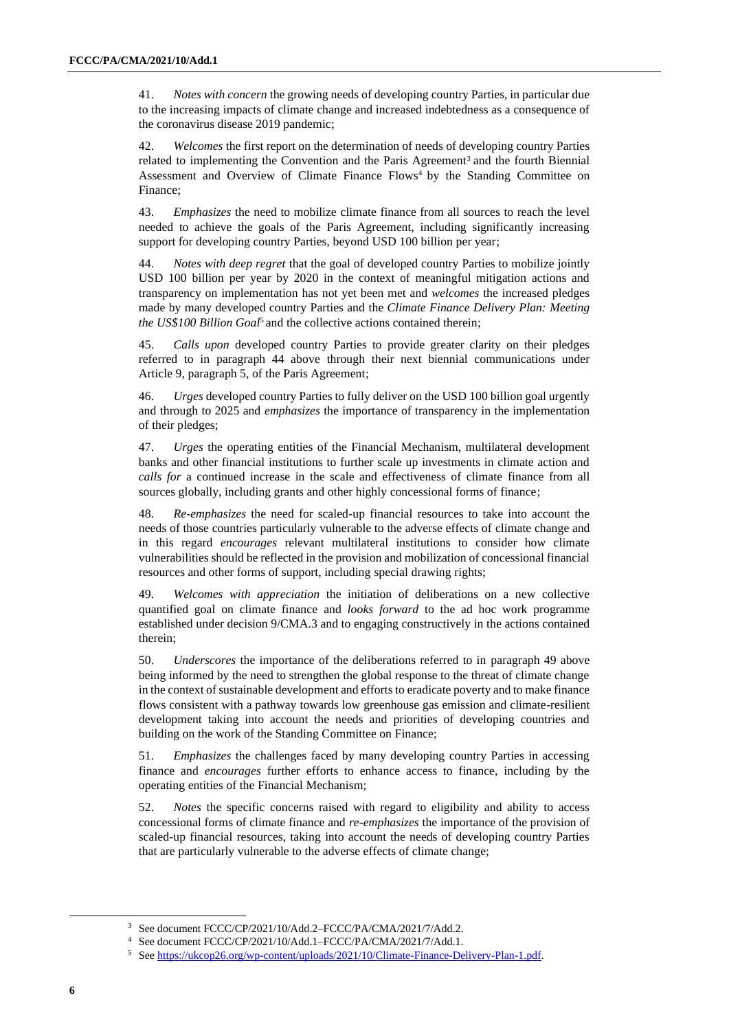41. *Notes with concern* the growing needs of developing country Parties, in particular due to the increasing impacts of climate change and increased indebtedness as a consequence of the coronavirus disease 2019 pandemic;

42. *Welcomes* the first report on the determination of needs of developing country Parties related to implementing the Convention and the Paris Agreement<sup>3</sup> and the fourth Biennial Assessment and Overview of Climate Finance Flows<sup>4</sup> by the Standing Committee on Finance;

43. *Emphasizes* the need to mobilize climate finance from all sources to reach the level needed to achieve the goals of the Paris Agreement, including significantly increasing support for developing country Parties, beyond USD 100 billion per year;

44. *Notes with deep regret* that the goal of developed country Parties to mobilize jointly USD 100 billion per year by 2020 in the context of meaningful mitigation actions and transparency on implementation has not yet been met and *welcomes* the increased pledges made by many developed country Parties and the *Climate Finance Delivery Plan: Meeting the US\$100 Billion Goal*<sup>5</sup> and the collective actions contained therein;

45. *Calls upon* developed country Parties to provide greater clarity on their pledges referred to in paragraph 44 above through their next biennial communications under Article 9, paragraph 5, of the Paris Agreement;

46. *Urges* developed country Parties to fully deliver on the USD 100 billion goal urgently and through to 2025 and *emphasizes* the importance of transparency in the implementation of their pledges;

47. *Urges* the operating entities of the Financial Mechanism, multilateral development banks and other financial institutions to further scale up investments in climate action and *calls for* a continued increase in the scale and effectiveness of climate finance from all sources globally, including grants and other highly concessional forms of finance;

48. *Re-emphasizes* the need for scaled-up financial resources to take into account the needs of those countries particularly vulnerable to the adverse effects of climate change and in this regard *encourages* relevant multilateral institutions to consider how climate vulnerabilities should be reflected in the provision and mobilization of concessional financial resources and other forms of support, including special drawing rights;

49. *Welcomes with appreciation* the initiation of deliberations on a new collective quantified goal on climate finance and *looks forward* to the ad hoc work programme established under decision 9/CMA.3 and to engaging constructively in the actions contained therein;

50. *Underscores* the importance of the deliberations referred to in paragraph 49 above being informed by the need to strengthen the global response to the threat of climate change in the context of sustainable development and efforts to eradicate poverty and to make finance flows consistent with a pathway towards low greenhouse gas emission and climate-resilient development taking into account the needs and priorities of developing countries and building on the work of the Standing Committee on Finance;

51. *Emphasizes* the challenges faced by many developing country Parties in accessing finance and *encourages* further efforts to enhance access to finance, including by the operating entities of the Financial Mechanism;

52. *Notes* the specific concerns raised with regard to eligibility and ability to access concessional forms of climate finance and *re-emphasizes* the importance of the provision of scaled-up financial resources, taking into account the needs of developing country Parties that are particularly vulnerable to the adverse effects of climate change;

<sup>&</sup>lt;sup>3</sup> See document FCCC/CP/2021/10/Add.2–FCCC/PA/CMA/2021/7/Add.2.

<sup>4</sup> See document FCCC/CP/2021/10/Add.1–FCCC/PA/CMA/2021/7/Add.1.

<sup>5</sup> Se[e https://ukcop26.org/wp-content/uploads/2021/10/Climate-Finance-Delivery-Plan-1.pdf.](https://ukcop26.org/wp-content/uploads/2021/10/Climate-Finance-Delivery-Plan-1.pdf)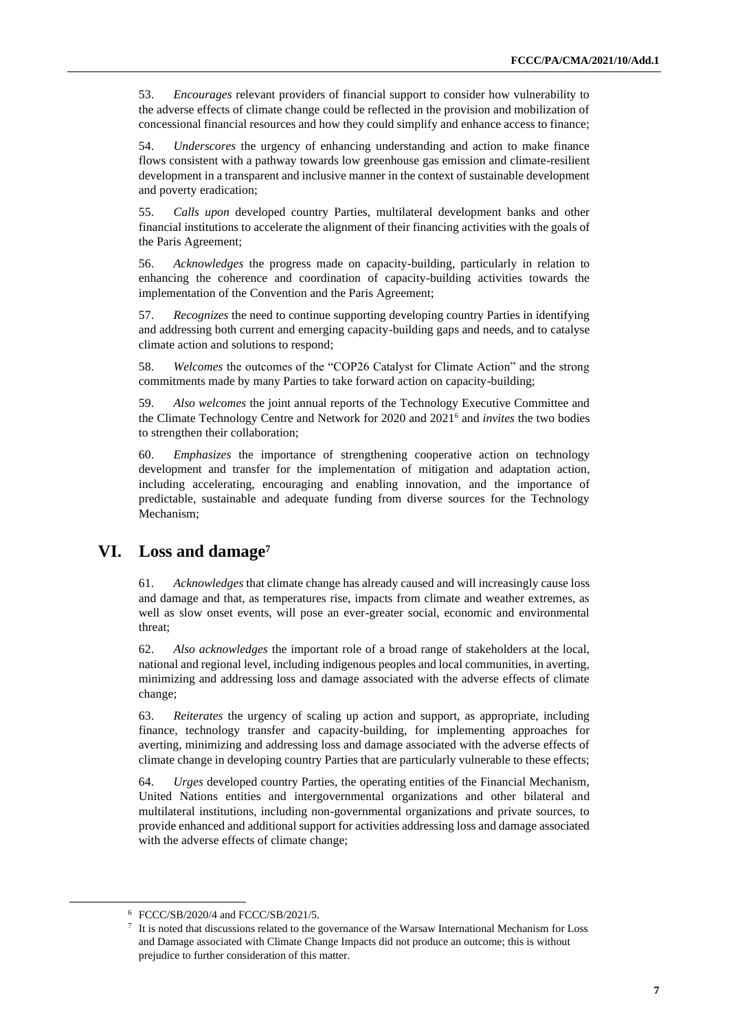53. *Encourages* relevant providers of financial support to consider how vulnerability to the adverse effects of climate change could be reflected in the provision and mobilization of concessional financial resources and how they could simplify and enhance access to finance;

54. *Underscores* the urgency of enhancing understanding and action to make finance flows consistent with a pathway towards low greenhouse gas emission and climate-resilient development in a transparent and inclusive manner in the context of sustainable development and poverty eradication;

55. *Calls upon* developed country Parties, multilateral development banks and other financial institutions to accelerate the alignment of their financing activities with the goals of the Paris Agreement;

56. *Acknowledges* the progress made on capacity-building, particularly in relation to enhancing the coherence and coordination of capacity-building activities towards the implementation of the Convention and the Paris Agreement;

57. *Recognizes* the need to continue supporting developing country Parties in identifying and addressing both current and emerging capacity-building gaps and needs, and to catalyse climate action and solutions to respond;

58. *Welcomes* the outcomes of the "COP26 Catalyst for Climate Action" and the strong commitments made by many Parties to take forward action on capacity-building;

59. *Also welcomes* the joint annual reports of the Technology Executive Committee and the Climate Technology Centre and Network for 2020 and 2021<sup>6</sup> and *invites* the two bodies to strengthen their collaboration;

60. *Emphasizes* the importance of strengthening cooperative action on technology development and transfer for the implementation of mitigation and adaptation action, including accelerating, encouraging and enabling innovation, and the importance of predictable, sustainable and adequate funding from diverse sources for the Technology Mechanism;

## **VI. Loss and damage<sup>7</sup>**

61. *Acknowledges* that climate change has already caused and will increasingly cause loss and damage and that, as temperatures rise, impacts from climate and weather extremes, as well as slow onset events, will pose an ever-greater social, economic and environmental threat;

62. *Also acknowledges* the important role of a broad range of stakeholders at the local, national and regional level, including indigenous peoples and local communities, in averting, minimizing and addressing loss and damage associated with the adverse effects of climate change;

63. *Reiterates* the urgency of scaling up action and support, as appropriate, including finance, technology transfer and capacity-building, for implementing approaches for averting, minimizing and addressing loss and damage associated with the adverse effects of climate change in developing country Parties that are particularly vulnerable to these effects;

64. *Urges* developed country Parties, the operating entities of the Financial Mechanism, United Nations entities and intergovernmental organizations and other bilateral and multilateral institutions, including non-governmental organizations and private sources, to provide enhanced and additional support for activities addressing loss and damage associated with the adverse effects of climate change;

<sup>6</sup> FCCC/SB/2020/4 and FCCC/SB/2021/5.

<sup>7</sup> It is noted that discussions related to the governance of the Warsaw International Mechanism for Loss and Damage associated with Climate Change Impacts did not produce an outcome; this is without prejudice to further consideration of this matter.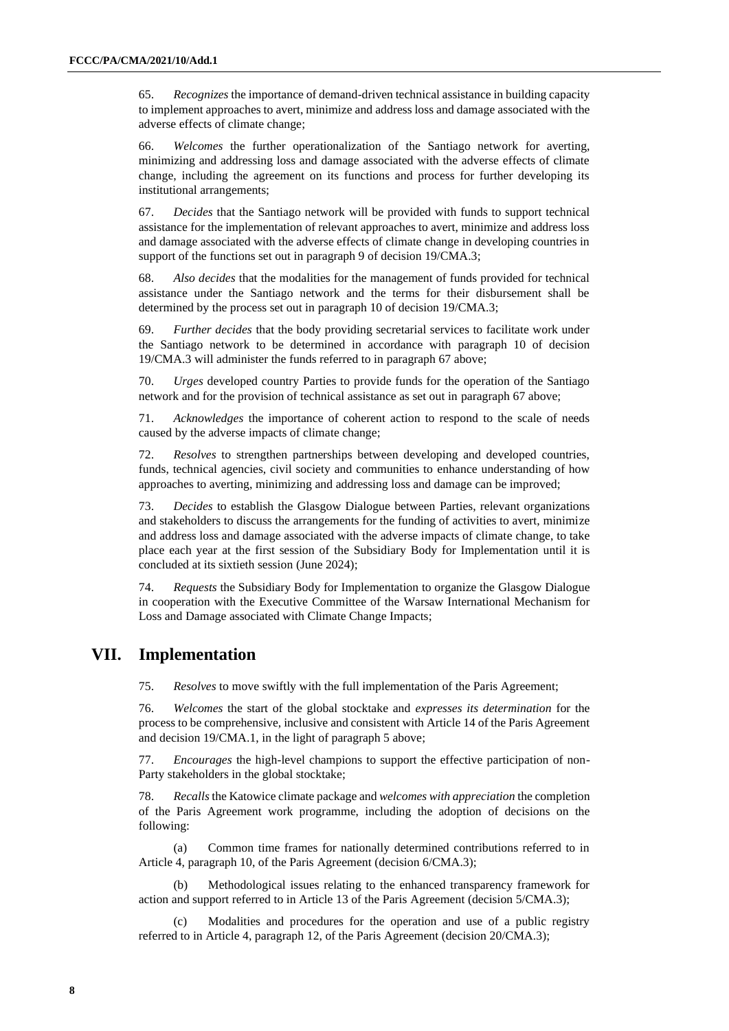65. *Recognizes* the importance of demand-driven technical assistance in building capacity to implement approaches to avert, minimize and address loss and damage associated with the adverse effects of climate change;

66. *Welcomes* the further operationalization of the Santiago network for averting, minimizing and addressing loss and damage associated with the adverse effects of climate change, including the agreement on its functions and process for further developing its institutional arrangements;

67. *Decides* that the Santiago network will be provided with funds to support technical assistance for the implementation of relevant approaches to avert, minimize and address loss and damage associated with the adverse effects of climate change in developing countries in support of the functions set out in paragraph 9 of decision 19/CMA.3;

68. *Also decides* that the modalities for the management of funds provided for technical assistance under the Santiago network and the terms for their disbursement shall be determined by the process set out in paragraph 10 of decision 19/CMA.3;

69. *Further decides* that the body providing secretarial services to facilitate work under the Santiago network to be determined in accordance with paragraph 10 of decision 19/CMA.3 will administer the funds referred to in paragraph 67 above;

70. *Urges* developed country Parties to provide funds for the operation of the Santiago network and for the provision of technical assistance as set out in paragraph 67 above;

71. *Acknowledges* the importance of coherent action to respond to the scale of needs caused by the adverse impacts of climate change;

72. *Resolves* to strengthen partnerships between developing and developed countries, funds, technical agencies, civil society and communities to enhance understanding of how approaches to averting, minimizing and addressing loss and damage can be improved;

73. *Decides* to establish the Glasgow Dialogue between Parties, relevant organizations and stakeholders to discuss the arrangements for the funding of activities to avert, minimize and address loss and damage associated with the adverse impacts of climate change, to take place each year at the first session of the Subsidiary Body for Implementation until it is concluded at its sixtieth session (June 2024);

74. *Requests* the Subsidiary Body for Implementation to organize the Glasgow Dialogue in cooperation with the Executive Committee of the Warsaw International Mechanism for Loss and Damage associated with Climate Change Impacts;

## **VII. Implementation**

75. *Resolves* to move swiftly with the full implementation of the Paris Agreement;

76. *Welcomes* the start of the global stocktake and *expresses its determination* for the process to be comprehensive, inclusive and consistent with Article 14 of the Paris Agreement and decision 19/CMA.1, in the light of paragraph 5 above;

77. *Encourages* the high-level champions to support the effective participation of non-Party stakeholders in the global stocktake;

78. *Recalls*the Katowice climate package and *welcomes with appreciation* the completion of the Paris Agreement work programme, including the adoption of decisions on the following:

(a) Common time frames for nationally determined contributions referred to in Article 4, paragraph 10, of the Paris Agreement (decision 6/CMA.3);

(b) Methodological issues relating to the enhanced transparency framework for action and support referred to in Article 13 of the Paris Agreement (decision 5/CMA.3);

(c) Modalities and procedures for the operation and use of a public registry referred to in Article 4, paragraph 12, of the Paris Agreement (decision 20/CMA.3);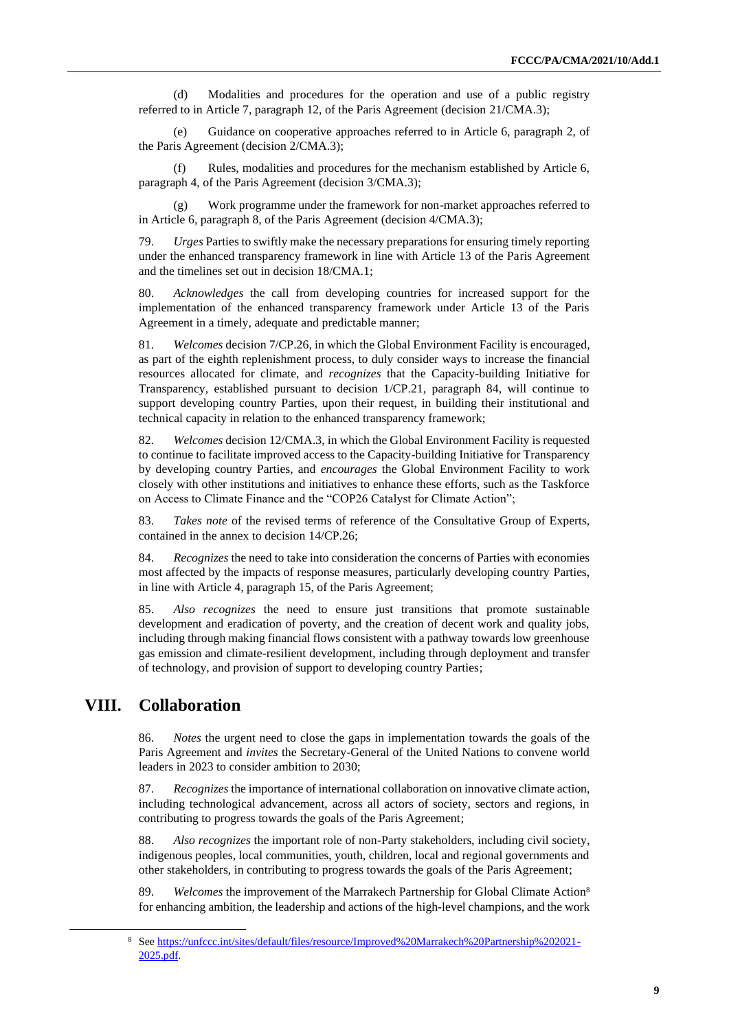(d) Modalities and procedures for the operation and use of a public registry referred to in Article 7, paragraph 12, of the Paris Agreement (decision 21/CMA.3);

(e) Guidance on cooperative approaches referred to in Article 6, paragraph 2, of the Paris Agreement (decision 2/CMA.3);

(f) Rules, modalities and procedures for the mechanism established by Article 6, paragraph 4, of the Paris Agreement (decision 3/CMA.3);

(g) Work programme under the framework for non-market approaches referred to in Article 6, paragraph 8, of the Paris Agreement (decision 4/CMA.3);

79. *Urges* Parties to swiftly make the necessary preparations for ensuring timely reporting under the enhanced transparency framework in line with Article 13 of the Paris Agreement and the timelines set out in decision 18/CMA.1;

80. *Acknowledges* the call from developing countries for increased support for the implementation of the enhanced transparency framework under Article 13 of the Paris Agreement in a timely, adequate and predictable manner;

81. *Welcomes* decision 7/CP.26, in which the Global Environment Facility is encouraged, as part of the eighth replenishment process, to duly consider ways to increase the financial resources allocated for climate, and *recognizes* that the Capacity-building Initiative for Transparency, established pursuant to decision 1/CP.21, paragraph 84, will continue to support developing country Parties, upon their request, in building their institutional and technical capacity in relation to the enhanced transparency framework;

82. *Welcomes* decision 12/CMA.3, in which the Global Environment Facility is requested to continue to facilitate improved access to the Capacity-building Initiative for Transparency by developing country Parties, and *encourages* the Global Environment Facility to work closely with other institutions and initiatives to enhance these efforts, such as the Taskforce on Access to Climate Finance and the "COP26 Catalyst for Climate Action";

83. *Takes note* of the revised terms of reference of the Consultative Group of Experts, contained in the annex to decision 14/CP.26;

84. *Recognizes* the need to take into consideration the concerns of Parties with economies most affected by the impacts of response measures, particularly developing country Parties, in line with Article 4, paragraph 15, of the Paris Agreement;

85. *Also recognizes* the need to ensure just transitions that promote sustainable development and eradication of poverty, and the creation of decent work and quality jobs, including through making financial flows consistent with a pathway towards low greenhouse gas emission and climate-resilient development, including through deployment and transfer of technology, and provision of support to developing country Parties;

## **VIII. Collaboration**

86. *Notes* the urgent need to close the gaps in implementation towards the goals of the Paris Agreement and *invites* the Secretary-General of the United Nations to convene world leaders in 2023 to consider ambition to 2030;

87. *Recognizes* the importance of international collaboration on innovative climate action, including technological advancement, across all actors of society, sectors and regions, in contributing to progress towards the goals of the Paris Agreement;

88. *Also recognizes* the important role of non-Party stakeholders, including civil society, indigenous peoples, local communities, youth, children, local and regional governments and other stakeholders, in contributing to progress towards the goals of the Paris Agreement;

89. *Welcomes* the improvement of the Marrakech Partnership for Global Climate Action<sup>8</sup> for enhancing ambition, the leadership and actions of the high-level champions, and the work

<sup>8</sup> Se[e https://unfccc.int/sites/default/files/resource/Improved%20Marrakech%20Partnership%202021-](https://unfccc.int/sites/default/files/resource/Improved%20Marrakech%20Partnership%202021-2025.pdf) [2025.pdf.](https://unfccc.int/sites/default/files/resource/Improved%20Marrakech%20Partnership%202021-2025.pdf)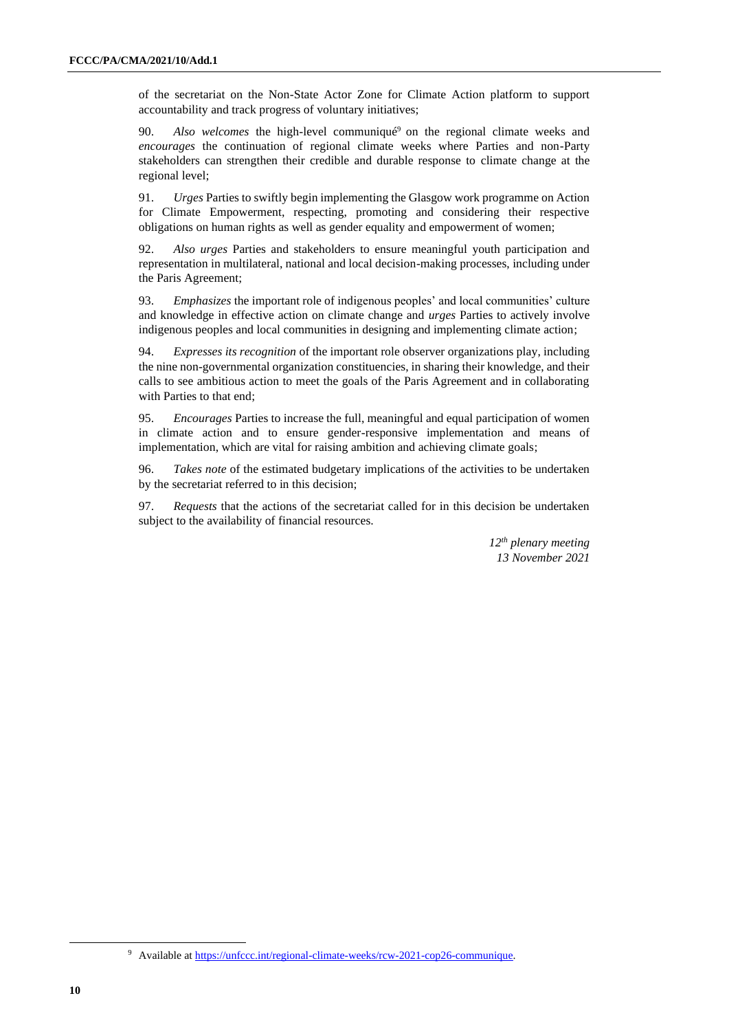of the secretariat on the Non-State Actor Zone for Climate Action platform to support accountability and track progress of voluntary initiatives;

90. *Also welcomes* the high-level communiqué<sup>9</sup> on the regional climate weeks and *encourages* the continuation of regional climate weeks where Parties and non-Party stakeholders can strengthen their credible and durable response to climate change at the regional level;

91. *Urges* Parties to swiftly begin implementing the Glasgow work programme on Action for Climate Empowerment, respecting, promoting and considering their respective obligations on human rights as well as gender equality and empowerment of women;

92. *Also urges* Parties and stakeholders to ensure meaningful youth participation and representation in multilateral, national and local decision-making processes, including under the Paris Agreement;

93. *Emphasizes* the important role of indigenous peoples' and local communities' culture and knowledge in effective action on climate change and *urges* Parties to actively involve indigenous peoples and local communities in designing and implementing climate action;

94. *Expresses its recognition* of the important role observer organizations play, including the nine non-governmental organization constituencies, in sharing their knowledge, and their calls to see ambitious action to meet the goals of the Paris Agreement and in collaborating with Parties to that end;

95. *Encourages* Parties to increase the full, meaningful and equal participation of women in climate action and to ensure gender-responsive implementation and means of implementation, which are vital for raising ambition and achieving climate goals;

96. *Takes note* of the estimated budgetary implications of the activities to be undertaken by the secretariat referred to in this decision;

97. *Requests* that the actions of the secretariat called for in this decision be undertaken subject to the availability of financial resources.

> *12th plenary meeting 13 November 2021*

<sup>9</sup> Available a[t https://unfccc.int/regional-climate-weeks/rcw-2021-cop26-communique.](https://unfccc.int/regional-climate-weeks/rcw-2021-cop26-communique)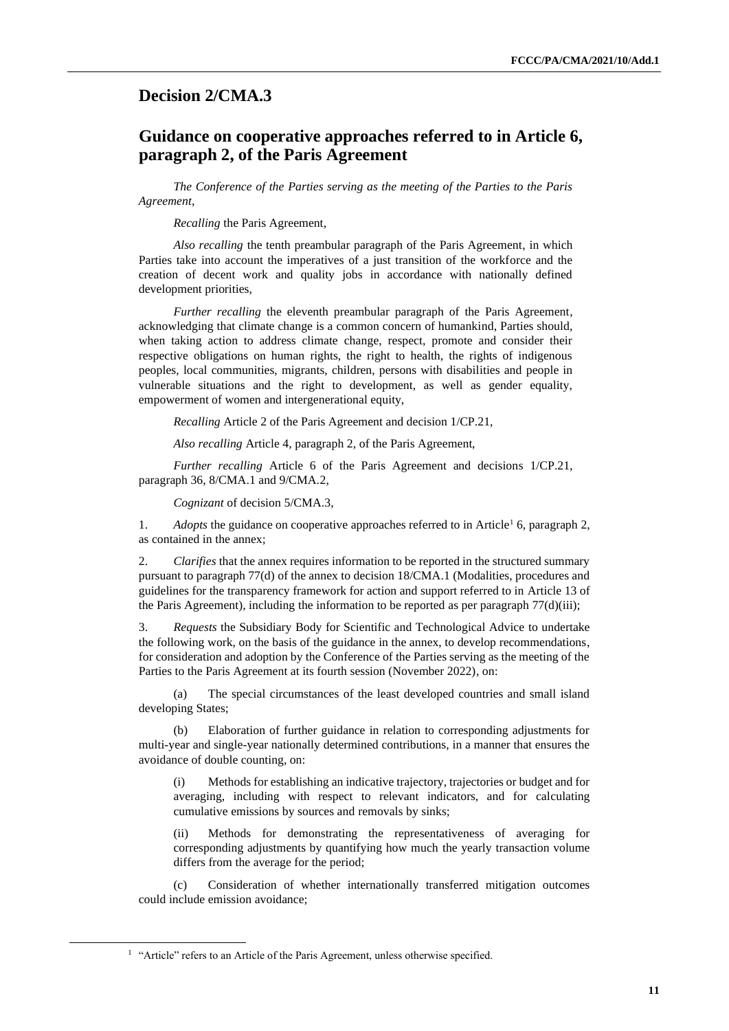## <span id="page-10-0"></span>**Decision 2/CMA.3**

## **Guidance on cooperative approaches referred to in Article 6, paragraph 2, of the Paris Agreement**

*The Conference of the Parties serving as the meeting of the Parties to the Paris Agreement*,

*Recalling* the Paris Agreement,

*Also recalling* the tenth preambular paragraph of the Paris Agreement, in which Parties take into account the imperatives of a just transition of the workforce and the creation of decent work and quality jobs in accordance with nationally defined development priorities,

*Further recalling* the eleventh preambular paragraph of the Paris Agreement, acknowledging that climate change is a common concern of humankind, Parties should, when taking action to address climate change, respect, promote and consider their respective obligations on human rights, the right to health, the rights of indigenous peoples, local communities, migrants, children, persons with disabilities and people in vulnerable situations and the right to development, as well as gender equality, empowerment of women and intergenerational equity,

*Recalling* Article 2 of the Paris Agreement and decision 1/CP.21,

*Also recalling* Article 4, paragraph 2, of the Paris Agreement,

*Further recalling* Article 6 of the Paris Agreement and decisions 1/CP.21, paragraph 36, 8/CMA.1 and 9/CMA.2,

*Cognizant* of decision 5/CMA.3,

1. *Adopts* the guidance on cooperative approaches referred to in Article<sup>1</sup> 6, paragraph 2, as contained in the annex;

2. *Clarifies* that the annex requires information to be reported in the structured summary pursuant to paragraph 77(d) of the annex to decision 18/CMA.1 (Modalities, procedures and guidelines for the transparency framework for action and support referred to in Article 13 of the Paris Agreement), including the information to be reported as per paragraph  $77(d)(iii)$ ;

3. *Requests* the Subsidiary Body for Scientific and Technological Advice to undertake the following work, on the basis of the guidance in the annex, to develop recommendations, for consideration and adoption by the Conference of the Parties serving as the meeting of the Parties to the Paris Agreement at its fourth session (November 2022), on:

(a) The special circumstances of the least developed countries and small island developing States;

(b) Elaboration of further guidance in relation to corresponding adjustments for multi-year and single-year nationally determined contributions, in a manner that ensures the avoidance of double counting, on:

(i) Methods for establishing an indicative trajectory, trajectories or budget and for averaging, including with respect to relevant indicators, and for calculating cumulative emissions by sources and removals by sinks;

(ii) Methods for demonstrating the representativeness of averaging for corresponding adjustments by quantifying how much the yearly transaction volume differs from the average for the period;

(c) Consideration of whether internationally transferred mitigation outcomes could include emission avoidance;

<sup>&</sup>lt;sup>1</sup> "Article" refers to an Article of the Paris Agreement, unless otherwise specified.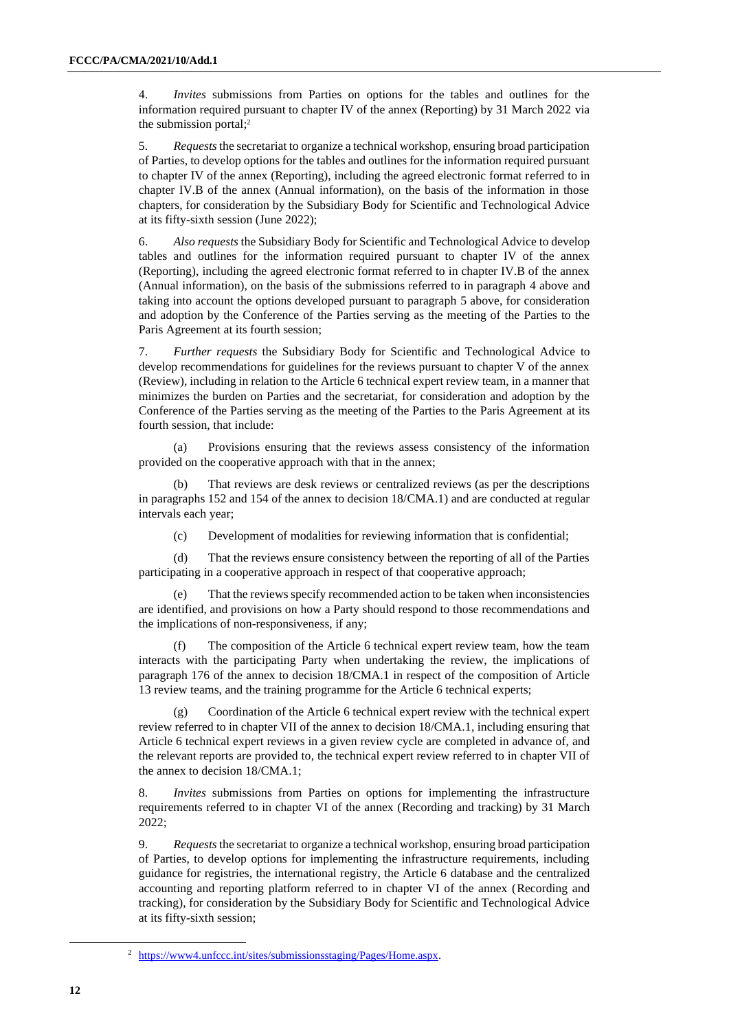4. *Invites* submissions from Parties on options for the tables and outlines for the information required pursuant to chapter IV of the annex (Reporting) by 31 March 2022 via the submission portal; 2

5. *Requests* the secretariat to organize a technical workshop, ensuring broad participation of Parties, to develop options for the tables and outlines for the information required pursuant to chapter IV of the annex (Reporting), including the agreed electronic format referred to in chapter IV.B of the annex (Annual information), on the basis of the information in those chapters, for consideration by the Subsidiary Body for Scientific and Technological Advice at its fifty-sixth session (June 2022);

6. *Also requests* the Subsidiary Body for Scientific and Technological Advice to develop tables and outlines for the information required pursuant to chapter IV of the annex (Reporting), including the agreed electronic format referred to in chapter IV.B of the annex (Annual information), on the basis of the submissions referred to in paragraph 4 above and taking into account the options developed pursuant to paragraph 5 above, for consideration and adoption by the Conference of the Parties serving as the meeting of the Parties to the Paris Agreement at its fourth session;

7. *Further requests* the Subsidiary Body for Scientific and Technological Advice to develop recommendations for guidelines for the reviews pursuant to chapter V of the annex (Review), including in relation to the Article 6 technical expert review team, in a manner that minimizes the burden on Parties and the secretariat, for consideration and adoption by the Conference of the Parties serving as the meeting of the Parties to the Paris Agreement at its fourth session, that include:

(a) Provisions ensuring that the reviews assess consistency of the information provided on the cooperative approach with that in the annex;

That reviews are desk reviews or centralized reviews (as per the descriptions in paragraphs 152 and 154 of the annex to decision 18/CMA.1) and are conducted at regular intervals each year;

(c) Development of modalities for reviewing information that is confidential;

(d) That the reviews ensure consistency between the reporting of all of the Parties participating in a cooperative approach in respect of that cooperative approach;

That the reviews specify recommended action to be taken when inconsistencies are identified, and provisions on how a Party should respond to those recommendations and the implications of non-responsiveness, if any;

The composition of the Article 6 technical expert review team, how the team interacts with the participating Party when undertaking the review, the implications of paragraph 176 of the annex to decision 18/CMA.1 in respect of the composition of Article 13 review teams, and the training programme for the Article 6 technical experts;

Coordination of the Article 6 technical expert review with the technical expert review referred to in chapter VII of the annex to decision 18/CMA.1, including ensuring that Article 6 technical expert reviews in a given review cycle are completed in advance of, and the relevant reports are provided to, the technical expert review referred to in chapter VII of the annex to decision 18/CMA.1;

8. *Invites* submissions from Parties on options for implementing the infrastructure requirements referred to in chapter VI of the annex (Recording and tracking) by 31 March 2022;

9. *Requests*the secretariat to organize a technical workshop, ensuring broad participation of Parties, to develop options for implementing the infrastructure requirements, including guidance for registries, the international registry, the Article 6 database and the centralized accounting and reporting platform referred to in chapter VI of the annex (Recording and tracking), for consideration by the Subsidiary Body for Scientific and Technological Advice at its fifty-sixth session;

<sup>2</sup> [https://www4.unfccc.int/sites/submissionsstaging/Pages/Home.aspx.](https://www4.unfccc.int/sites/submissionsstaging/Pages/Home.aspx)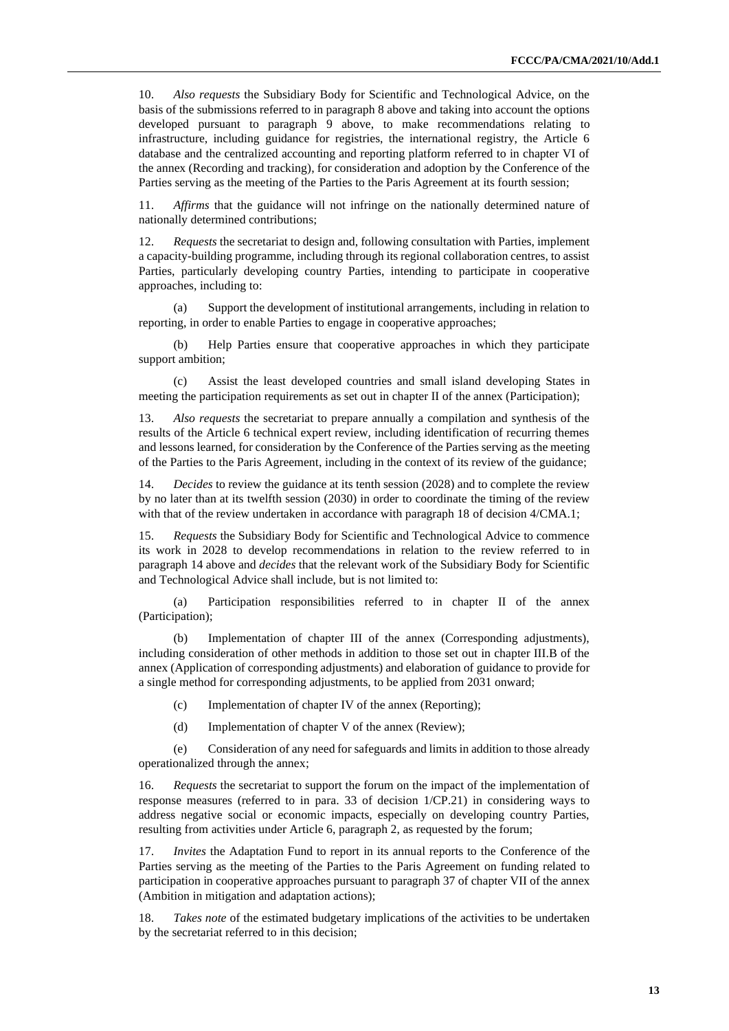10. *Also requests* the Subsidiary Body for Scientific and Technological Advice, on the basis of the submissions referred to in paragraph 8 above and taking into account the options developed pursuant to paragraph 9 above, to make recommendations relating to infrastructure, including guidance for registries, the international registry, the Article 6 database and the centralized accounting and reporting platform referred to in chapter VI of the annex (Recording and tracking), for consideration and adoption by the Conference of the Parties serving as the meeting of the Parties to the Paris Agreement at its fourth session;

11. *Affirms* that the guidance will not infringe on the nationally determined nature of nationally determined contributions;

12. *Requests* the secretariat to design and, following consultation with Parties, implement a capacity-building programme, including through its regional collaboration centres, to assist Parties, particularly developing country Parties, intending to participate in cooperative approaches, including to:

(a) Support the development of institutional arrangements, including in relation to reporting, in order to enable Parties to engage in cooperative approaches;

(b) Help Parties ensure that cooperative approaches in which they participate support ambition;

(c) Assist the least developed countries and small island developing States in meeting the participation requirements as set out in chapter II of the annex (Participation);

13. *Also requests* the secretariat to prepare annually a compilation and synthesis of the results of the Article 6 technical expert review, including identification of recurring themes and lessons learned, for consideration by the Conference of the Parties serving as the meeting of the Parties to the Paris Agreement, including in the context of its review of the guidance;

14. *Decides* to review the guidance at its tenth session (2028) and to complete the review by no later than at its twelfth session (2030) in order to coordinate the timing of the review with that of the review undertaken in accordance with paragraph 18 of decision 4/CMA.1;

15. *Requests* the Subsidiary Body for Scientific and Technological Advice to commence its work in 2028 to develop recommendations in relation to the review referred to in paragraph 14 above and *decides* that the relevant work of the Subsidiary Body for Scientific and Technological Advice shall include, but is not limited to:

(a) Participation responsibilities referred to in chapter II of the annex (Participation);

(b) Implementation of chapter III of the annex (Corresponding adjustments), including consideration of other methods in addition to those set out in chapter III.B of the annex (Application of corresponding adjustments) and elaboration of guidance to provide for a single method for corresponding adjustments, to be applied from 2031 onward;

- (c) Implementation of chapter IV of the annex (Reporting);
- (d) Implementation of chapter V of the annex (Review);

(e) Consideration of any need for safeguards and limits in addition to those already operationalized through the annex;

16. *Requests* the secretariat to support the forum on the impact of the implementation of response measures (referred to in para. 33 of decision 1/CP.21) in considering ways to address negative social or economic impacts, especially on developing country Parties, resulting from activities under Article 6, paragraph 2, as requested by the forum;

17. *Invites* the Adaptation Fund to report in its annual reports to the Conference of the Parties serving as the meeting of the Parties to the Paris Agreement on funding related to participation in cooperative approaches pursuant to paragraph 37 of chapter VII of the annex (Ambition in mitigation and adaptation actions);

18. *Takes note* of the estimated budgetary implications of the activities to be undertaken by the secretariat referred to in this decision;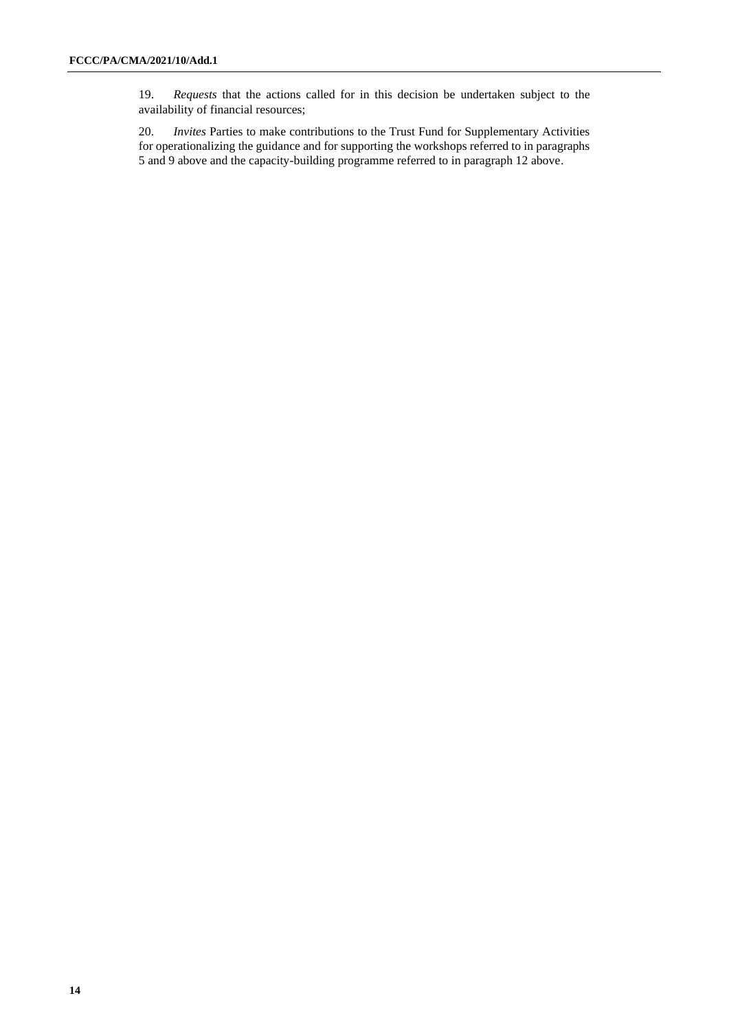19. *Requests* that the actions called for in this decision be undertaken subject to the availability of financial resources;

20. *Invites* Parties to make contributions to the Trust Fund for Supplementary Activities for operationalizing the guidance and for supporting the workshops referred to in paragraphs 5 and 9 above and the capacity-building programme referred to in paragraph 12 above.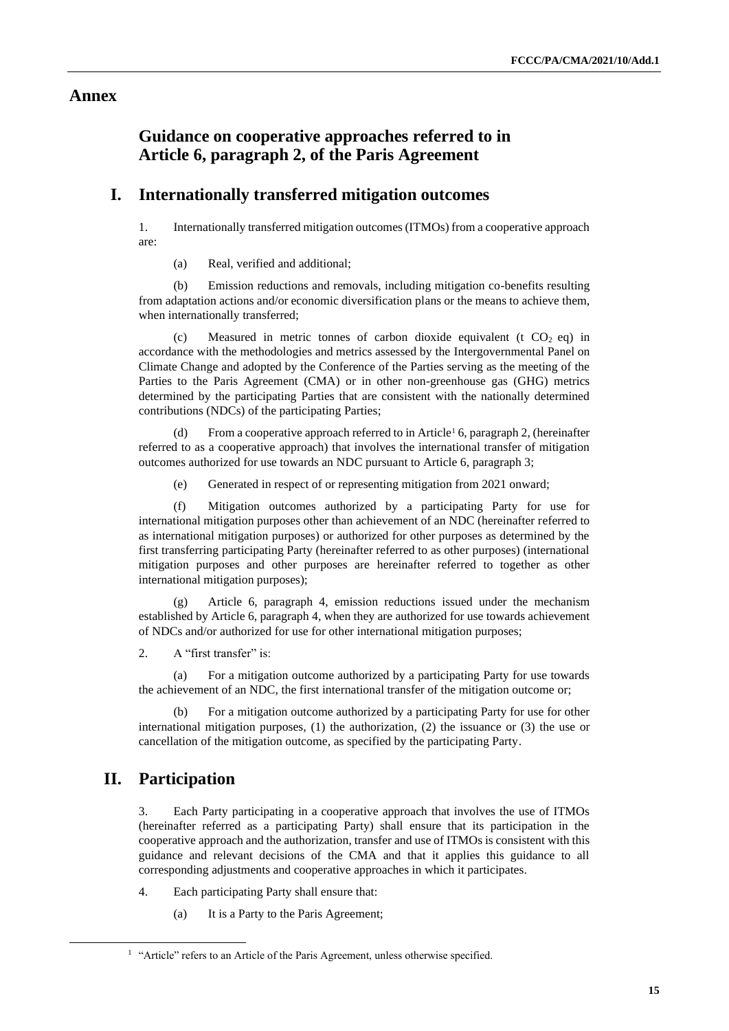## **Annex**

## **Guidance on cooperative approaches referred to in Article 6, paragraph 2, of the Paris Agreement**

## **I. Internationally transferred mitigation outcomes**

1. Internationally transferred mitigation outcomes (ITMOs) from a cooperative approach are:

(a) Real, verified and additional;

(b) Emission reductions and removals, including mitigation co-benefits resulting from adaptation actions and/or economic diversification plans or the means to achieve them, when internationally transferred;

(c) Measured in metric tonnes of carbon dioxide equivalent (t  $CO<sub>2</sub>$  eq) in accordance with the methodologies and metrics assessed by the Intergovernmental Panel on Climate Change and adopted by the Conference of the Parties serving as the meeting of the Parties to the Paris Agreement (CMA) or in other non-greenhouse gas (GHG) metrics determined by the participating Parties that are consistent with the nationally determined contributions (NDCs) of the participating Parties;

From a cooperative approach referred to in Article<sup>1</sup> 6, paragraph 2, (hereinafter referred to as a cooperative approach) that involves the international transfer of mitigation outcomes authorized for use towards an NDC pursuant to Article 6, paragraph 3;

(e) Generated in respect of or representing mitigation from 2021 onward;

(f) Mitigation outcomes authorized by a participating Party for use for international mitigation purposes other than achievement of an NDC (hereinafter referred to as international mitigation purposes) or authorized for other purposes as determined by the first transferring participating Party (hereinafter referred to as other purposes) (international mitigation purposes and other purposes are hereinafter referred to together as other international mitigation purposes);

Article 6, paragraph 4, emission reductions issued under the mechanism established by Article 6, paragraph 4, when they are authorized for use towards achievement of NDCs and/or authorized for use for other international mitigation purposes;

2. A "first transfer" is:

(a) For a mitigation outcome authorized by a participating Party for use towards the achievement of an NDC, the first international transfer of the mitigation outcome or;

(b) For a mitigation outcome authorized by a participating Party for use for other international mitigation purposes, (1) the authorization, (2) the issuance or (3) the use or cancellation of the mitigation outcome, as specified by the participating Party.

## **II. Participation**

3. Each Party participating in a cooperative approach that involves the use of ITMOs (hereinafter referred as a participating Party) shall ensure that its participation in the cooperative approach and the authorization, transfer and use of ITMOs is consistent with this guidance and relevant decisions of the CMA and that it applies this guidance to all corresponding adjustments and cooperative approaches in which it participates.

- 4. Each participating Party shall ensure that:
	- (a) It is a Party to the Paris Agreement;

<sup>&</sup>lt;sup>1</sup> "Article" refers to an Article of the Paris Agreement, unless otherwise specified.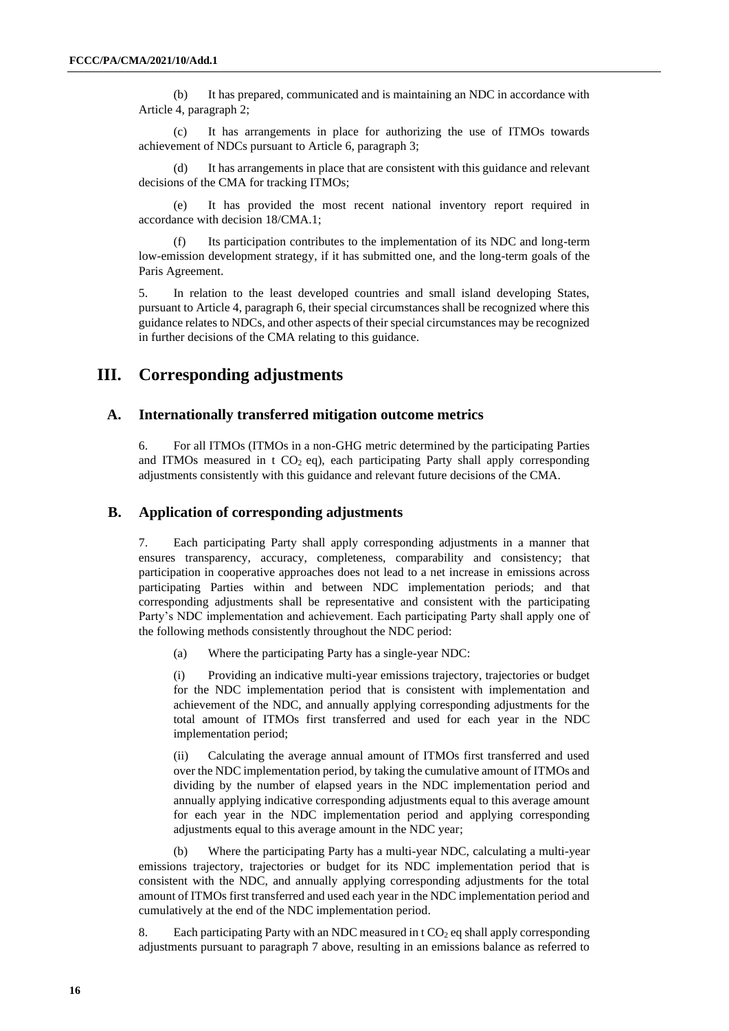(b) It has prepared, communicated and is maintaining an NDC in accordance with Article 4, paragraph 2;

(c) It has arrangements in place for authorizing the use of ITMOs towards achievement of NDCs pursuant to Article 6, paragraph 3;

(d) It has arrangements in place that are consistent with this guidance and relevant decisions of the CMA for tracking ITMOs;

(e) It has provided the most recent national inventory report required in accordance with decision 18/CMA.1;

Its participation contributes to the implementation of its NDC and long-term low-emission development strategy, if it has submitted one, and the long-term goals of the Paris Agreement.

5. In relation to the least developed countries and small island developing States, pursuant to Article 4, paragraph 6, their special circumstances shall be recognized where this guidance relates to NDCs, and other aspects of their special circumstances may be recognized in further decisions of the CMA relating to this guidance.

#### **III. Corresponding adjustments**

#### **A. Internationally transferred mitigation outcome metrics**

6. For all ITMOs (ITMOs in a non-GHG metric determined by the participating Parties and ITMOs measured in  $t CO<sub>2</sub> eq$ , each participating Party shall apply corresponding adjustments consistently with this guidance and relevant future decisions of the CMA.

#### **B. Application of corresponding adjustments**

7. Each participating Party shall apply corresponding adjustments in a manner that ensures transparency, accuracy, completeness, comparability and consistency; that participation in cooperative approaches does not lead to a net increase in emissions across participating Parties within and between NDC implementation periods; and that corresponding adjustments shall be representative and consistent with the participating Party's NDC implementation and achievement. Each participating Party shall apply one of the following methods consistently throughout the NDC period:

(a) Where the participating Party has a single-year NDC:

(i) Providing an indicative multi-year emissions trajectory, trajectories or budget for the NDC implementation period that is consistent with implementation and achievement of the NDC, and annually applying corresponding adjustments for the total amount of ITMOs first transferred and used for each year in the NDC implementation period;

(ii) Calculating the average annual amount of ITMOs first transferred and used over the NDC implementation period, by taking the cumulative amount of ITMOs and dividing by the number of elapsed years in the NDC implementation period and annually applying indicative corresponding adjustments equal to this average amount for each year in the NDC implementation period and applying corresponding adjustments equal to this average amount in the NDC year;

Where the participating Party has a multi-year NDC, calculating a multi-year emissions trajectory, trajectories or budget for its NDC implementation period that is consistent with the NDC, and annually applying corresponding adjustments for the total amount of ITMOs first transferred and used each year in the NDC implementation period and cumulatively at the end of the NDC implementation period.

8. Each participating Party with an NDC measured in  $t CO<sub>2</sub>$  eq shall apply corresponding adjustments pursuant to paragraph 7 above, resulting in an emissions balance as referred to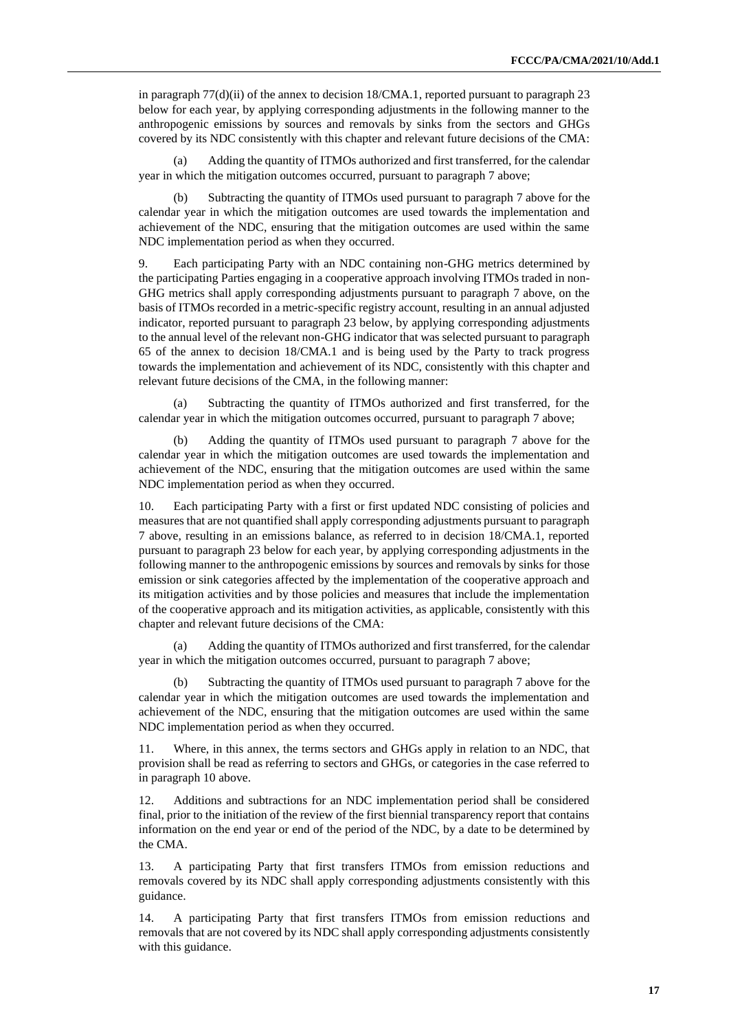in paragraph 77(d)(ii) of the annex to decision 18/CMA.1, reported pursuant to paragraph 23 below for each year, by applying corresponding adjustments in the following manner to the anthropogenic emissions by sources and removals by sinks from the sectors and GHGs covered by its NDC consistently with this chapter and relevant future decisions of the CMA:

Adding the quantity of ITMOs authorized and first transferred, for the calendar year in which the mitigation outcomes occurred, pursuant to paragraph 7 above;

(b) Subtracting the quantity of ITMOs used pursuant to paragraph 7 above for the calendar year in which the mitigation outcomes are used towards the implementation and achievement of the NDC, ensuring that the mitigation outcomes are used within the same NDC implementation period as when they occurred.

9. Each participating Party with an NDC containing non-GHG metrics determined by the participating Parties engaging in a cooperative approach involving ITMOs traded in non-GHG metrics shall apply corresponding adjustments pursuant to paragraph 7 above, on the basis of ITMOs recorded in a metric-specific registry account, resulting in an annual adjusted indicator, reported pursuant to paragraph 23 below, by applying corresponding adjustments to the annual level of the relevant non-GHG indicator that was selected pursuant to paragraph 65 of the annex to decision 18/CMA.1 and is being used by the Party to track progress towards the implementation and achievement of its NDC, consistently with this chapter and relevant future decisions of the CMA, in the following manner:

(a) Subtracting the quantity of ITMOs authorized and first transferred, for the calendar year in which the mitigation outcomes occurred, pursuant to paragraph 7 above;

(b) Adding the quantity of ITMOs used pursuant to paragraph 7 above for the calendar year in which the mitigation outcomes are used towards the implementation and achievement of the NDC, ensuring that the mitigation outcomes are used within the same NDC implementation period as when they occurred.

10. Each participating Party with a first or first updated NDC consisting of policies and measures that are not quantified shall apply corresponding adjustments pursuant to paragraph 7 above, resulting in an emissions balance, as referred to in decision 18/CMA.1, reported pursuant to paragraph 23 below for each year, by applying corresponding adjustments in the following manner to the anthropogenic emissions by sources and removals by sinks for those emission or sink categories affected by the implementation of the cooperative approach and its mitigation activities and by those policies and measures that include the implementation of the cooperative approach and its mitigation activities, as applicable, consistently with this chapter and relevant future decisions of the CMA:

(a) Adding the quantity of ITMOs authorized and first transferred, for the calendar year in which the mitigation outcomes occurred, pursuant to paragraph 7 above;

Subtracting the quantity of ITMOs used pursuant to paragraph 7 above for the calendar year in which the mitigation outcomes are used towards the implementation and achievement of the NDC, ensuring that the mitigation outcomes are used within the same NDC implementation period as when they occurred.

11. Where, in this annex, the terms sectors and GHGs apply in relation to an NDC, that provision shall be read as referring to sectors and GHGs, or categories in the case referred to in paragraph 10 above.

12. Additions and subtractions for an NDC implementation period shall be considered final, prior to the initiation of the review of the first biennial transparency report that contains information on the end year or end of the period of the NDC, by a date to be determined by the CMA.

13. A participating Party that first transfers ITMOs from emission reductions and removals covered by its NDC shall apply corresponding adjustments consistently with this guidance.

14. A participating Party that first transfers ITMOs from emission reductions and removals that are not covered by its NDC shall apply corresponding adjustments consistently with this guidance.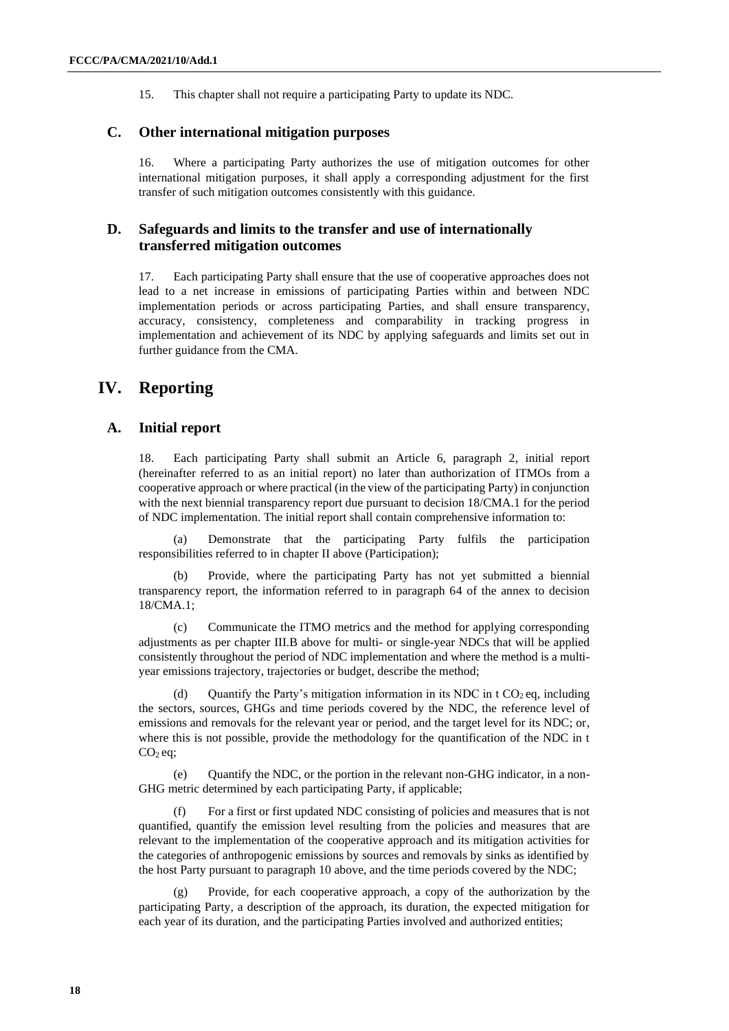15. This chapter shall not require a participating Party to update its NDC.

#### **C. Other international mitigation purposes**

16. Where a participating Party authorizes the use of mitigation outcomes for other international mitigation purposes, it shall apply a corresponding adjustment for the first transfer of such mitigation outcomes consistently with this guidance.

#### **D. Safeguards and limits to the transfer and use of internationally transferred mitigation outcomes**

17. Each participating Party shall ensure that the use of cooperative approaches does not lead to a net increase in emissions of participating Parties within and between NDC implementation periods or across participating Parties, and shall ensure transparency, accuracy, consistency, completeness and comparability in tracking progress in implementation and achievement of its NDC by applying safeguards and limits set out in further guidance from the CMA.

#### **IV. Reporting**

#### **A. Initial report**

18. Each participating Party shall submit an Article 6, paragraph 2, initial report (hereinafter referred to as an initial report) no later than authorization of ITMOs from a cooperative approach or where practical (in the view of the participating Party) in conjunction with the next biennial transparency report due pursuant to decision 18/CMA.1 for the period of NDC implementation. The initial report shall contain comprehensive information to:

(a) Demonstrate that the participating Party fulfils the participation responsibilities referred to in chapter II above (Participation);

(b) Provide, where the participating Party has not yet submitted a biennial transparency report, the information referred to in paragraph 64 of the annex to decision 18/CMA.1;

(c) Communicate the ITMO metrics and the method for applying corresponding adjustments as per chapter III.B above for multi- or single-year NDCs that will be applied consistently throughout the period of NDC implementation and where the method is a multiyear emissions trajectory, trajectories or budget, describe the method;

(d) Ouantify the Party's mitigation information in its NDC in t  $CO<sub>2</sub>$  eq, including the sectors, sources, GHGs and time periods covered by the NDC, the reference level of emissions and removals for the relevant year or period, and the target level for its NDC; or, where this is not possible, provide the methodology for the quantification of the NDC in t  $CO<sub>2</sub>$ eq;

(e) Quantify the NDC, or the portion in the relevant non-GHG indicator, in a non-GHG metric determined by each participating Party, if applicable;

(f) For a first or first updated NDC consisting of policies and measures that is not quantified, quantify the emission level resulting from the policies and measures that are relevant to the implementation of the cooperative approach and its mitigation activities for the categories of anthropogenic emissions by sources and removals by sinks as identified by the host Party pursuant to paragraph 10 above, and the time periods covered by the NDC;

Provide, for each cooperative approach, a copy of the authorization by the participating Party, a description of the approach, its duration, the expected mitigation for each year of its duration, and the participating Parties involved and authorized entities;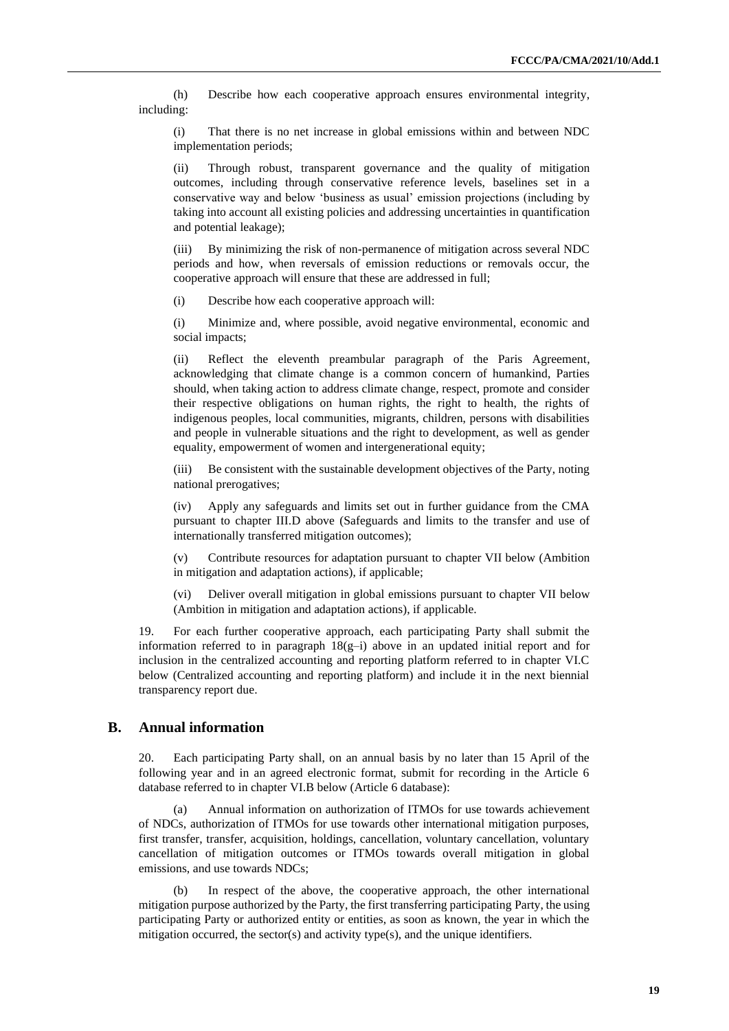(h) Describe how each cooperative approach ensures environmental integrity, including:

(i) That there is no net increase in global emissions within and between NDC implementation periods;

(ii) Through robust, transparent governance and the quality of mitigation outcomes, including through conservative reference levels, baselines set in a conservative way and below 'business as usual' emission projections (including by taking into account all existing policies and addressing uncertainties in quantification and potential leakage);

(iii) By minimizing the risk of non-permanence of mitigation across several NDC periods and how, when reversals of emission reductions or removals occur, the cooperative approach will ensure that these are addressed in full;

(i) Describe how each cooperative approach will:

(i) Minimize and, where possible, avoid negative environmental, economic and social impacts;

(ii) Reflect the eleventh preambular paragraph of the Paris Agreement, acknowledging that climate change is a common concern of humankind, Parties should, when taking action to address climate change, respect, promote and consider their respective obligations on human rights, the right to health, the rights of indigenous peoples, local communities, migrants, children, persons with disabilities and people in vulnerable situations and the right to development, as well as gender equality, empowerment of women and intergenerational equity;

(iii) Be consistent with the sustainable development objectives of the Party, noting national prerogatives;

(iv) Apply any safeguards and limits set out in further guidance from the CMA pursuant to chapter III.D above (Safeguards and limits to the transfer and use of internationally transferred mitigation outcomes);

(v) Contribute resources for adaptation pursuant to chapter VII below (Ambition in mitigation and adaptation actions), if applicable;

(vi) Deliver overall mitigation in global emissions pursuant to chapter VII below (Ambition in mitigation and adaptation actions), if applicable.

19. For each further cooperative approach, each participating Party shall submit the information referred to in paragraph  $18(g-i)$  above in an updated initial report and for inclusion in the centralized accounting and reporting platform referred to in chapter VI.C below (Centralized accounting and reporting platform) and include it in the next biennial transparency report due.

#### **B. Annual information**

20. Each participating Party shall, on an annual basis by no later than 15 April of the following year and in an agreed electronic format, submit for recording in the Article 6 database referred to in chapter VI.B below (Article 6 database):

(a) Annual information on authorization of ITMOs for use towards achievement of NDCs, authorization of ITMOs for use towards other international mitigation purposes, first transfer, transfer, acquisition, holdings, cancellation, voluntary cancellation, voluntary cancellation of mitigation outcomes or ITMOs towards overall mitigation in global emissions, and use towards NDCs;

In respect of the above, the cooperative approach, the other international mitigation purpose authorized by the Party, the first transferring participating Party, the using participating Party or authorized entity or entities, as soon as known, the year in which the mitigation occurred, the sector(s) and activity type(s), and the unique identifiers.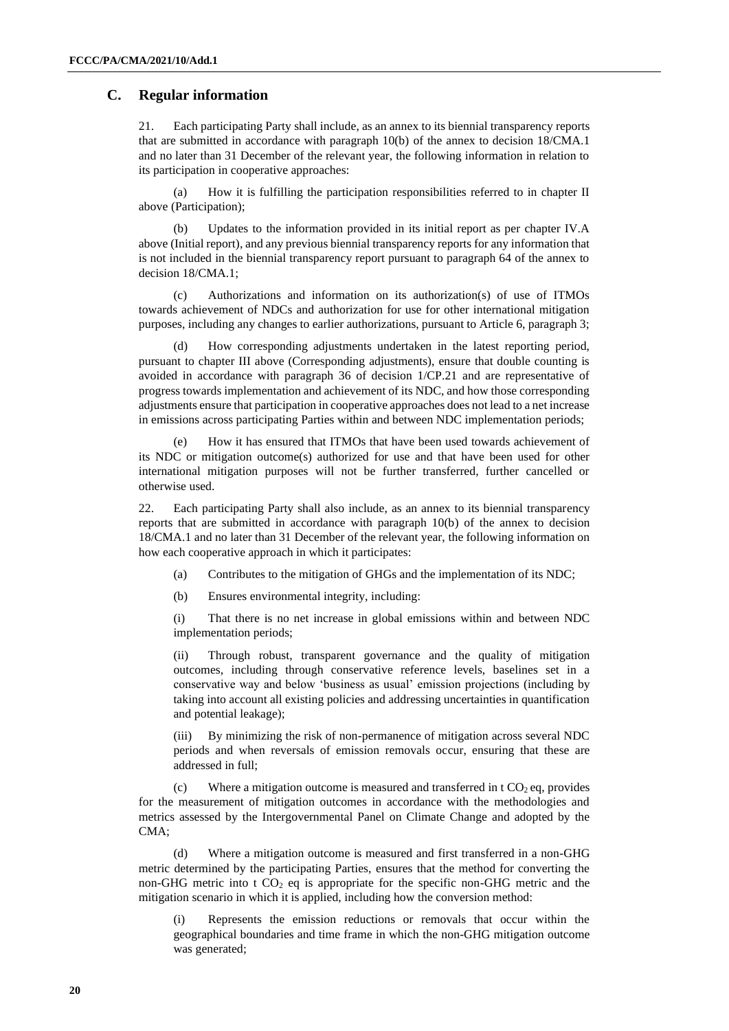#### **C. Regular information**

21. Each participating Party shall include, as an annex to its biennial transparency reports that are submitted in accordance with paragraph 10(b) of the annex to decision 18/CMA.1 and no later than 31 December of the relevant year, the following information in relation to its participation in cooperative approaches:

(a) How it is fulfilling the participation responsibilities referred to in chapter II above (Participation);

(b) Updates to the information provided in its initial report as per chapter IV.A above (Initial report), and any previous biennial transparency reports for any information that is not included in the biennial transparency report pursuant to paragraph 64 of the annex to decision 18/CMA.1;

(c) Authorizations and information on its authorization(s) of use of ITMOs towards achievement of NDCs and authorization for use for other international mitigation purposes, including any changes to earlier authorizations, pursuant to Article 6, paragraph 3;

How corresponding adjustments undertaken in the latest reporting period, pursuant to chapter III above (Corresponding adjustments), ensure that double counting is avoided in accordance with paragraph 36 of decision 1/CP.21 and are representative of progress towards implementation and achievement of its NDC, and how those corresponding adjustments ensure that participation in cooperative approaches does not lead to a net increase in emissions across participating Parties within and between NDC implementation periods;

(e) How it has ensured that ITMOs that have been used towards achievement of its NDC or mitigation outcome(s) authorized for use and that have been used for other international mitigation purposes will not be further transferred, further cancelled or otherwise used.

22. Each participating Party shall also include, as an annex to its biennial transparency reports that are submitted in accordance with paragraph 10(b) of the annex to decision 18/CMA.1 and no later than 31 December of the relevant year, the following information on how each cooperative approach in which it participates:

- (a) Contributes to the mitigation of GHGs and the implementation of its NDC;
- (b) Ensures environmental integrity, including:

(i) That there is no net increase in global emissions within and between NDC implementation periods;

(ii) Through robust, transparent governance and the quality of mitigation outcomes, including through conservative reference levels, baselines set in a conservative way and below 'business as usual' emission projections (including by taking into account all existing policies and addressing uncertainties in quantification and potential leakage);

(iii) By minimizing the risk of non-permanence of mitigation across several NDC periods and when reversals of emission removals occur, ensuring that these are addressed in full;

(c) Where a mitigation outcome is measured and transferred in t  $CO<sub>2</sub>$  eq, provides for the measurement of mitigation outcomes in accordance with the methodologies and metrics assessed by the Intergovernmental Panel on Climate Change and adopted by the CMA;

(d) Where a mitigation outcome is measured and first transferred in a non-GHG metric determined by the participating Parties, ensures that the method for converting the non-GHG metric into t  $CO<sub>2</sub>$  eq is appropriate for the specific non-GHG metric and the mitigation scenario in which it is applied, including how the conversion method:

(i) Represents the emission reductions or removals that occur within the geographical boundaries and time frame in which the non-GHG mitigation outcome was generated;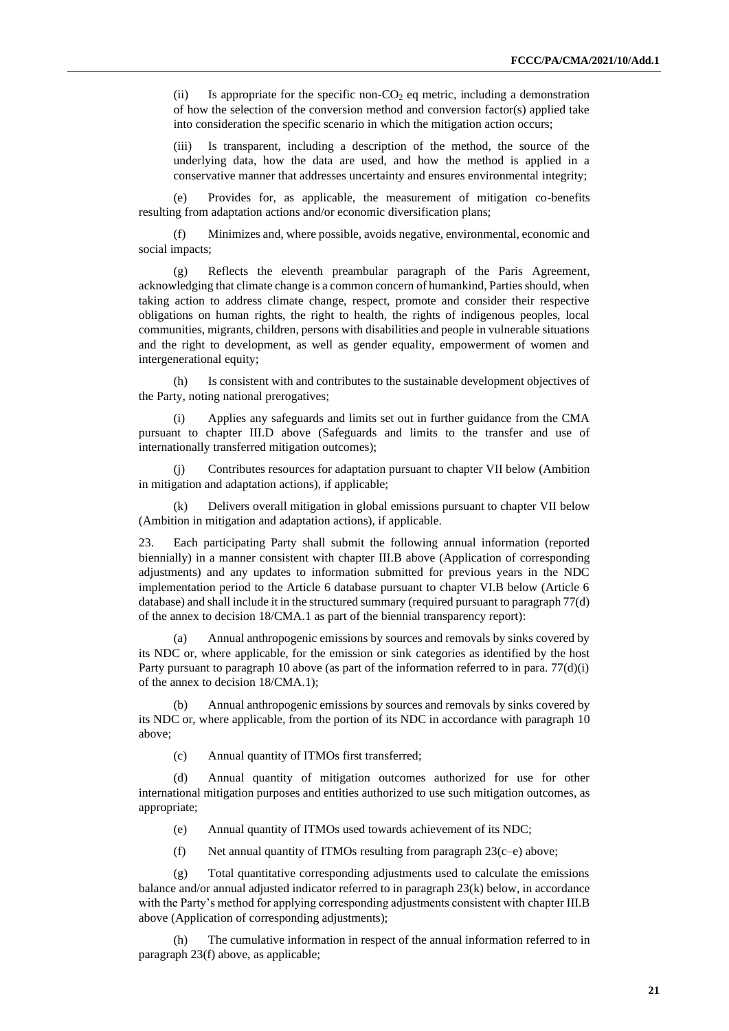(ii) Is appropriate for the specific non- $CO<sub>2</sub>$  eq metric, including a demonstration of how the selection of the conversion method and conversion factor(s) applied take into consideration the specific scenario in which the mitigation action occurs;

(iii) Is transparent, including a description of the method, the source of the underlying data, how the data are used, and how the method is applied in a conservative manner that addresses uncertainty and ensures environmental integrity;

(e) Provides for, as applicable, the measurement of mitigation co-benefits resulting from adaptation actions and/or economic diversification plans;

(f) Minimizes and, where possible, avoids negative, environmental, economic and social impacts;

(g) Reflects the eleventh preambular paragraph of the Paris Agreement, acknowledging that climate change is a common concern of humankind, Parties should, when taking action to address climate change, respect, promote and consider their respective obligations on human rights, the right to health, the rights of indigenous peoples, local communities, migrants, children, persons with disabilities and people in vulnerable situations and the right to development, as well as gender equality, empowerment of women and intergenerational equity;

(h) Is consistent with and contributes to the sustainable development objectives of the Party, noting national prerogatives;

(i) Applies any safeguards and limits set out in further guidance from the CMA pursuant to chapter III.D above (Safeguards and limits to the transfer and use of internationally transferred mitigation outcomes);

(j) Contributes resources for adaptation pursuant to chapter VII below (Ambition in mitigation and adaptation actions), if applicable;

(k) Delivers overall mitigation in global emissions pursuant to chapter VII below (Ambition in mitigation and adaptation actions), if applicable.

23. Each participating Party shall submit the following annual information (reported biennially) in a manner consistent with chapter III.B above (Application of corresponding adjustments) and any updates to information submitted for previous years in the NDC implementation period to the Article 6 database pursuant to chapter VI.B below (Article 6 database) and shall include it in the structured summary (required pursuant to paragraph 77(d) of the annex to decision 18/CMA.1 as part of the biennial transparency report):

(a) Annual anthropogenic emissions by sources and removals by sinks covered by its NDC or, where applicable, for the emission or sink categories as identified by the host Party pursuant to paragraph 10 above (as part of the information referred to in para. 77(d)(i) of the annex to decision 18/CMA.1);

(b) Annual anthropogenic emissions by sources and removals by sinks covered by its NDC or, where applicable, from the portion of its NDC in accordance with paragraph 10 above;

(c) Annual quantity of ITMOs first transferred;

(d) Annual quantity of mitigation outcomes authorized for use for other international mitigation purposes and entities authorized to use such mitigation outcomes, as appropriate;

- (e) Annual quantity of ITMOs used towards achievement of its NDC;
- (f) Net annual quantity of ITMOs resulting from paragraph  $23(c-e)$  above;

(g) Total quantitative corresponding adjustments used to calculate the emissions balance and/or annual adjusted indicator referred to in paragraph 23(k) below, in accordance with the Party's method for applying corresponding adjustments consistent with chapter III.B above (Application of corresponding adjustments);

(h) The cumulative information in respect of the annual information referred to in paragraph 23(f) above, as applicable;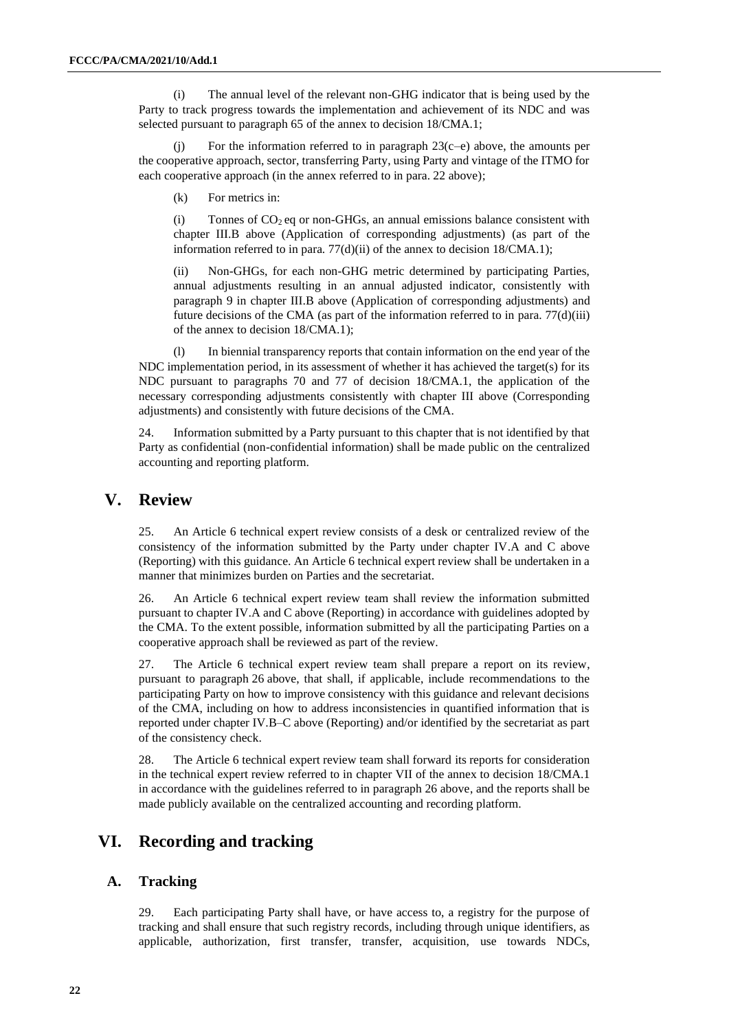(i) The annual level of the relevant non-GHG indicator that is being used by the Party to track progress towards the implementation and achievement of its NDC and was selected pursuant to paragraph 65 of the annex to decision 18/CMA.1;

(j) For the information referred to in paragraph  $23(c-e)$  above, the amounts per the cooperative approach, sector, transferring Party, using Party and vintage of the ITMO for each cooperative approach (in the annex referred to in para. 22 above);

(k) For metrics in:

(i) Tonnes of  $CO<sub>2</sub>$  eq or non-GHGs, an annual emissions balance consistent with chapter III.B above (Application of corresponding adjustments) (as part of the information referred to in para. 77(d)(ii) of the annex to decision 18/CMA.1);

Non-GHGs, for each non-GHG metric determined by participating Parties, annual adjustments resulting in an annual adjusted indicator, consistently with paragraph 9 in chapter III.B above (Application of corresponding adjustments) and future decisions of the CMA (as part of the information referred to in para.  $77(d)(iii)$ ) of the annex to decision 18/CMA.1);

(l) In biennial transparency reports that contain information on the end year of the NDC implementation period, in its assessment of whether it has achieved the target(s) for its NDC pursuant to paragraphs 70 and 77 of decision 18/CMA.1, the application of the necessary corresponding adjustments consistently with chapter III above (Corresponding adjustments) and consistently with future decisions of the CMA.

24. Information submitted by a Party pursuant to this chapter that is not identified by that Party as confidential (non-confidential information) shall be made public on the centralized accounting and reporting platform.

## **V. Review**

25. An Article 6 technical expert review consists of a desk or centralized review of the consistency of the information submitted by the Party under chapter IV.A and C above (Reporting) with this guidance. An Article 6 technical expert review shall be undertaken in a manner that minimizes burden on Parties and the secretariat.

26. An Article 6 technical expert review team shall review the information submitted pursuant to chapter IV.A and C above (Reporting) in accordance with guidelines adopted by the CMA. To the extent possible, information submitted by all the participating Parties on a cooperative approach shall be reviewed as part of the review.

27. The Article 6 technical expert review team shall prepare a report on its review, pursuant to paragraph 26 above, that shall, if applicable, include recommendations to the participating Party on how to improve consistency with this guidance and relevant decisions of the CMA, including on how to address inconsistencies in quantified information that is reported under chapter IV.B–C above (Reporting) and/or identified by the secretariat as part of the consistency check.

28. The Article 6 technical expert review team shall forward its reports for consideration in the technical expert review referred to in chapter VII of the annex to decision 18/CMA.1 in accordance with the guidelines referred to in paragraph 26 above, and the reports shall be made publicly available on the centralized accounting and recording platform.

## **VI. Recording and tracking**

#### **A. Tracking**

29. Each participating Party shall have, or have access to, a registry for the purpose of tracking and shall ensure that such registry records, including through unique identifiers, as applicable, authorization, first transfer, transfer, acquisition, use towards NDCs,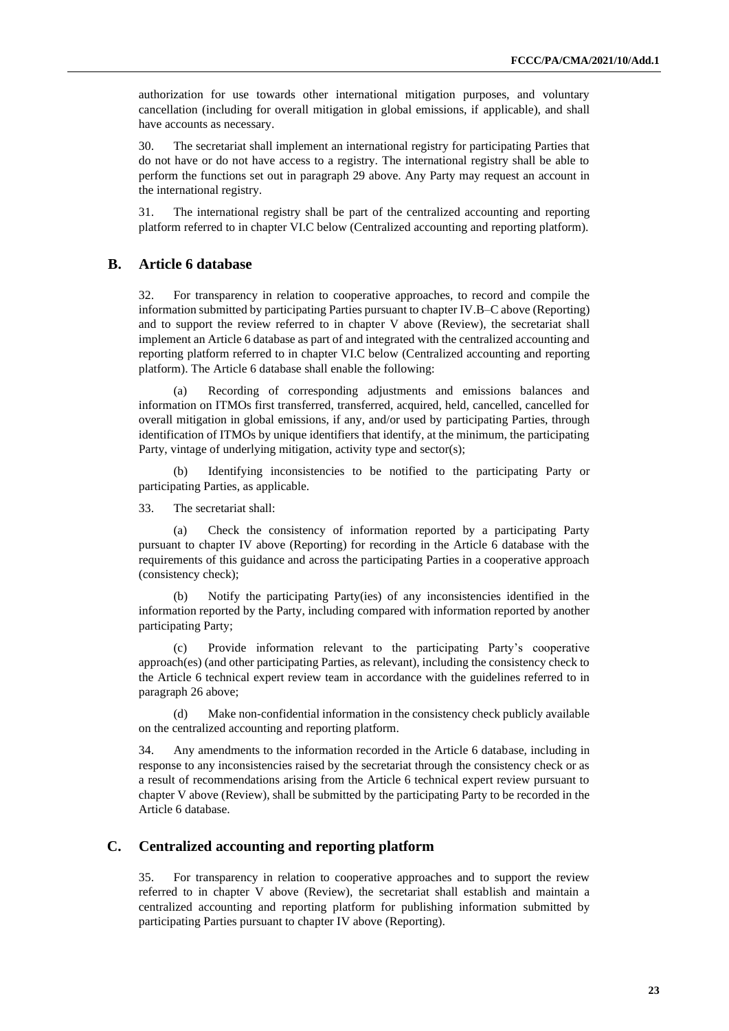authorization for use towards other international mitigation purposes, and voluntary cancellation (including for overall mitigation in global emissions, if applicable), and shall have accounts as necessary.

30. The secretariat shall implement an international registry for participating Parties that do not have or do not have access to a registry. The international registry shall be able to perform the functions set out in paragraph 29 above. Any Party may request an account in the international registry.

31. The international registry shall be part of the centralized accounting and reporting platform referred to in chapter VI.C below (Centralized accounting and reporting platform).

#### **B. Article 6 database**

32. For transparency in relation to cooperative approaches, to record and compile the information submitted by participating Parties pursuant to chapter IV.B–C above (Reporting) and to support the review referred to in chapter V above (Review), the secretariat shall implement an Article 6 database as part of and integrated with the centralized accounting and reporting platform referred to in chapter VI.C below (Centralized accounting and reporting platform). The Article 6 database shall enable the following:

(a) Recording of corresponding adjustments and emissions balances and information on ITMOs first transferred, transferred, acquired, held, cancelled, cancelled for overall mitigation in global emissions, if any, and/or used by participating Parties, through identification of ITMOs by unique identifiers that identify, at the minimum, the participating Party, vintage of underlying mitigation, activity type and sector(s);

(b) Identifying inconsistencies to be notified to the participating Party or participating Parties, as applicable.

33. The secretariat shall:

(a) Check the consistency of information reported by a participating Party pursuant to chapter IV above (Reporting) for recording in the Article 6 database with the requirements of this guidance and across the participating Parties in a cooperative approach (consistency check);

(b) Notify the participating Party(ies) of any inconsistencies identified in the information reported by the Party, including compared with information reported by another participating Party;

(c) Provide information relevant to the participating Party's cooperative approach(es) (and other participating Parties, as relevant), including the consistency check to the Article 6 technical expert review team in accordance with the guidelines referred to in paragraph 26 above;

Make non-confidential information in the consistency check publicly available on the centralized accounting and reporting platform.

34. Any amendments to the information recorded in the Article 6 database, including in response to any inconsistencies raised by the secretariat through the consistency check or as a result of recommendations arising from the Article 6 technical expert review pursuant to chapter V above (Review), shall be submitted by the participating Party to be recorded in the Article 6 database.

#### **C. Centralized accounting and reporting platform**

35. For transparency in relation to cooperative approaches and to support the review referred to in chapter V above (Review), the secretariat shall establish and maintain a centralized accounting and reporting platform for publishing information submitted by participating Parties pursuant to chapter IV above (Reporting).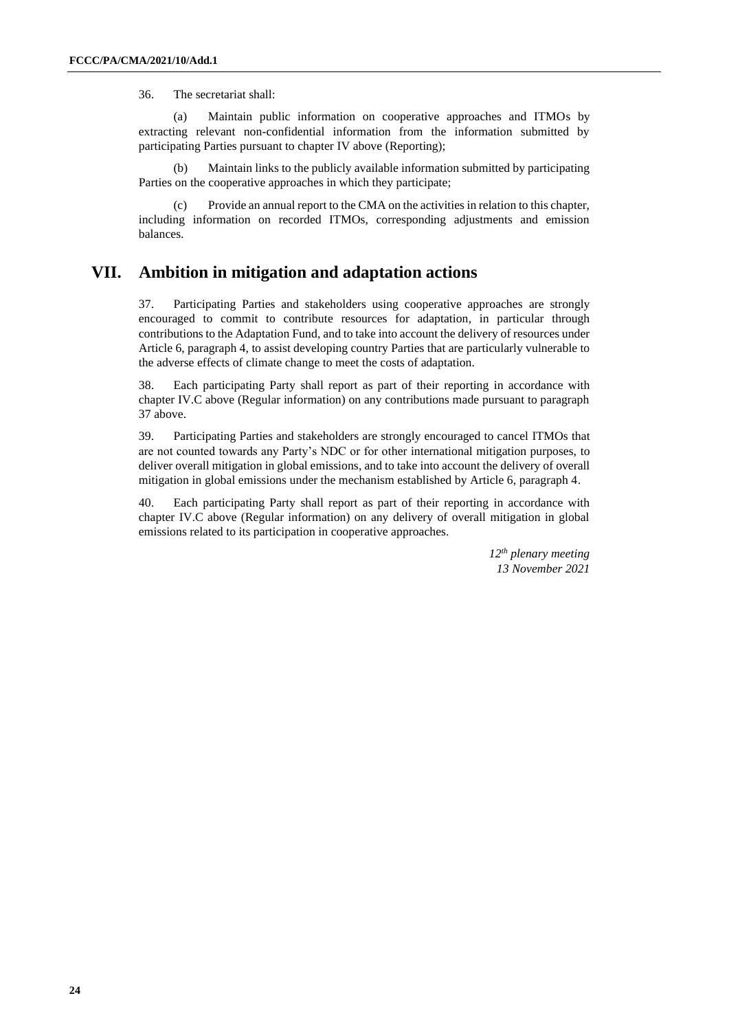36. The secretariat shall:

(a) Maintain public information on cooperative approaches and ITMOs by extracting relevant non-confidential information from the information submitted by participating Parties pursuant to chapter IV above (Reporting);

(b) Maintain links to the publicly available information submitted by participating Parties on the cooperative approaches in which they participate;

Provide an annual report to the CMA on the activities in relation to this chapter, including information on recorded ITMOs, corresponding adjustments and emission balances.

#### **VII. Ambition in mitigation and adaptation actions**

37. Participating Parties and stakeholders using cooperative approaches are strongly encouraged to commit to contribute resources for adaptation, in particular through contributions to the Adaptation Fund, and to take into account the delivery of resources under Article 6, paragraph 4, to assist developing country Parties that are particularly vulnerable to the adverse effects of climate change to meet the costs of adaptation.

38. Each participating Party shall report as part of their reporting in accordance with chapter IV.C above (Regular information) on any contributions made pursuant to paragraph 37 above.

39. Participating Parties and stakeholders are strongly encouraged to cancel ITMOs that are not counted towards any Party's NDC or for other international mitigation purposes, to deliver overall mitigation in global emissions, and to take into account the delivery of overall mitigation in global emissions under the mechanism established by Article 6, paragraph 4.

40. Each participating Party shall report as part of their reporting in accordance with chapter IV.C above (Regular information) on any delivery of overall mitigation in global emissions related to its participation in cooperative approaches.

> *12th plenary meeting 13 November 2021*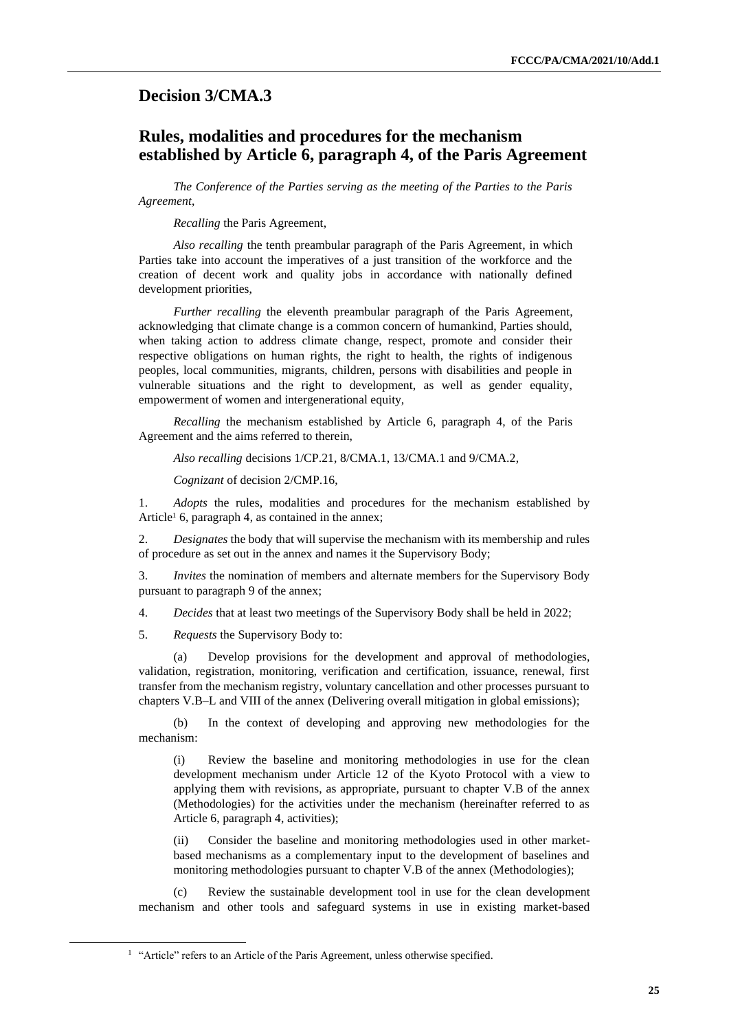## <span id="page-24-0"></span>**Decision 3/CMA.3**

## **Rules, modalities and procedures for the mechanism established by Article 6, paragraph 4, of the Paris Agreement**

*The Conference of the Parties serving as the meeting of the Parties to the Paris Agreement*,

*Recalling* the Paris Agreement,

*Also recalling* the tenth preambular paragraph of the Paris Agreement, in which Parties take into account the imperatives of a just transition of the workforce and the creation of decent work and quality jobs in accordance with nationally defined development priorities,

*Further recalling* the eleventh preambular paragraph of the Paris Agreement, acknowledging that climate change is a common concern of humankind, Parties should, when taking action to address climate change, respect, promote and consider their respective obligations on human rights, the right to health, the rights of indigenous peoples, local communities, migrants, children, persons with disabilities and people in vulnerable situations and the right to development, as well as gender equality, empowerment of women and intergenerational equity,

*Recalling* the mechanism established by Article 6, paragraph 4, of the Paris Agreement and the aims referred to therein,

*Also recalling* decisions 1/CP.21, 8/CMA.1, 13/CMA.1 and 9/CMA.2,

*Cognizant* of decision 2/CMP.16,

1. *Adopts* the rules, modalities and procedures for the mechanism established by Article<sup>1</sup> 6, paragraph 4, as contained in the annex;

2. *Designates* the body that will supervise the mechanism with its membership and rules of procedure as set out in the annex and names it the Supervisory Body;

3. *Invites* the nomination of members and alternate members for the Supervisory Body pursuant to paragraph 9 of the annex;

4. *Decides* that at least two meetings of the Supervisory Body shall be held in 2022;

5. *Requests* the Supervisory Body to:

(a) Develop provisions for the development and approval of methodologies, validation, registration, monitoring, verification and certification, issuance, renewal, first transfer from the mechanism registry, voluntary cancellation and other processes pursuant to chapters V.B–L and VIII of the annex (Delivering overall mitigation in global emissions);

(b) In the context of developing and approving new methodologies for the mechanism:

(i) Review the baseline and monitoring methodologies in use for the clean development mechanism under Article 12 of the Kyoto Protocol with a view to applying them with revisions, as appropriate, pursuant to chapter V.B of the annex (Methodologies) for the activities under the mechanism (hereinafter referred to as Article 6, paragraph 4, activities);

(ii) Consider the baseline and monitoring methodologies used in other marketbased mechanisms as a complementary input to the development of baselines and monitoring methodologies pursuant to chapter V.B of the annex (Methodologies);

(c) Review the sustainable development tool in use for the clean development mechanism and other tools and safeguard systems in use in existing market-based

<sup>&</sup>lt;sup>1</sup> "Article" refers to an Article of the Paris Agreement, unless otherwise specified.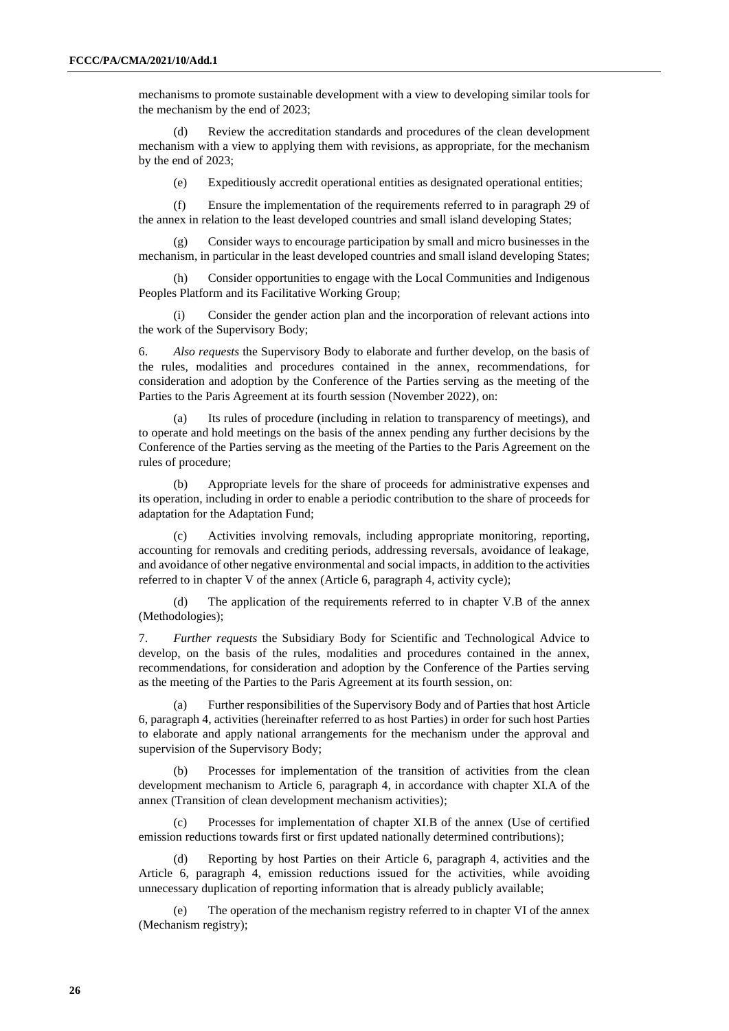mechanisms to promote sustainable development with a view to developing similar tools for the mechanism by the end of 2023;

(d) Review the accreditation standards and procedures of the clean development mechanism with a view to applying them with revisions, as appropriate, for the mechanism by the end of 2023;

(e) Expeditiously accredit operational entities as designated operational entities;

(f) Ensure the implementation of the requirements referred to in paragraph 29 of the annex in relation to the least developed countries and small island developing States;

(g) Consider ways to encourage participation by small and micro businesses in the mechanism, in particular in the least developed countries and small island developing States;

(h) Consider opportunities to engage with the Local Communities and Indigenous Peoples Platform and its Facilitative Working Group;

Consider the gender action plan and the incorporation of relevant actions into the work of the Supervisory Body;

6. *Also requests* the Supervisory Body to elaborate and further develop, on the basis of the rules, modalities and procedures contained in the annex, recommendations, for consideration and adoption by the Conference of the Parties serving as the meeting of the Parties to the Paris Agreement at its fourth session (November 2022), on:

Its rules of procedure (including in relation to transparency of meetings), and to operate and hold meetings on the basis of the annex pending any further decisions by the Conference of the Parties serving as the meeting of the Parties to the Paris Agreement on the rules of procedure;

(b) Appropriate levels for the share of proceeds for administrative expenses and its operation, including in order to enable a periodic contribution to the share of proceeds for adaptation for the Adaptation Fund;

(c) Activities involving removals, including appropriate monitoring, reporting, accounting for removals and crediting periods, addressing reversals, avoidance of leakage, and avoidance of other negative environmental and social impacts, in addition to the activities referred to in chapter V of the annex (Article 6, paragraph 4, activity cycle);

(d) The application of the requirements referred to in chapter V.B of the annex (Methodologies);

7. *Further requests* the Subsidiary Body for Scientific and Technological Advice to develop, on the basis of the rules, modalities and procedures contained in the annex, recommendations, for consideration and adoption by the Conference of the Parties serving as the meeting of the Parties to the Paris Agreement at its fourth session, on:

Further responsibilities of the Supervisory Body and of Parties that host Article 6, paragraph 4, activities (hereinafter referred to as host Parties) in order for such host Parties to elaborate and apply national arrangements for the mechanism under the approval and supervision of the Supervisory Body;

(b) Processes for implementation of the transition of activities from the clean development mechanism to Article 6, paragraph 4, in accordance with chapter XI.A of the annex (Transition of clean development mechanism activities);

Processes for implementation of chapter XI.B of the annex (Use of certified emission reductions towards first or first updated nationally determined contributions);

(d) Reporting by host Parties on their Article 6, paragraph 4, activities and the Article 6, paragraph 4, emission reductions issued for the activities, while avoiding unnecessary duplication of reporting information that is already publicly available;

(e) The operation of the mechanism registry referred to in chapter VI of the annex (Mechanism registry);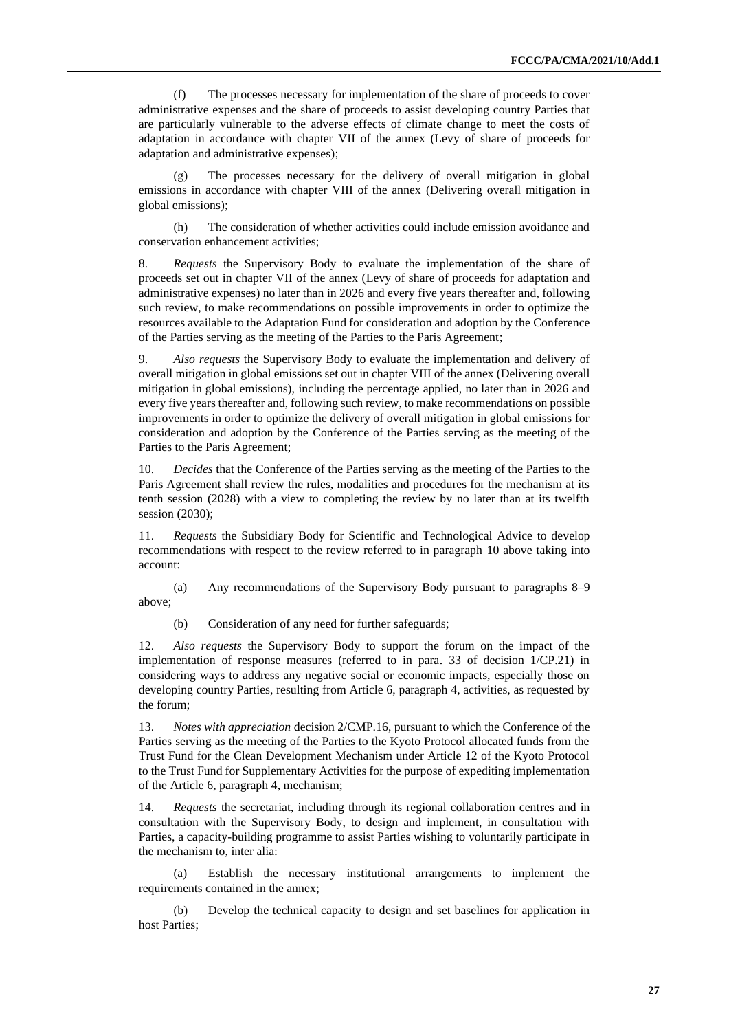(f) The processes necessary for implementation of the share of proceeds to cover administrative expenses and the share of proceeds to assist developing country Parties that are particularly vulnerable to the adverse effects of climate change to meet the costs of adaptation in accordance with chapter VII of the annex (Levy of share of proceeds for adaptation and administrative expenses);

The processes necessary for the delivery of overall mitigation in global emissions in accordance with chapter VIII of the annex (Delivering overall mitigation in global emissions);

(h) The consideration of whether activities could include emission avoidance and conservation enhancement activities;

8. *Requests* the Supervisory Body to evaluate the implementation of the share of proceeds set out in chapter VII of the annex (Levy of share of proceeds for adaptation and administrative expenses) no later than in 2026 and every five years thereafter and, following such review, to make recommendations on possible improvements in order to optimize the resources available to the Adaptation Fund for consideration and adoption by the Conference of the Parties serving as the meeting of the Parties to the Paris Agreement;

9. *Also requests* the Supervisory Body to evaluate the implementation and delivery of overall mitigation in global emissions set out in chapter VIII of the annex (Delivering overall mitigation in global emissions), including the percentage applied, no later than in 2026 and every five years thereafter and, following such review, to make recommendations on possible improvements in order to optimize the delivery of overall mitigation in global emissions for consideration and adoption by the Conference of the Parties serving as the meeting of the Parties to the Paris Agreement;

10. *Decides* that the Conference of the Parties serving as the meeting of the Parties to the Paris Agreement shall review the rules, modalities and procedures for the mechanism at its tenth session (2028) with a view to completing the review by no later than at its twelfth session (2030);

11. *Requests* the Subsidiary Body for Scientific and Technological Advice to develop recommendations with respect to the review referred to in paragraph 10 above taking into account:

(a) Any recommendations of the Supervisory Body pursuant to paragraphs 8–9 above;

(b) Consideration of any need for further safeguards;

12. *Also requests* the Supervisory Body to support the forum on the impact of the implementation of response measures (referred to in para. 33 of decision 1/CP.21) in considering ways to address any negative social or economic impacts, especially those on developing country Parties, resulting from Article 6, paragraph 4, activities, as requested by the forum;

13. *Notes with appreciation* decision 2/CMP.16, pursuant to which the Conference of the Parties serving as the meeting of the Parties to the Kyoto Protocol allocated funds from the Trust Fund for the Clean Development Mechanism under Article 12 of the Kyoto Protocol to the Trust Fund for Supplementary Activities for the purpose of expediting implementation of the Article 6, paragraph 4, mechanism;

14. *Requests* the secretariat, including through its regional collaboration centres and in consultation with the Supervisory Body, to design and implement, in consultation with Parties, a capacity-building programme to assist Parties wishing to voluntarily participate in the mechanism to, inter alia:

(a) Establish the necessary institutional arrangements to implement the requirements contained in the annex;

(b) Develop the technical capacity to design and set baselines for application in host Parties;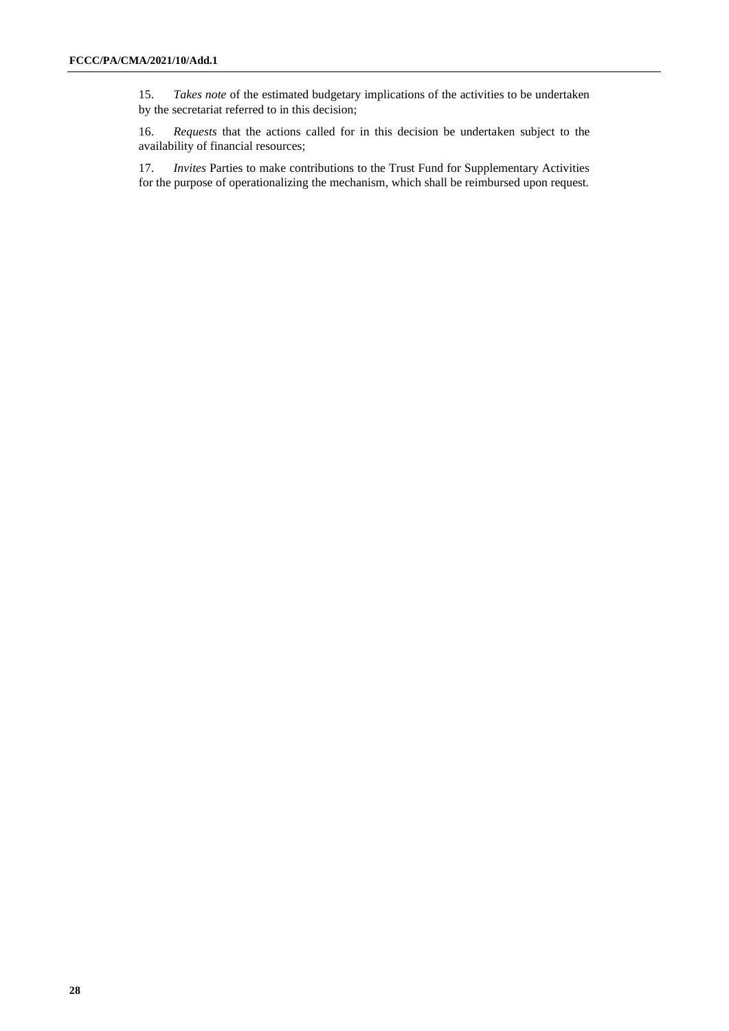15. *Takes note* of the estimated budgetary implications of the activities to be undertaken by the secretariat referred to in this decision;

16. *Requests* that the actions called for in this decision be undertaken subject to the availability of financial resources;

17. *Invites* Parties to make contributions to the Trust Fund for Supplementary Activities for the purpose of operationalizing the mechanism, which shall be reimbursed upon request.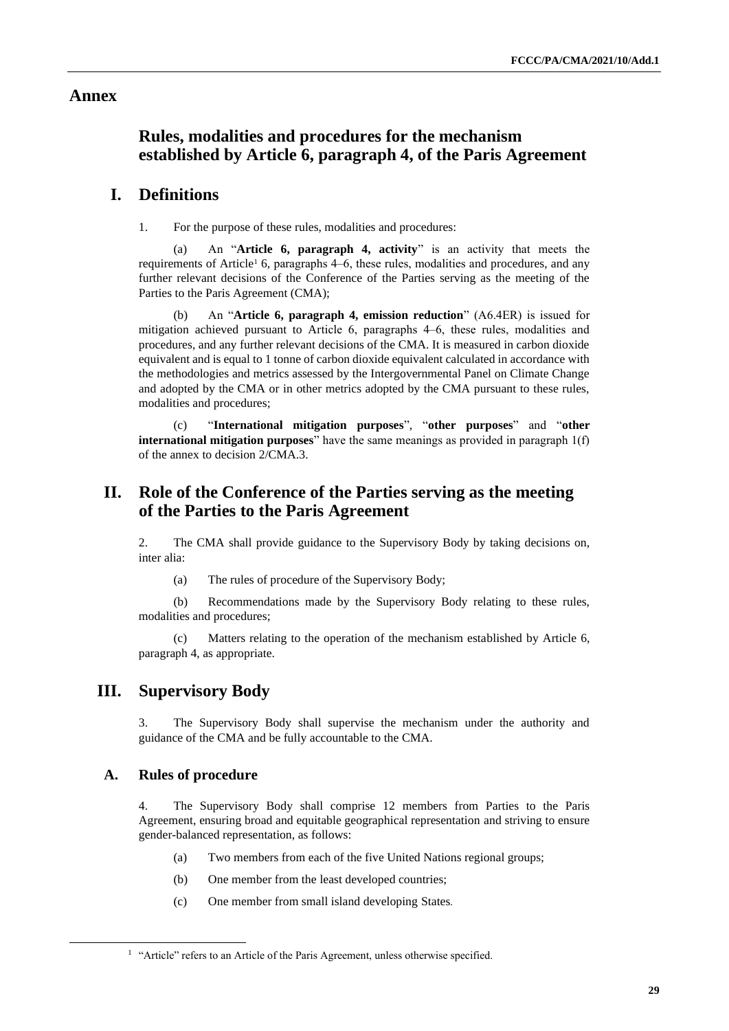#### **Annex**

## **Rules, modalities and procedures for the mechanism established by Article 6, paragraph 4, of the Paris Agreement**

## **I. Definitions**

1. For the purpose of these rules, modalities and procedures:

(a) An "**Article 6, paragraph 4, activity**" is an activity that meets the requirements of Article<sup>1</sup> 6, paragraphs  $4–6$ , these rules, modalities and procedures, and any further relevant decisions of the Conference of the Parties serving as the meeting of the Parties to the Paris Agreement (CMA);

(b) An "**Article 6, paragraph 4, emission reduction**" (A6.4ER) is issued for mitigation achieved pursuant to Article 6, paragraphs 4–6, these rules, modalities and procedures, and any further relevant decisions of the CMA. It is measured in carbon dioxide equivalent and is equal to 1 tonne of carbon dioxide equivalent calculated in accordance with the methodologies and metrics assessed by the Intergovernmental Panel on Climate Change and adopted by the CMA or in other metrics adopted by the CMA pursuant to these rules, modalities and procedures;

(c) "**International mitigation purposes**", "**other purposes**" and "**other international mitigation purposes**" have the same meanings as provided in paragraph 1(f) of the annex to decision 2/CMA.3.

## **II. Role of the Conference of the Parties serving as the meeting of the Parties to the Paris Agreement**

2. The CMA shall provide guidance to the Supervisory Body by taking decisions on, inter alia:

(a) The rules of procedure of the Supervisory Body;

(b) Recommendations made by the Supervisory Body relating to these rules, modalities and procedures;

(c) Matters relating to the operation of the mechanism established by Article 6, paragraph 4, as appropriate.

## **III. Supervisory Body**

3. The Supervisory Body shall supervise the mechanism under the authority and guidance of the CMA and be fully accountable to the CMA.

#### **A. Rules of procedure**

4. The Supervisory Body shall comprise 12 members from Parties to the Paris Agreement, ensuring broad and equitable geographical representation and striving to ensure gender-balanced representation, as follows:

- (a) Two members from each of the five United Nations regional groups;
- (b) One member from the least developed countries;
- (c) One member from small island developing States.

<sup>&</sup>lt;sup>1</sup> "Article" refers to an Article of the Paris Agreement, unless otherwise specified.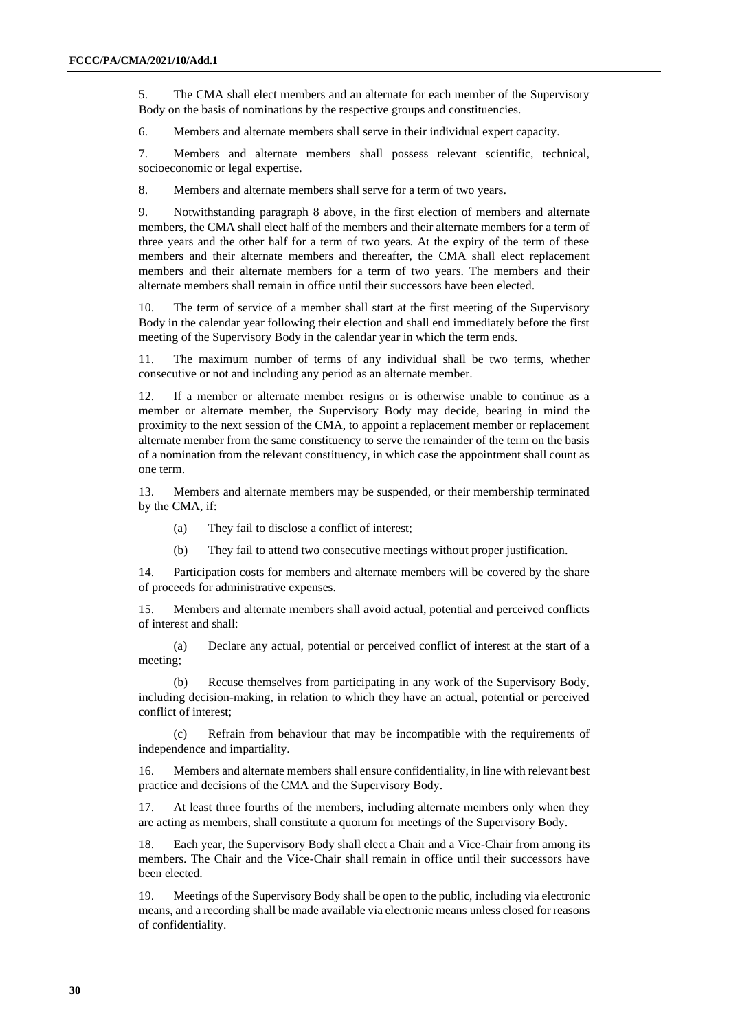5. The CMA shall elect members and an alternate for each member of the Supervisory Body on the basis of nominations by the respective groups and constituencies.

6. Members and alternate members shall serve in their individual expert capacity.

7. Members and alternate members shall possess relevant scientific, technical, socioeconomic or legal expertise.

8. Members and alternate members shall serve for a term of two years.

9. Notwithstanding paragraph 8 above, in the first election of members and alternate members, the CMA shall elect half of the members and their alternate members for a term of three years and the other half for a term of two years. At the expiry of the term of these members and their alternate members and thereafter, the CMA shall elect replacement members and their alternate members for a term of two years. The members and their alternate members shall remain in office until their successors have been elected.

10. The term of service of a member shall start at the first meeting of the Supervisory Body in the calendar year following their election and shall end immediately before the first meeting of the Supervisory Body in the calendar year in which the term ends.

11. The maximum number of terms of any individual shall be two terms, whether consecutive or not and including any period as an alternate member.

12. If a member or alternate member resigns or is otherwise unable to continue as a member or alternate member, the Supervisory Body may decide, bearing in mind the proximity to the next session of the CMA, to appoint a replacement member or replacement alternate member from the same constituency to serve the remainder of the term on the basis of a nomination from the relevant constituency, in which case the appointment shall count as one term.

13. Members and alternate members may be suspended, or their membership terminated by the CMA, if:

- (a) They fail to disclose a conflict of interest;
- (b) They fail to attend two consecutive meetings without proper justification.

14. Participation costs for members and alternate members will be covered by the share of proceeds for administrative expenses.

15. Members and alternate members shall avoid actual, potential and perceived conflicts of interest and shall:

(a) Declare any actual, potential or perceived conflict of interest at the start of a meeting;

(b) Recuse themselves from participating in any work of the Supervisory Body, including decision-making, in relation to which they have an actual, potential or perceived conflict of interest;

(c) Refrain from behaviour that may be incompatible with the requirements of independence and impartiality.

16. Members and alternate members shall ensure confidentiality, in line with relevant best practice and decisions of the CMA and the Supervisory Body.

17. At least three fourths of the members, including alternate members only when they are acting as members, shall constitute a quorum for meetings of the Supervisory Body.

18. Each year, the Supervisory Body shall elect a Chair and a Vice-Chair from among its members. The Chair and the Vice-Chair shall remain in office until their successors have been elected.

19. Meetings of the Supervisory Body shall be open to the public, including via electronic means, and a recording shall be made available via electronic means unless closed for reasons of confidentiality.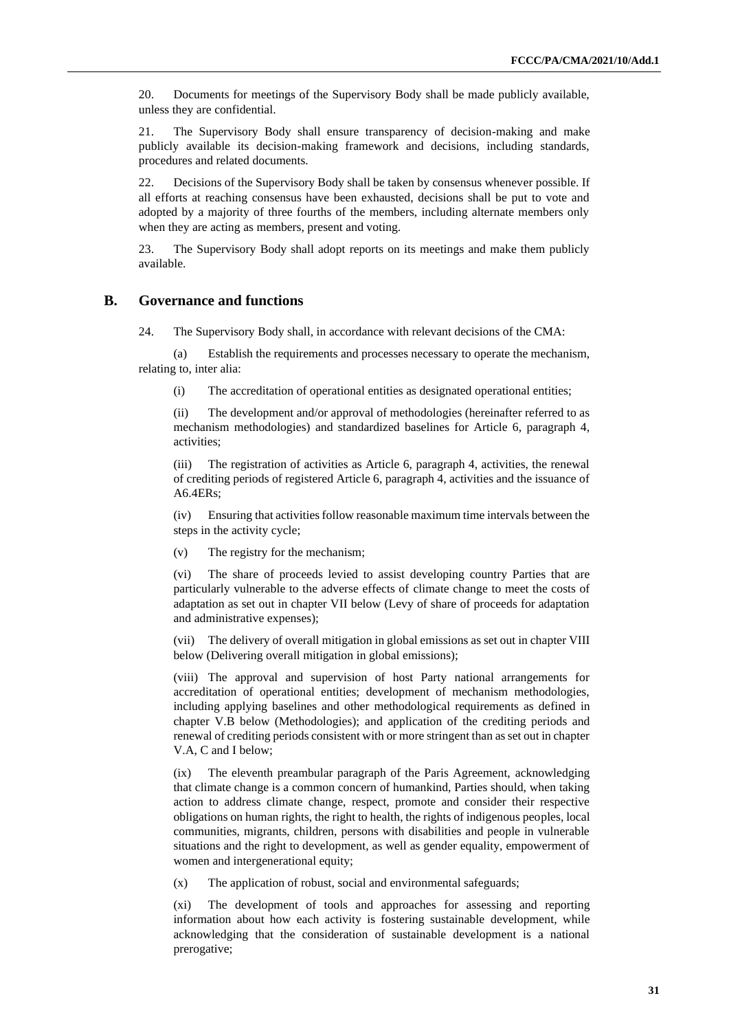20. Documents for meetings of the Supervisory Body shall be made publicly available, unless they are confidential.

21. The Supervisory Body shall ensure transparency of decision-making and make publicly available its decision-making framework and decisions, including standards, procedures and related documents.

22. Decisions of the Supervisory Body shall be taken by consensus whenever possible. If all efforts at reaching consensus have been exhausted, decisions shall be put to vote and adopted by a majority of three fourths of the members, including alternate members only when they are acting as members, present and voting.

23. The Supervisory Body shall adopt reports on its meetings and make them publicly available.

#### **B. Governance and functions**

24. The Supervisory Body shall, in accordance with relevant decisions of the CMA:

(a) Establish the requirements and processes necessary to operate the mechanism, relating to, inter alia:

(i) The accreditation of operational entities as designated operational entities;

(ii) The development and/or approval of methodologies (hereinafter referred to as mechanism methodologies) and standardized baselines for Article 6, paragraph 4, activities;

(iii) The registration of activities as Article 6, paragraph 4, activities, the renewal of crediting periods of registered Article 6, paragraph 4, activities and the issuance of A6.4ERs;

(iv) Ensuring that activities follow reasonable maximum time intervals between the steps in the activity cycle;

(v) The registry for the mechanism;

(vi) The share of proceeds levied to assist developing country Parties that are particularly vulnerable to the adverse effects of climate change to meet the costs of adaptation as set out in chapter VII below (Levy of share of proceeds for adaptation and administrative expenses);

(vii) The delivery of overall mitigation in global emissions as set out in chapter VIII below (Delivering overall mitigation in global emissions);

(viii) The approval and supervision of host Party national arrangements for accreditation of operational entities; development of mechanism methodologies, including applying baselines and other methodological requirements as defined in chapter V.B below (Methodologies); and application of the crediting periods and renewal of crediting periods consistent with or more stringent than as set out in chapter V.A, C and I below;

(ix) The eleventh preambular paragraph of the Paris Agreement, acknowledging that climate change is a common concern of humankind, Parties should, when taking action to address climate change, respect, promote and consider their respective obligations on human rights, the right to health, the rights of indigenous peoples, local communities, migrants, children, persons with disabilities and people in vulnerable situations and the right to development, as well as gender equality, empowerment of women and intergenerational equity;

(x) The application of robust, social and environmental safeguards;

(xi) The development of tools and approaches for assessing and reporting information about how each activity is fostering sustainable development, while acknowledging that the consideration of sustainable development is a national prerogative;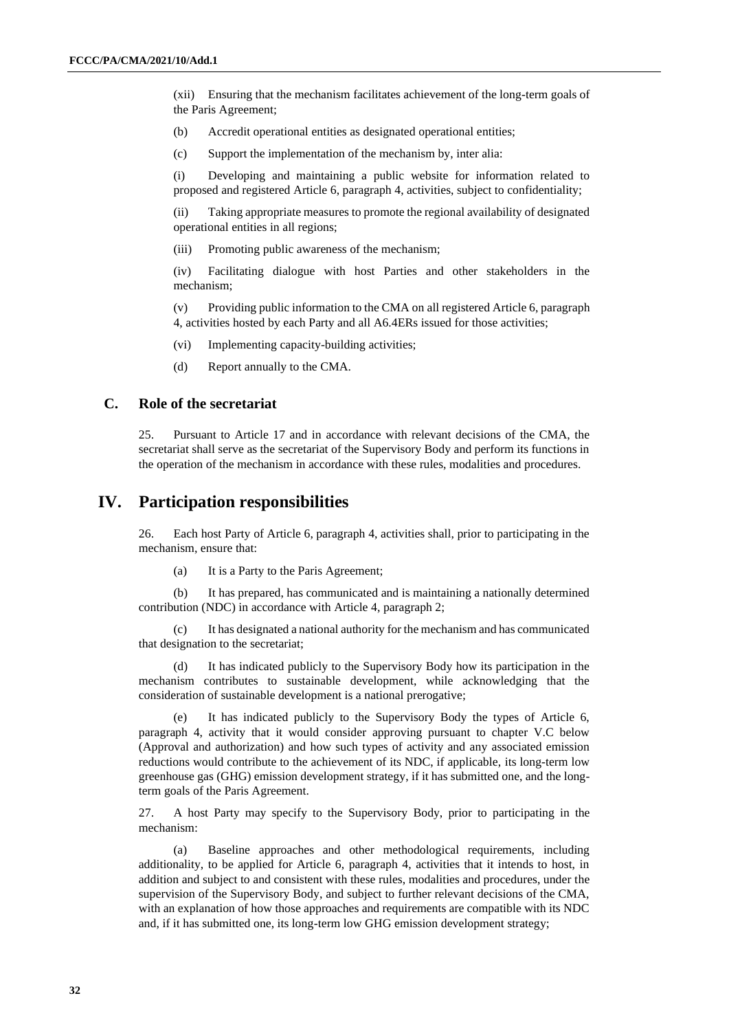(xii) Ensuring that the mechanism facilitates achievement of the long-term goals of the Paris Agreement;

- (b) Accredit operational entities as designated operational entities;
- (c) Support the implementation of the mechanism by, inter alia:

(i) Developing and maintaining a public website for information related to proposed and registered Article 6, paragraph 4, activities, subject to confidentiality;

(ii) Taking appropriate measures to promote the regional availability of designated operational entities in all regions;

(iii) Promoting public awareness of the mechanism;

(iv) Facilitating dialogue with host Parties and other stakeholders in the mechanism;

(v) Providing public information to the CMA on all registered Article 6, paragraph 4, activities hosted by each Party and all A6.4ERs issued for those activities;

- (vi) Implementing capacity-building activities;
- (d) Report annually to the CMA.

#### **C. Role of the secretariat**

25. Pursuant to Article 17 and in accordance with relevant decisions of the CMA, the secretariat shall serve as the secretariat of the Supervisory Body and perform its functions in the operation of the mechanism in accordance with these rules, modalities and procedures.

#### **IV. Participation responsibilities**

26. Each host Party of Article 6, paragraph 4, activities shall, prior to participating in the mechanism, ensure that:

(a) It is a Party to the Paris Agreement;

(b) It has prepared, has communicated and is maintaining a nationally determined contribution (NDC) in accordance with Article 4, paragraph 2;

(c) It has designated a national authority for the mechanism and has communicated that designation to the secretariat;

(d) It has indicated publicly to the Supervisory Body how its participation in the mechanism contributes to sustainable development, while acknowledging that the consideration of sustainable development is a national prerogative;

(e) It has indicated publicly to the Supervisory Body the types of Article 6, paragraph 4, activity that it would consider approving pursuant to chapter V.C below (Approval and authorization) and how such types of activity and any associated emission reductions would contribute to the achievement of its NDC, if applicable, its long-term low greenhouse gas (GHG) emission development strategy, if it has submitted one, and the longterm goals of the Paris Agreement.

27. A host Party may specify to the Supervisory Body, prior to participating in the mechanism:

(a) Baseline approaches and other methodological requirements, including additionality, to be applied for Article 6, paragraph 4, activities that it intends to host, in addition and subject to and consistent with these rules, modalities and procedures, under the supervision of the Supervisory Body, and subject to further relevant decisions of the CMA, with an explanation of how those approaches and requirements are compatible with its NDC and, if it has submitted one, its long-term low GHG emission development strategy;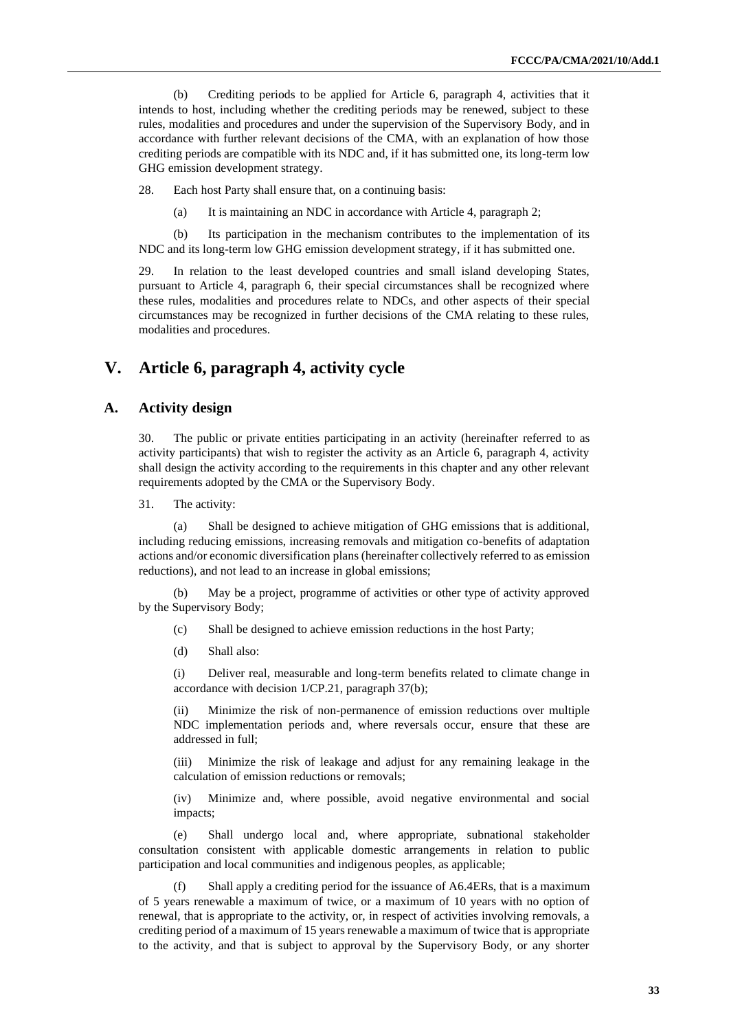(b) Crediting periods to be applied for Article 6, paragraph 4, activities that it intends to host, including whether the crediting periods may be renewed, subject to these rules, modalities and procedures and under the supervision of the Supervisory Body, and in accordance with further relevant decisions of the CMA, with an explanation of how those crediting periods are compatible with its NDC and, if it has submitted one, its long-term low GHG emission development strategy.

28. Each host Party shall ensure that, on a continuing basis:

(a) It is maintaining an NDC in accordance with Article 4, paragraph 2;

(b) Its participation in the mechanism contributes to the implementation of its NDC and its long-term low GHG emission development strategy, if it has submitted one.

29. In relation to the least developed countries and small island developing States, pursuant to Article 4, paragraph 6, their special circumstances shall be recognized where these rules, modalities and procedures relate to NDCs, and other aspects of their special circumstances may be recognized in further decisions of the CMA relating to these rules, modalities and procedures.

## **V. Article 6, paragraph 4, activity cycle**

#### **A. Activity design**

30. The public or private entities participating in an activity (hereinafter referred to as activity participants) that wish to register the activity as an Article 6, paragraph 4, activity shall design the activity according to the requirements in this chapter and any other relevant requirements adopted by the CMA or the Supervisory Body.

31. The activity:

(a) Shall be designed to achieve mitigation of GHG emissions that is additional, including reducing emissions, increasing removals and mitigation co-benefits of adaptation actions and/or economic diversification plans (hereinafter collectively referred to as emission reductions), and not lead to an increase in global emissions;

(b) May be a project, programme of activities or other type of activity approved by the Supervisory Body;

(c) Shall be designed to achieve emission reductions in the host Party;

(d) Shall also:

(i) Deliver real, measurable and long-term benefits related to climate change in accordance with decision 1/CP.21, paragraph 37(b);

(ii) Minimize the risk of non-permanence of emission reductions over multiple NDC implementation periods and, where reversals occur, ensure that these are addressed in full;

(iii) Minimize the risk of leakage and adjust for any remaining leakage in the calculation of emission reductions or removals;

(iv) Minimize and, where possible, avoid negative environmental and social impacts;

(e) Shall undergo local and, where appropriate, subnational stakeholder consultation consistent with applicable domestic arrangements in relation to public participation and local communities and indigenous peoples, as applicable;

(f) Shall apply a crediting period for the issuance of A6.4ERs, that is a maximum of 5 years renewable a maximum of twice, or a maximum of 10 years with no option of renewal, that is appropriate to the activity, or, in respect of activities involving removals, a crediting period of a maximum of 15 years renewable a maximum of twice that is appropriate to the activity, and that is subject to approval by the Supervisory Body, or any shorter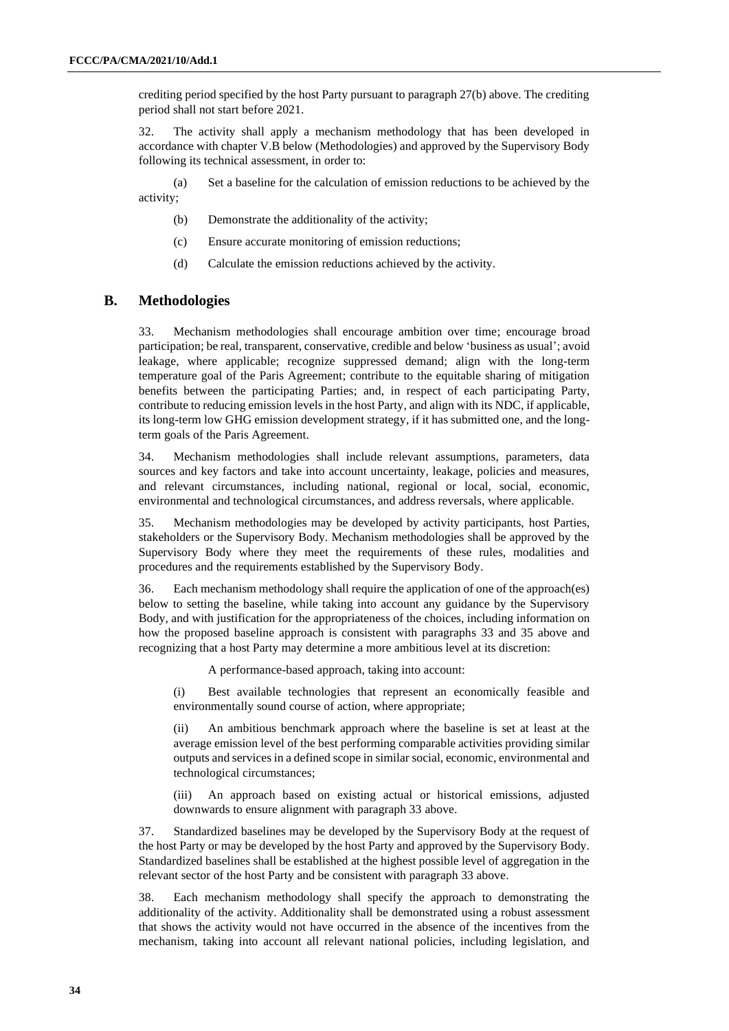crediting period specified by the host Party pursuant to paragraph 27(b) above. The crediting period shall not start before 2021.

32. The activity shall apply a mechanism methodology that has been developed in accordance with chapter V.B below (Methodologies) and approved by the Supervisory Body following its technical assessment, in order to:

(a) Set a baseline for the calculation of emission reductions to be achieved by the activity;

- (b) Demonstrate the additionality of the activity;
- (c) Ensure accurate monitoring of emission reductions;
- (d) Calculate the emission reductions achieved by the activity.

#### **B. Methodologies**

33. Mechanism methodologies shall encourage ambition over time; encourage broad participation; be real, transparent, conservative, credible and below 'business as usual'; avoid leakage, where applicable; recognize suppressed demand; align with the long-term temperature goal of the Paris Agreement; contribute to the equitable sharing of mitigation benefits between the participating Parties; and, in respect of each participating Party, contribute to reducing emission levels in the host Party, and align with its NDC, if applicable, its long-term low GHG emission development strategy, if it has submitted one, and the longterm goals of the Paris Agreement.

34. Mechanism methodologies shall include relevant assumptions, parameters, data sources and key factors and take into account uncertainty, leakage, policies and measures, and relevant circumstances, including national, regional or local, social, economic, environmental and technological circumstances, and address reversals, where applicable.

35. Mechanism methodologies may be developed by activity participants, host Parties, stakeholders or the Supervisory Body. Mechanism methodologies shall be approved by the Supervisory Body where they meet the requirements of these rules, modalities and procedures and the requirements established by the Supervisory Body.

36. Each mechanism methodology shall require the application of one of the approach(es) below to setting the baseline, while taking into account any guidance by the Supervisory Body, and with justification for the appropriateness of the choices, including information on how the proposed baseline approach is consistent with paragraphs 33 and 35 above and recognizing that a host Party may determine a more ambitious level at its discretion:

A performance-based approach, taking into account:

(i) Best available technologies that represent an economically feasible and environmentally sound course of action, where appropriate;

(ii) An ambitious benchmark approach where the baseline is set at least at the average emission level of the best performing comparable activities providing similar outputs and services in a defined scope in similar social, economic, environmental and technological circumstances;

(iii) An approach based on existing actual or historical emissions, adjusted downwards to ensure alignment with paragraph 33 above.

37. Standardized baselines may be developed by the Supervisory Body at the request of the host Party or may be developed by the host Party and approved by the Supervisory Body. Standardized baselines shall be established at the highest possible level of aggregation in the relevant sector of the host Party and be consistent with paragraph 33 above.

38. Each mechanism methodology shall specify the approach to demonstrating the additionality of the activity. Additionality shall be demonstrated using a robust assessment that shows the activity would not have occurred in the absence of the incentives from the mechanism, taking into account all relevant national policies, including legislation, and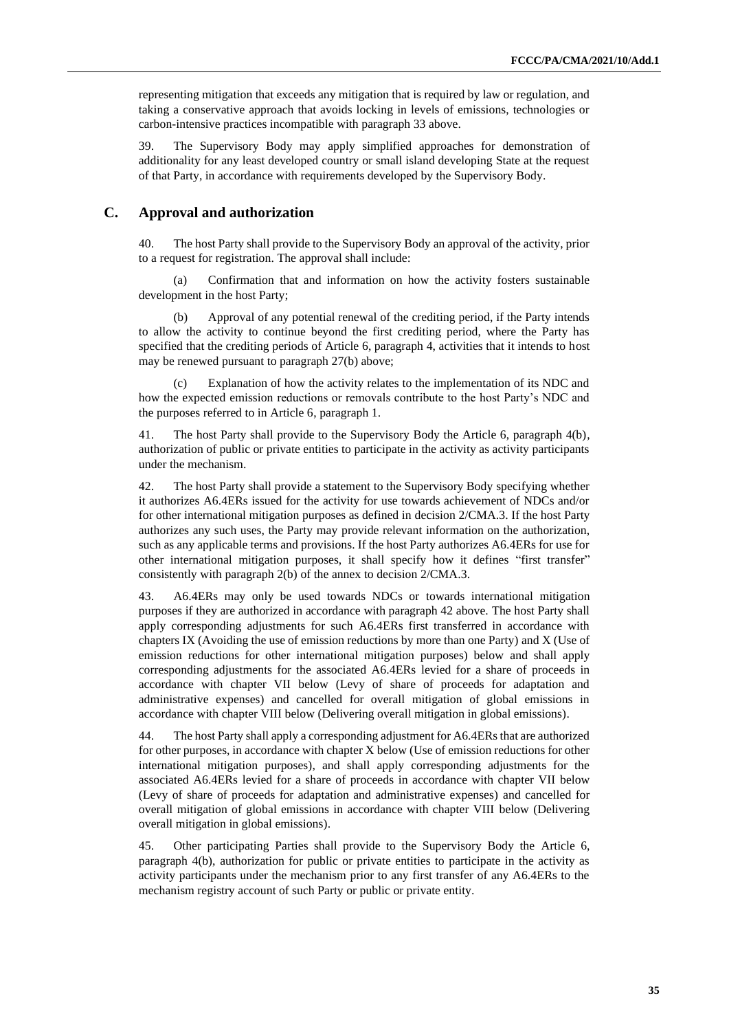representing mitigation that exceeds any mitigation that is required by law or regulation, and taking a conservative approach that avoids locking in levels of emissions, technologies or carbon-intensive practices incompatible with paragraph 33 above.

39. The Supervisory Body may apply simplified approaches for demonstration of additionality for any least developed country or small island developing State at the request of that Party, in accordance with requirements developed by the Supervisory Body.

#### **C. Approval and authorization**

40. The host Party shall provide to the Supervisory Body an approval of the activity, prior to a request for registration. The approval shall include:

(a) Confirmation that and information on how the activity fosters sustainable development in the host Party;

(b) Approval of any potential renewal of the crediting period, if the Party intends to allow the activity to continue beyond the first crediting period, where the Party has specified that the crediting periods of Article 6, paragraph 4, activities that it intends to host may be renewed pursuant to paragraph 27(b) above;

Explanation of how the activity relates to the implementation of its NDC and how the expected emission reductions or removals contribute to the host Party's NDC and the purposes referred to in Article 6, paragraph 1.

41. The host Party shall provide to the Supervisory Body the Article 6, paragraph 4(b), authorization of public or private entities to participate in the activity as activity participants under the mechanism.

42. The host Party shall provide a statement to the Supervisory Body specifying whether it authorizes A6.4ERs issued for the activity for use towards achievement of NDCs and/or for other international mitigation purposes as defined in decision 2/CMA.3. If the host Party authorizes any such uses, the Party may provide relevant information on the authorization, such as any applicable terms and provisions. If the host Party authorizes A6.4ERs for use for other international mitigation purposes, it shall specify how it defines "first transfer" consistently with paragraph 2(b) of the annex to decision 2/CMA.3.

43. A6.4ERs may only be used towards NDCs or towards international mitigation purposes if they are authorized in accordance with paragraph 42 above. The host Party shall apply corresponding adjustments for such A6.4ERs first transferred in accordance with chapters IX (Avoiding the use of emission reductions by more than one Party) and X (Use of emission reductions for other international mitigation purposes) below and shall apply corresponding adjustments for the associated A6.4ERs levied for a share of proceeds in accordance with chapter VII below (Levy of share of proceeds for adaptation and administrative expenses) and cancelled for overall mitigation of global emissions in accordance with chapter VIII below (Delivering overall mitigation in global emissions).

44. The host Party shall apply a corresponding adjustment for A6.4ERs that are authorized for other purposes, in accordance with chapter X below (Use of emission reductions for other international mitigation purposes), and shall apply corresponding adjustments for the associated A6.4ERs levied for a share of proceeds in accordance with chapter VII below (Levy of share of proceeds for adaptation and administrative expenses) and cancelled for overall mitigation of global emissions in accordance with chapter VIII below (Delivering overall mitigation in global emissions).

45. Other participating Parties shall provide to the Supervisory Body the Article 6, paragraph 4(b), authorization for public or private entities to participate in the activity as activity participants under the mechanism prior to any first transfer of any A6.4ERs to the mechanism registry account of such Party or public or private entity.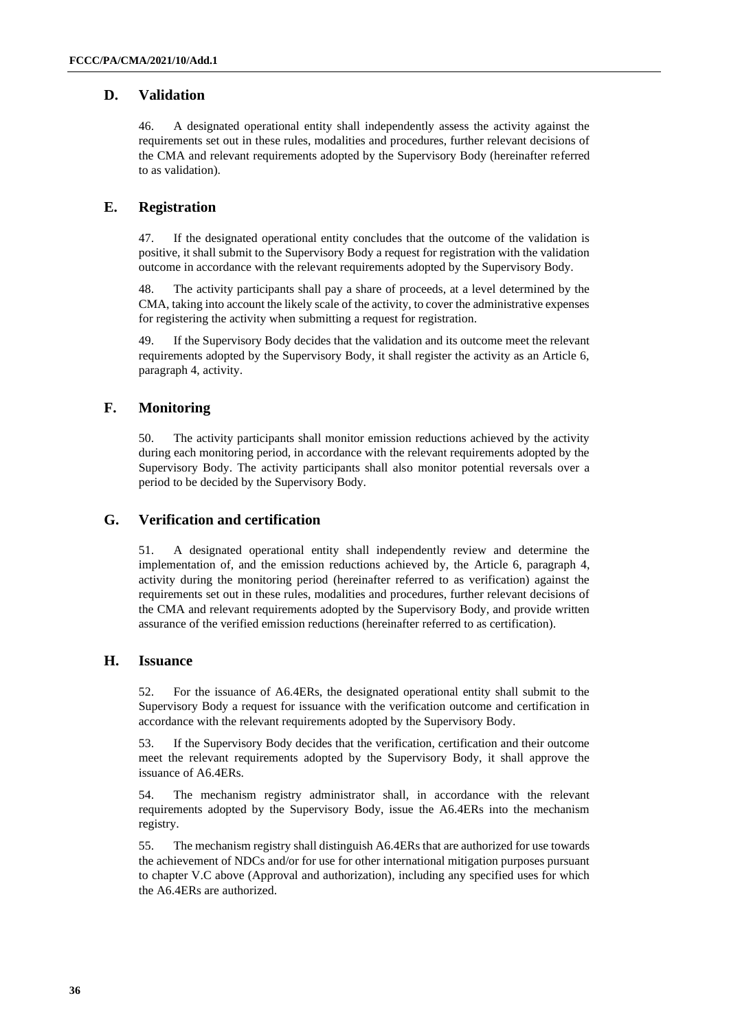#### **D. Validation**

46. A designated operational entity shall independently assess the activity against the requirements set out in these rules, modalities and procedures, further relevant decisions of the CMA and relevant requirements adopted by the Supervisory Body (hereinafter referred to as validation).

#### **E. Registration**

47. If the designated operational entity concludes that the outcome of the validation is positive, it shall submit to the Supervisory Body a request for registration with the validation outcome in accordance with the relevant requirements adopted by the Supervisory Body.

48. The activity participants shall pay a share of proceeds, at a level determined by the CMA, taking into account the likely scale of the activity, to cover the administrative expenses for registering the activity when submitting a request for registration.

49. If the Supervisory Body decides that the validation and its outcome meet the relevant requirements adopted by the Supervisory Body, it shall register the activity as an Article 6, paragraph 4, activity.

#### **F. Monitoring**

50. The activity participants shall monitor emission reductions achieved by the activity during each monitoring period, in accordance with the relevant requirements adopted by the Supervisory Body. The activity participants shall also monitor potential reversals over a period to be decided by the Supervisory Body.

#### **G. Verification and certification**

51. A designated operational entity shall independently review and determine the implementation of, and the emission reductions achieved by, the Article 6, paragraph 4, activity during the monitoring period (hereinafter referred to as verification) against the requirements set out in these rules, modalities and procedures, further relevant decisions of the CMA and relevant requirements adopted by the Supervisory Body, and provide written assurance of the verified emission reductions (hereinafter referred to as certification).

#### **H. Issuance**

52. For the issuance of A6.4ERs, the designated operational entity shall submit to the Supervisory Body a request for issuance with the verification outcome and certification in accordance with the relevant requirements adopted by the Supervisory Body.

53. If the Supervisory Body decides that the verification, certification and their outcome meet the relevant requirements adopted by the Supervisory Body, it shall approve the issuance of A6.4ERs.

54. The mechanism registry administrator shall, in accordance with the relevant requirements adopted by the Supervisory Body, issue the A6.4ERs into the mechanism registry.

55. The mechanism registry shall distinguish A6.4ERs that are authorized for use towards the achievement of NDCs and/or for use for other international mitigation purposes pursuant to chapter V.C above (Approval and authorization), including any specified uses for which the A6.4ERs are authorized.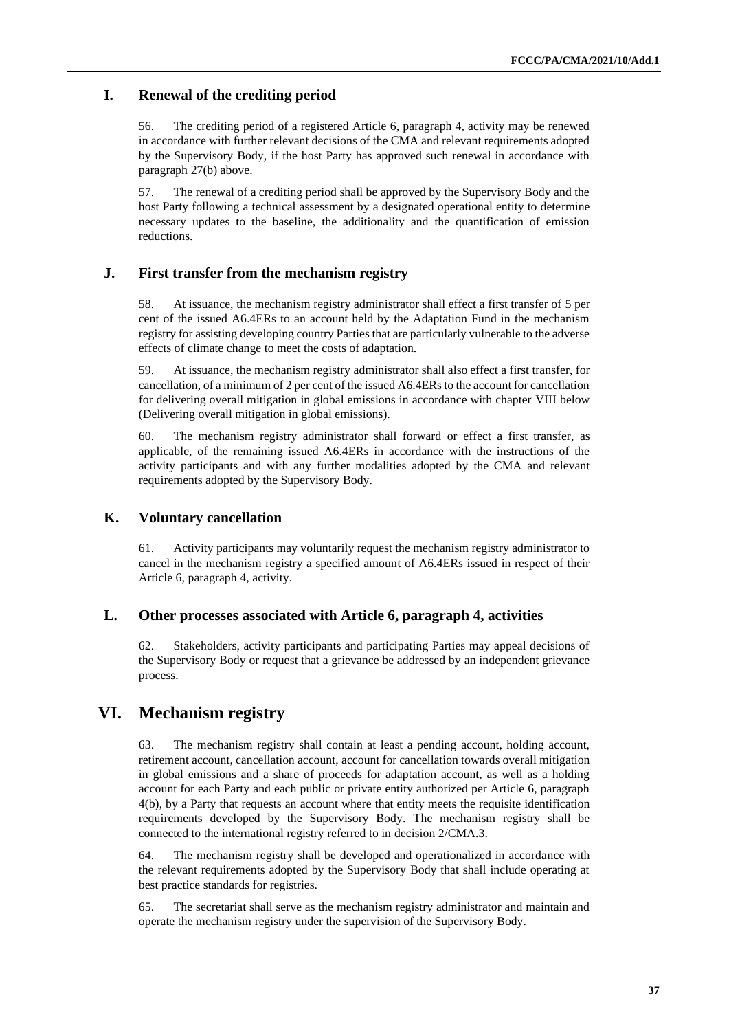#### **I. Renewal of the crediting period**

56. The crediting period of a registered Article 6, paragraph 4, activity may be renewed in accordance with further relevant decisions of the CMA and relevant requirements adopted by the Supervisory Body, if the host Party has approved such renewal in accordance with paragraph 27(b) above.

57. The renewal of a crediting period shall be approved by the Supervisory Body and the host Party following a technical assessment by a designated operational entity to determine necessary updates to the baseline, the additionality and the quantification of emission reductions.

#### **J. First transfer from the mechanism registry**

58. At issuance, the mechanism registry administrator shall effect a first transfer of 5 per cent of the issued A6.4ERs to an account held by the Adaptation Fund in the mechanism registry for assisting developing country Parties that are particularly vulnerable to the adverse effects of climate change to meet the costs of adaptation.

59. At issuance, the mechanism registry administrator shall also effect a first transfer, for cancellation, of a minimum of 2 per cent of the issued A6.4ERs to the account for cancellation for delivering overall mitigation in global emissions in accordance with chapter VIII below (Delivering overall mitigation in global emissions).

60. The mechanism registry administrator shall forward or effect a first transfer, as applicable, of the remaining issued A6.4ERs in accordance with the instructions of the activity participants and with any further modalities adopted by the CMA and relevant requirements adopted by the Supervisory Body.

#### **K. Voluntary cancellation**

61. Activity participants may voluntarily request the mechanism registry administrator to cancel in the mechanism registry a specified amount of A6.4ERs issued in respect of their Article 6, paragraph 4, activity.

#### **L. Other processes associated with Article 6, paragraph 4, activities**

62. Stakeholders, activity participants and participating Parties may appeal decisions of the Supervisory Body or request that a grievance be addressed by an independent grievance process.

#### **VI. Mechanism registry**

63. The mechanism registry shall contain at least a pending account, holding account, retirement account, cancellation account, account for cancellation towards overall mitigation in global emissions and a share of proceeds for adaptation account, as well as a holding account for each Party and each public or private entity authorized per Article 6, paragraph 4(b), by a Party that requests an account where that entity meets the requisite identification requirements developed by the Supervisory Body. The mechanism registry shall be connected to the international registry referred to in decision 2/CMA.3.

64. The mechanism registry shall be developed and operationalized in accordance with the relevant requirements adopted by the Supervisory Body that shall include operating at best practice standards for registries.

65. The secretariat shall serve as the mechanism registry administrator and maintain and operate the mechanism registry under the supervision of the Supervisory Body.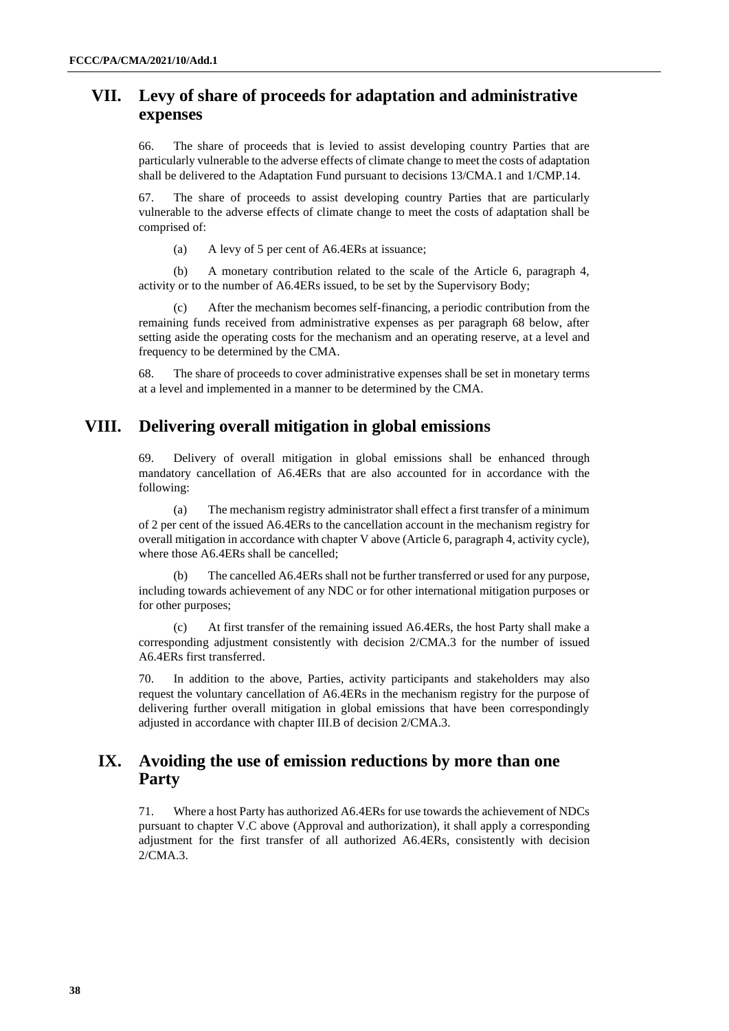## **VII. Levy of share of proceeds for adaptation and administrative expenses**

66. The share of proceeds that is levied to assist developing country Parties that are particularly vulnerable to the adverse effects of climate change to meet the costs of adaptation shall be delivered to the Adaptation Fund pursuant to decisions 13/CMA.1 and 1/CMP.14.

67. The share of proceeds to assist developing country Parties that are particularly vulnerable to the adverse effects of climate change to meet the costs of adaptation shall be comprised of:

(a) A levy of 5 per cent of A6.4ERs at issuance;

(b) A monetary contribution related to the scale of the Article 6, paragraph 4, activity or to the number of A6.4ERs issued, to be set by the Supervisory Body;

(c) After the mechanism becomes self-financing, a periodic contribution from the remaining funds received from administrative expenses as per paragraph 68 below, after setting aside the operating costs for the mechanism and an operating reserve, at a level and frequency to be determined by the CMA.

68. The share of proceeds to cover administrative expenses shall be set in monetary terms at a level and implemented in a manner to be determined by the CMA.

## **VIII. Delivering overall mitigation in global emissions**

69. Delivery of overall mitigation in global emissions shall be enhanced through mandatory cancellation of A6.4ERs that are also accounted for in accordance with the following:

(a) The mechanism registry administrator shall effect a first transfer of a minimum of 2 per cent of the issued A6.4ERs to the cancellation account in the mechanism registry for overall mitigation in accordance with chapter V above (Article 6, paragraph 4, activity cycle), where those A6.4ERs shall be cancelled;

The cancelled A6.4ERs shall not be further transferred or used for any purpose, including towards achievement of any NDC or for other international mitigation purposes or for other purposes;

At first transfer of the remaining issued A6.4ERs, the host Party shall make a corresponding adjustment consistently with decision 2/CMA.3 for the number of issued A6.4ERs first transferred.

70. In addition to the above, Parties, activity participants and stakeholders may also request the voluntary cancellation of A6.4ERs in the mechanism registry for the purpose of delivering further overall mitigation in global emissions that have been correspondingly adjusted in accordance with chapter III.B of decision 2/CMA.3.

## **IX. Avoiding the use of emission reductions by more than one Party**

71. Where a host Party has authorized A6.4ERs for use towards the achievement of NDCs pursuant to chapter V.C above (Approval and authorization), it shall apply a corresponding adjustment for the first transfer of all authorized A6.4ERs, consistently with decision 2/CMA.3.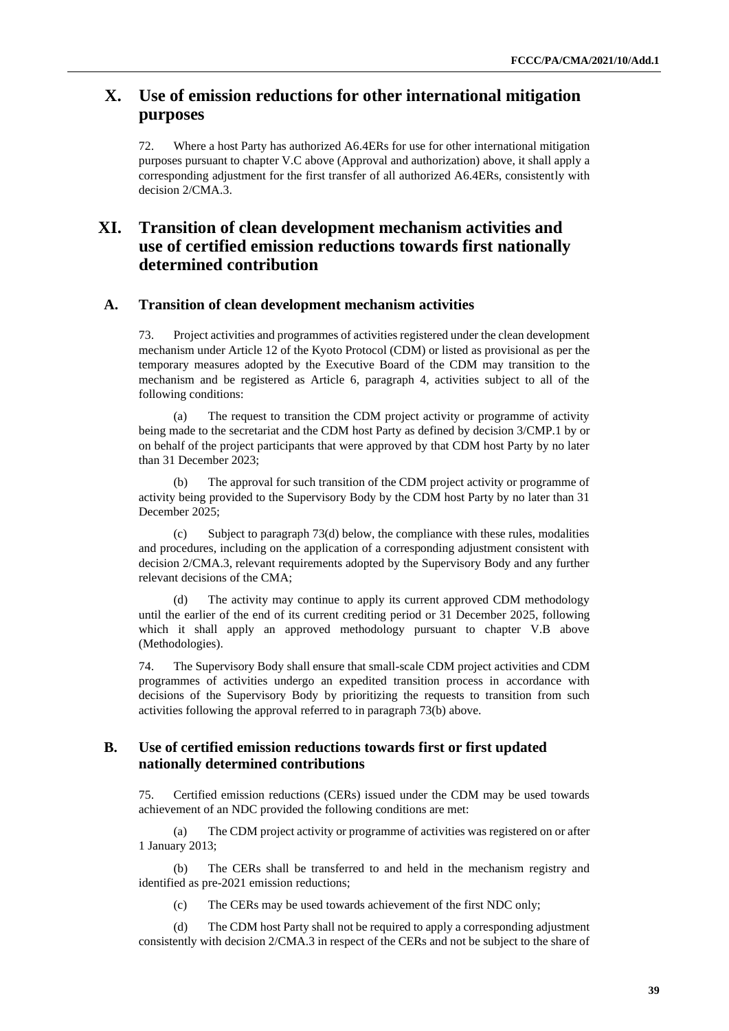## **X. Use of emission reductions for other international mitigation purposes**

72. Where a host Party has authorized A6.4ERs for use for other international mitigation purposes pursuant to chapter V.C above (Approval and authorization) above, it shall apply a corresponding adjustment for the first transfer of all authorized A6.4ERs, consistently with decision 2/CMA.3.

## **XI. Transition of clean development mechanism activities and use of certified emission reductions towards first nationally determined contribution**

#### **A. Transition of clean development mechanism activities**

73. Project activities and programmes of activities registered under the clean development mechanism under Article 12 of the Kyoto Protocol (CDM) or listed as provisional as per the temporary measures adopted by the Executive Board of the CDM may transition to the mechanism and be registered as Article 6, paragraph 4, activities subject to all of the following conditions:

(a) The request to transition the CDM project activity or programme of activity being made to the secretariat and the CDM host Party as defined by decision 3/CMP.1 by or on behalf of the project participants that were approved by that CDM host Party by no later than 31 December 2023;

(b) The approval for such transition of the CDM project activity or programme of activity being provided to the Supervisory Body by the CDM host Party by no later than 31 December 2025;

(c) Subject to paragraph 73(d) below, the compliance with these rules, modalities and procedures, including on the application of a corresponding adjustment consistent with decision 2/CMA.3, relevant requirements adopted by the Supervisory Body and any further relevant decisions of the CMA;

The activity may continue to apply its current approved CDM methodology until the earlier of the end of its current crediting period or 31 December 2025, following which it shall apply an approved methodology pursuant to chapter V.B above (Methodologies).

74. The Supervisory Body shall ensure that small-scale CDM project activities and CDM programmes of activities undergo an expedited transition process in accordance with decisions of the Supervisory Body by prioritizing the requests to transition from such activities following the approval referred to in paragraph 73(b) above.

#### **B. Use of certified emission reductions towards first or first updated nationally determined contributions**

75. Certified emission reductions (CERs) issued under the CDM may be used towards achievement of an NDC provided the following conditions are met:

(a) The CDM project activity or programme of activities was registered on or after 1 January 2013;

(b) The CERs shall be transferred to and held in the mechanism registry and identified as pre-2021 emission reductions;

(c) The CERs may be used towards achievement of the first NDC only;

(d) The CDM host Party shall not be required to apply a corresponding adjustment consistently with decision 2/CMA.3 in respect of the CERs and not be subject to the share of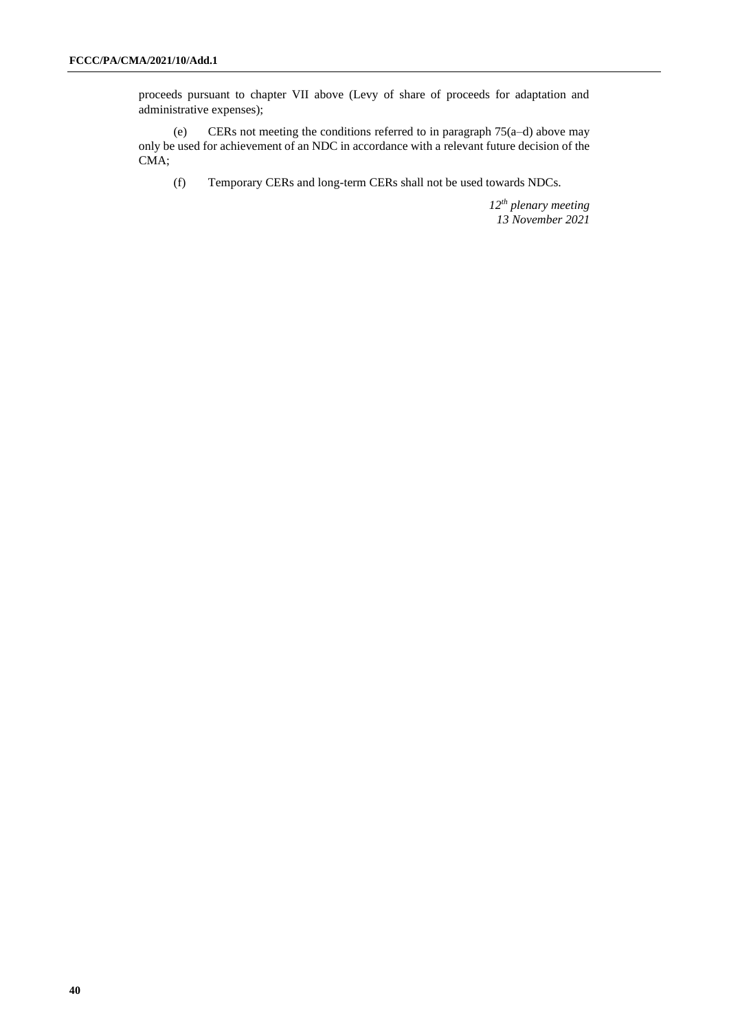proceeds pursuant to chapter VII above (Levy of share of proceeds for adaptation and administrative expenses);

(e) CERs not meeting the conditions referred to in paragraph 75(a–d) above may only be used for achievement of an NDC in accordance with a relevant future decision of the CMA;

(f) Temporary CERs and long-term CERs shall not be used towards NDCs.

*12th plenary meeting 13 November 2021*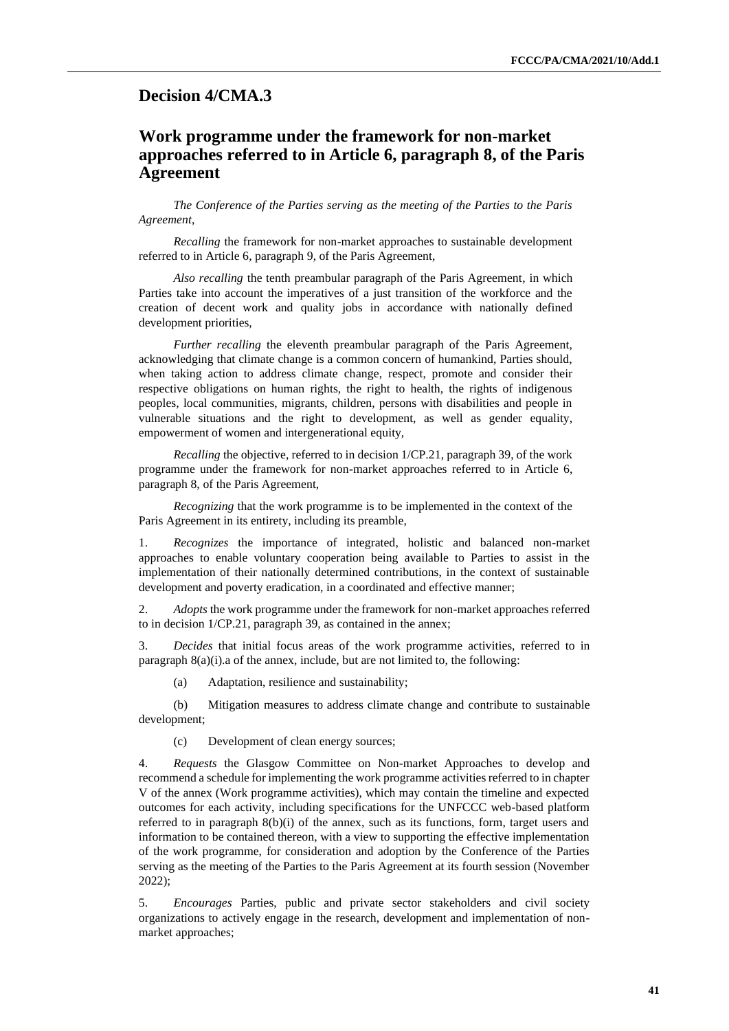#### <span id="page-40-0"></span>**Decision 4/CMA.3**

## **Work programme under the framework for non-market approaches referred to in Article 6, paragraph 8, of the Paris Agreement**

*The Conference of the Parties serving as the meeting of the Parties to the Paris Agreement*,

*Recalling* the framework for non-market approaches to sustainable development referred to in Article 6, paragraph 9, of the Paris Agreement,

*Also recalling* the tenth preambular paragraph of the Paris Agreement, in which Parties take into account the imperatives of a just transition of the workforce and the creation of decent work and quality jobs in accordance with nationally defined development priorities,

*Further recalling* the eleventh preambular paragraph of the Paris Agreement, acknowledging that climate change is a common concern of humankind, Parties should, when taking action to address climate change, respect, promote and consider their respective obligations on human rights, the right to health, the rights of indigenous peoples, local communities, migrants, children, persons with disabilities and people in vulnerable situations and the right to development, as well as gender equality, empowerment of women and intergenerational equity,

*Recalling* the objective, referred to in decision 1/CP.21, paragraph 39, of the work programme under the framework for non-market approaches referred to in Article 6, paragraph 8, of the Paris Agreement,

*Recognizing* that the work programme is to be implemented in the context of the Paris Agreement in its entirety, including its preamble,

1. *Recognizes* the importance of integrated, holistic and balanced non-market approaches to enable voluntary cooperation being available to Parties to assist in the implementation of their nationally determined contributions, in the context of sustainable development and poverty eradication, in a coordinated and effective manner;

2. *Adopts* the work programme under the framework for non-market approaches referred to in decision 1/CP.21, paragraph 39, as contained in the annex;

3. *Decides* that initial focus areas of the work programme activities, referred to in paragraph 8(a)(i).a of the annex, include, but are not limited to, the following:

(a) Adaptation, resilience and sustainability;

(b) Mitigation measures to address climate change and contribute to sustainable development;

(c) Development of clean energy sources;

4. *Requests* the Glasgow Committee on Non-market Approaches to develop and recommend a schedule for implementing the work programme activities referred to in chapter V of the annex (Work programme activities), which may contain the timeline and expected outcomes for each activity, including specifications for the UNFCCC web-based platform referred to in paragraph 8(b)(i) of the annex, such as its functions, form, target users and information to be contained thereon, with a view to supporting the effective implementation of the work programme, for consideration and adoption by the Conference of the Parties serving as the meeting of the Parties to the Paris Agreement at its fourth session (November 2022);

5. *Encourages* Parties, public and private sector stakeholders and civil society organizations to actively engage in the research, development and implementation of nonmarket approaches;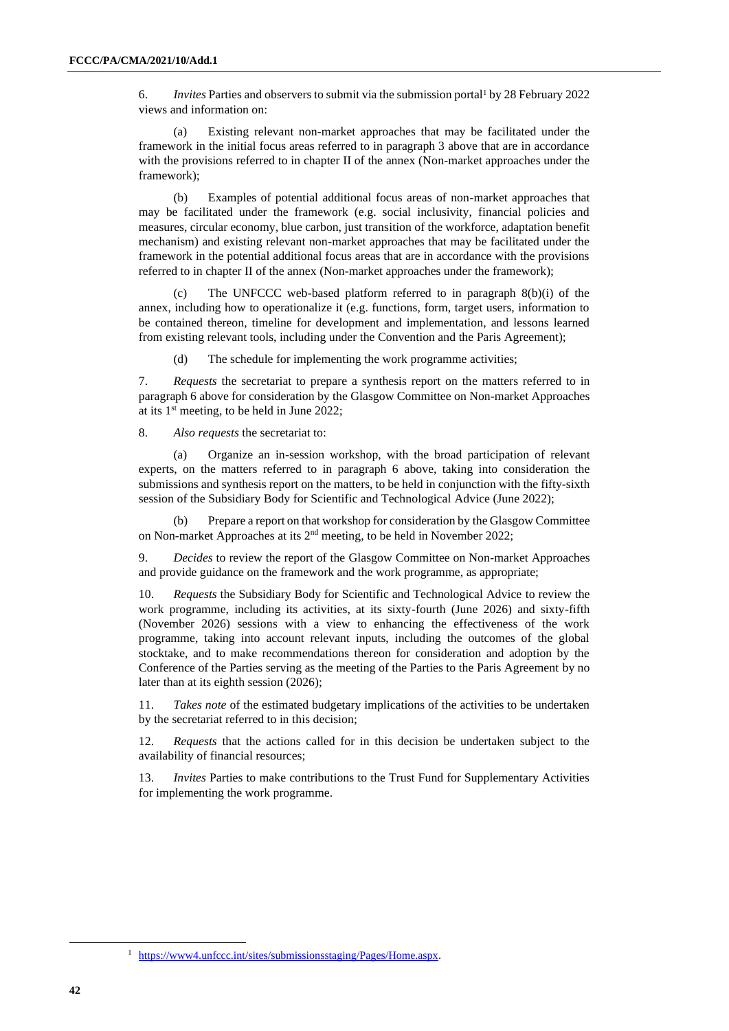6. *Invites* Parties and observers to submit via the submission portal<sup>1</sup> by 28 February 2022 views and information on:

(a) Existing relevant non-market approaches that may be facilitated under the framework in the initial focus areas referred to in paragraph 3 above that are in accordance with the provisions referred to in chapter II of the annex (Non-market approaches under the framework);

(b) Examples of potential additional focus areas of non-market approaches that may be facilitated under the framework (e.g. social inclusivity, financial policies and measures, circular economy, blue carbon, just transition of the workforce, adaptation benefit mechanism) and existing relevant non-market approaches that may be facilitated under the framework in the potential additional focus areas that are in accordance with the provisions referred to in chapter II of the annex (Non-market approaches under the framework);

(c) The UNFCCC web-based platform referred to in paragraph 8(b)(i) of the annex, including how to operationalize it (e.g. functions, form, target users, information to be contained thereon, timeline for development and implementation, and lessons learned from existing relevant tools, including under the Convention and the Paris Agreement);

(d) The schedule for implementing the work programme activities;

7. *Requests* the secretariat to prepare a synthesis report on the matters referred to in paragraph 6 above for consideration by the Glasgow Committee on Non-market Approaches at its  $1<sup>st</sup>$  meeting, to be held in June 2022;

8. *Also requests* the secretariat to:

(a) Organize an in-session workshop, with the broad participation of relevant experts, on the matters referred to in paragraph 6 above, taking into consideration the submissions and synthesis report on the matters, to be held in conjunction with the fifty-sixth session of the Subsidiary Body for Scientific and Technological Advice (June 2022);

(b) Prepare a report on that workshop for consideration by the Glasgow Committee on Non-market Approaches at its 2nd meeting, to be held in November 2022;

9. *Decides* to review the report of the Glasgow Committee on Non-market Approaches and provide guidance on the framework and the work programme, as appropriate;

10. *Requests* the Subsidiary Body for Scientific and Technological Advice to review the work programme, including its activities, at its sixty-fourth (June 2026) and sixty-fifth (November 2026) sessions with a view to enhancing the effectiveness of the work programme, taking into account relevant inputs, including the outcomes of the global stocktake, and to make recommendations thereon for consideration and adoption by the Conference of the Parties serving as the meeting of the Parties to the Paris Agreement by no later than at its eighth session (2026);

11. *Takes note* of the estimated budgetary implications of the activities to be undertaken by the secretariat referred to in this decision;

12. *Requests* that the actions called for in this decision be undertaken subject to the availability of financial resources;

13. *Invites* Parties to make contributions to the Trust Fund for Supplementary Activities for implementing the work programme.

<sup>1</sup> [https://www4.unfccc.int/sites/submissionsstaging/Pages/Home.aspx.](https://www4.unfccc.int/sites/submissionsstaging/Pages/Home.aspx)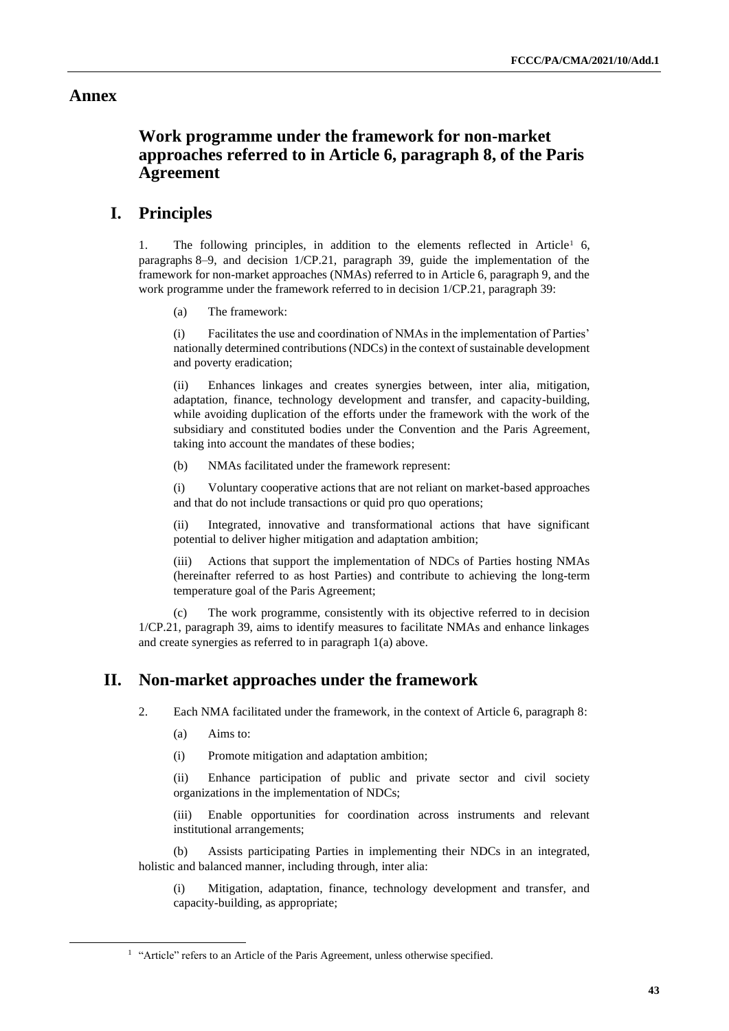#### **Annex**

## **Work programme under the framework for non-market approaches referred to in Article 6, paragraph 8, of the Paris Agreement**

## **I. Principles**

1. The following principles, in addition to the elements reflected in Article<sup>1</sup> 6, paragraphs 8–9, and decision 1/CP.21, paragraph 39, guide the implementation of the framework for non-market approaches (NMAs) referred to in Article 6, paragraph 9, and the work programme under the framework referred to in decision 1/CP.21, paragraph 39:

(a) The framework:

(i) Facilitates the use and coordination of NMAs in the implementation of Parties' nationally determined contributions (NDCs) in the context of sustainable development and poverty eradication;

(ii) Enhances linkages and creates synergies between, inter alia, mitigation, adaptation, finance, technology development and transfer, and capacity-building, while avoiding duplication of the efforts under the framework with the work of the subsidiary and constituted bodies under the Convention and the Paris Agreement, taking into account the mandates of these bodies;

(b) NMAs facilitated under the framework represent:

(i) Voluntary cooperative actions that are not reliant on market-based approaches and that do not include transactions or quid pro quo operations;

(ii) Integrated, innovative and transformational actions that have significant potential to deliver higher mitigation and adaptation ambition;

(iii) Actions that support the implementation of NDCs of Parties hosting NMAs (hereinafter referred to as host Parties) and contribute to achieving the long-term temperature goal of the Paris Agreement;

(c) The work programme, consistently with its objective referred to in decision 1/CP.21, paragraph 39, aims to identify measures to facilitate NMAs and enhance linkages and create synergies as referred to in paragraph 1(a) above.

## **II. Non-market approaches under the framework**

2. Each NMA facilitated under the framework, in the context of Article 6, paragraph 8:

- (a) Aims to:
- (i) Promote mitigation and adaptation ambition;

(ii) Enhance participation of public and private sector and civil society organizations in the implementation of NDCs;

(iii) Enable opportunities for coordination across instruments and relevant institutional arrangements;

(b) Assists participating Parties in implementing their NDCs in an integrated, holistic and balanced manner, including through, inter alia:

(i) Mitigation, adaptation, finance, technology development and transfer, and capacity-building, as appropriate;

<sup>&</sup>lt;sup>1</sup> "Article" refers to an Article of the Paris Agreement, unless otherwise specified.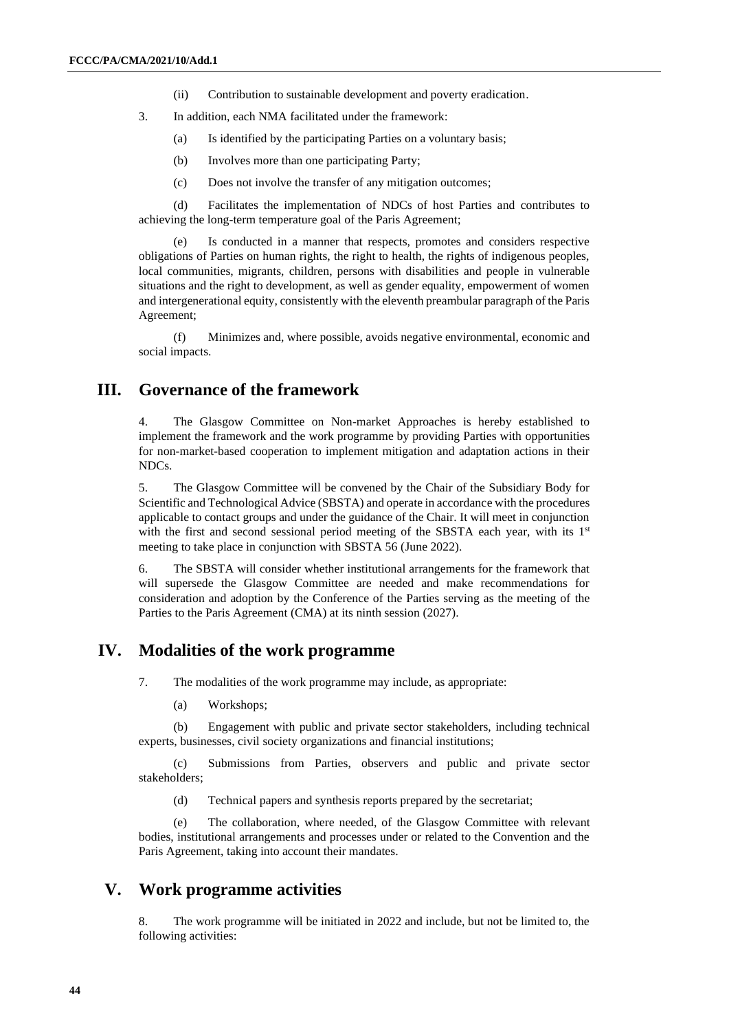- (ii) Contribution to sustainable development and poverty eradication.
- 3. In addition, each NMA facilitated under the framework:
	- (a) Is identified by the participating Parties on a voluntary basis;
	- (b) Involves more than one participating Party;
	- (c) Does not involve the transfer of any mitigation outcomes;

(d) Facilitates the implementation of NDCs of host Parties and contributes to achieving the long-term temperature goal of the Paris Agreement;

(e) Is conducted in a manner that respects, promotes and considers respective obligations of Parties on human rights, the right to health, the rights of indigenous peoples, local communities, migrants, children, persons with disabilities and people in vulnerable situations and the right to development, as well as gender equality, empowerment of women and intergenerational equity, consistently with the eleventh preambular paragraph of the Paris Agreement;

(f) Minimizes and, where possible, avoids negative environmental, economic and social impacts.

## **III. Governance of the framework**

4. The Glasgow Committee on Non-market Approaches is hereby established to implement the framework and the work programme by providing Parties with opportunities for non-market-based cooperation to implement mitigation and adaptation actions in their NDCs.

5. The Glasgow Committee will be convened by the Chair of the Subsidiary Body for Scientific and Technological Advice (SBSTA) and operate in accordance with the procedures applicable to contact groups and under the guidance of the Chair. It will meet in conjunction with the first and second sessional period meeting of the SBSTA each year, with its  $1<sup>st</sup>$ meeting to take place in conjunction with SBSTA 56 (June 2022).

6. The SBSTA will consider whether institutional arrangements for the framework that will supersede the Glasgow Committee are needed and make recommendations for consideration and adoption by the Conference of the Parties serving as the meeting of the Parties to the Paris Agreement (CMA) at its ninth session (2027).

#### **IV. Modalities of the work programme**

7. The modalities of the work programme may include, as appropriate:

(a) Workshops;

(b) Engagement with public and private sector stakeholders, including technical experts, businesses, civil society organizations and financial institutions;

(c) Submissions from Parties, observers and public and private sector stakeholders;

(d) Technical papers and synthesis reports prepared by the secretariat;

(e) The collaboration, where needed, of the Glasgow Committee with relevant bodies, institutional arrangements and processes under or related to the Convention and the Paris Agreement, taking into account their mandates.

#### **V. Work programme activities**

8. The work programme will be initiated in 2022 and include, but not be limited to, the following activities: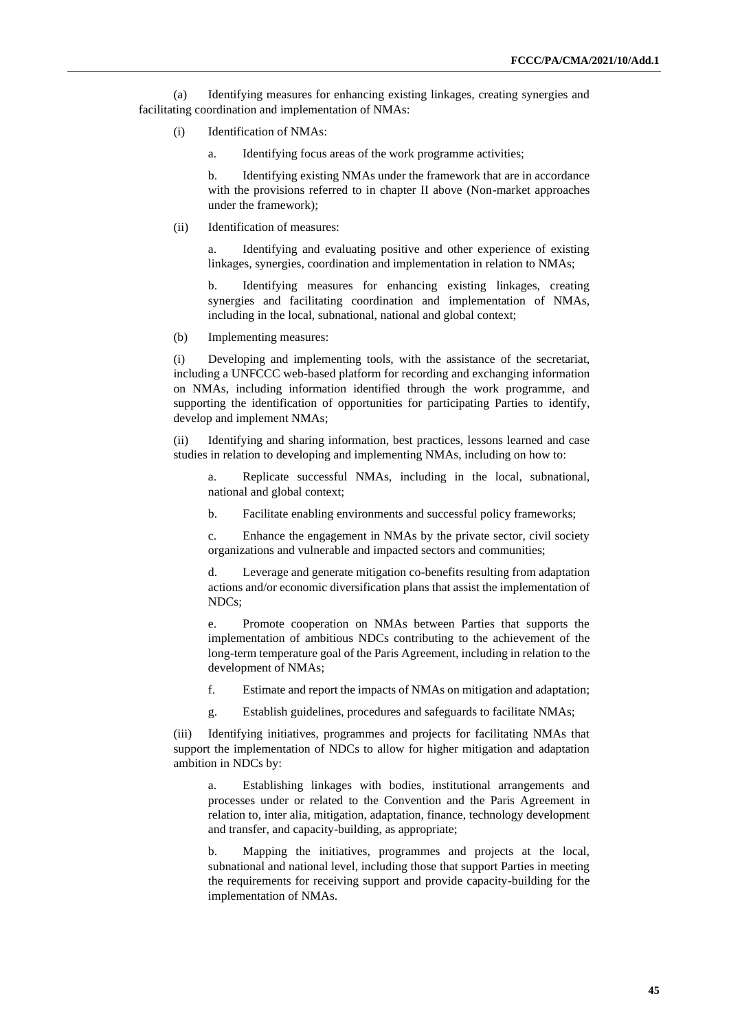(a) Identifying measures for enhancing existing linkages, creating synergies and facilitating coordination and implementation of NMAs:

- (i) Identification of NMAs:
	- a. Identifying focus areas of the work programme activities;

b. Identifying existing NMAs under the framework that are in accordance with the provisions referred to in chapter II above (Non-market approaches under the framework);

(ii) Identification of measures:

a. Identifying and evaluating positive and other experience of existing linkages, synergies, coordination and implementation in relation to NMAs;

b. Identifying measures for enhancing existing linkages, creating synergies and facilitating coordination and implementation of NMAs, including in the local, subnational, national and global context;

(b) Implementing measures:

(i) Developing and implementing tools, with the assistance of the secretariat, including a UNFCCC web-based platform for recording and exchanging information on NMAs, including information identified through the work programme, and supporting the identification of opportunities for participating Parties to identify, develop and implement NMAs;

(ii) Identifying and sharing information, best practices, lessons learned and case studies in relation to developing and implementing NMAs, including on how to:

a. Replicate successful NMAs, including in the local, subnational, national and global context;

b. Facilitate enabling environments and successful policy frameworks;

c. Enhance the engagement in NMAs by the private sector, civil society organizations and vulnerable and impacted sectors and communities;

d. Leverage and generate mitigation co-benefits resulting from adaptation actions and/or economic diversification plans that assist the implementation of NDCs;

e. Promote cooperation on NMAs between Parties that supports the implementation of ambitious NDCs contributing to the achievement of the long-term temperature goal of the Paris Agreement, including in relation to the development of NMAs;

f. Estimate and report the impacts of NMAs on mitigation and adaptation;

g. Establish guidelines, procedures and safeguards to facilitate NMAs;

(iii) Identifying initiatives, programmes and projects for facilitating NMAs that support the implementation of NDCs to allow for higher mitigation and adaptation ambition in NDCs by:

a. Establishing linkages with bodies, institutional arrangements and processes under or related to the Convention and the Paris Agreement in relation to, inter alia, mitigation, adaptation, finance, technology development and transfer, and capacity-building, as appropriate;

b. Mapping the initiatives, programmes and projects at the local, subnational and national level, including those that support Parties in meeting the requirements for receiving support and provide capacity-building for the implementation of NMAs.